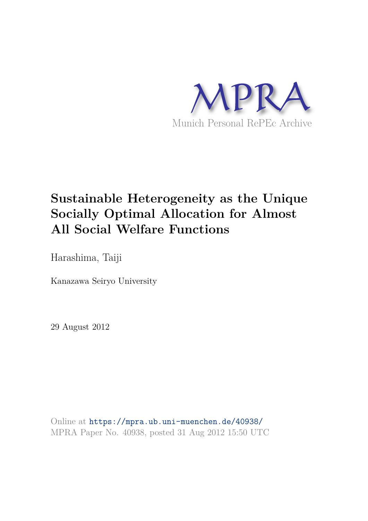

# **Sustainable Heterogeneity as the Unique Socially Optimal Allocation for Almost All Social Welfare Functions**

Harashima, Taiji

Kanazawa Seiryo University

29 August 2012

Online at https://mpra.ub.uni-muenchen.de/40938/ MPRA Paper No. 40938, posted 31 Aug 2012 15:50 UTC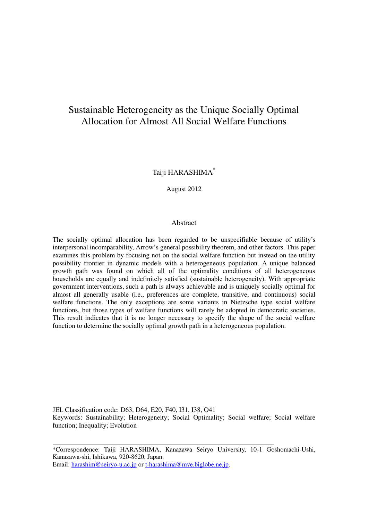# Sustainable Heterogeneity as the Unique Socially Optimal Allocation for Almost All Social Welfare Functions

## Taiji HARASHIMA\*

August 2012

#### **Abstract**

The socially optimal allocation has been regarded to be unspecifiable because of utility's interpersonal incomparability, Arrow's general possibility theorem, and other factors. This paper examines this problem by focusing not on the social welfare function but instead on the utility possibility frontier in dynamic models with a heterogeneous population. A unique balanced growth path was found on which all of the optimality conditions of all heterogeneous households are equally and indefinitely satisfied (sustainable heterogeneity). With appropriate government interventions, such a path is always achievable and is uniquely socially optimal for almost all generally usable (i.e., preferences are complete, transitive, and continuous) social welfare functions. The only exceptions are some variants in Nietzsche type social welfare functions, but those types of welfare functions will rarely be adopted in democratic societies. This result indicates that it is no longer necessary to specify the shape of the social welfare function to determine the socially optimal growth path in a heterogeneous population.

JEL Classification code: D63, D64, E20, F40, I31, I38, O41 Keywords: Sustainability; Heterogeneity; Social Optimality; Social welfare; Social welfare function; Inequality; Evolution

Email[: harashim@seiryo-u.ac.jp](mailto:harashim@seiryo-u.ac.jp) or [t-harashima@mve.biglobe.ne.jp.](mailto:t-harashima@mve.biglobe.ne.jp)

 $\overline{\phantom{a}}$ 

<sup>\*</sup>Correspondence: Taiji HARASHIMA, Kanazawa Seiryo University, 10-1 Goshomachi-Ushi, Kanazawa-shi, Ishikawa, 920-8620, Japan.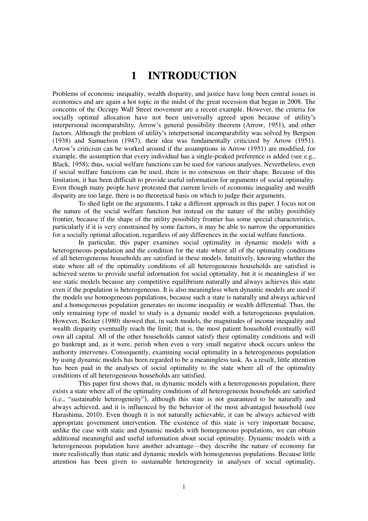# **1 INTRODUCTION**

Problems of economic inequality, wealth disparity, and justice have long been central issues in economics and are again a hot topic in the midst of the great recession that began in 2008. The concerns of the Occupy Wall Street movement are a recent example. However, the criteria for socially optimal allocation have not been universally agreed upon because of utility's interpersonal incomparability, Arrow's general possibility theorem (Arrow, 1951), and other factors. Although the problem of utility's interpersonal incomparability was solved by Bergson (1938) and Samuelson (1947), their idea was fundamentally criticized by Arrow (1951). Arrow's criticism can be worked around if the assumptions in Arrow (1951) are modified, for example, the assumption that every individual has a single-peaked preference is added (see e.g., Black, 1958); thus, social welfare functions can be used for various analyses. Nevertheless, even if social welfare functions can be used, there is no consensus on their shape. Because of this limitation, it has been difficult to provide useful information for arguments of social optimality. Even though many people have protested that current levels of economic inequality and wealth disparity are too large, there is no theoretical basis on which to judge their arguments.

 To shed light on the arguments, I take a different approach in this paper. I focus not on the nature of the social welfare function but instead on the nature of the utility possibility frontier, because if the shape of the utility possibility frontier has some special characteristics, particularly if it is very constrained by some factors, it may be able to narrow the opportunities for a socially optimal allocation, regardless of any differences in the social welfare functions.

 In particular, this paper examines social optimality in dynamic models with a heterogeneous population and the condition for the state where all of the optimality conditions of all heterogeneous households are satisfied in these models. Intuitively, knowing whether the state where all of the optimality conditions of all heterogeneous households are satisfied is achieved seems to provide useful information for social optimality, but it is meaningless if we use static models because any competitive equilibrium naturally and always achieves this state even if the population is heterogeneous. It is also meaningless when dynamic models are used if the models use homogeneous populations, because such a state is naturally and always achieved and a homogeneous population generates no income inequality or wealth differential. Thus, the only remaining type of model to study is a dynamic model with a heterogeneous population. However, Becker (1980) showed that, in such models, the magnitudes of income inequality and wealth disparity eventually reach the limit; that is, the most patient household eventually will own all capital. All of the other households cannot satisfy their optimality conditions and will go bankrupt and, as it were, perish when even a very small negative shock occurs unless the authority intervenes. Consequently, examining social optimality in a heterogeneous population by using dynamic models has been regarded to be a meaningless task. As a result, little attention has been paid in the analyses of social optimality to the state where all of the optimality conditions of all heterogeneous households are satisfied.

 This paper first shows that, in dynamic models with a heterogeneous population, there exists a state where all of the optimality conditions of all heterogeneous households are satisfied (i.e., "sustainable heterogeneity"), although this state is not guaranteed to be naturally and always achieved, and it is influenced by the behavior of the most advantaged household (see Harashima, 2010). Even though it is not naturally achievable, it can be always achieved with appropriate government intervention. The existence of this state is very important because, unlike the case with static and dynamic models with homogeneous populations, we can obtain additional meaningful and useful information about social optimality. Dynamic models with a heterogeneous population have another advantage—they describe the nature of economy far more realistically than static and dynamic models with homogeneous populations. Because little attention has been given to sustainable heterogeneity in analyses of social optimality,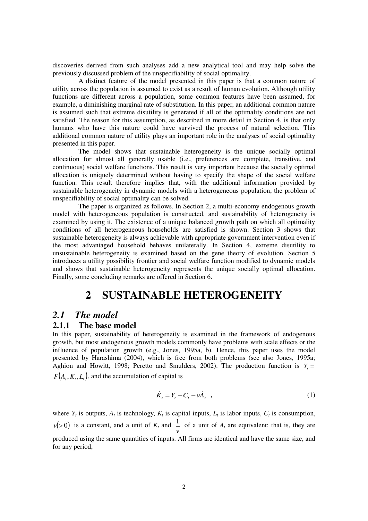discoveries derived from such analyses add a new analytical tool and may help solve the previously discussed problem of the unspecifiability of social optimality.

 A distinct feature of the model presented in this paper is that a common nature of utility across the population is assumed to exist as a result of human evolution. Although utility functions are different across a population, some common features have been assumed, for example, a diminishing marginal rate of substitution. In this paper, an additional common nature is assumed such that extreme disutility is generated if all of the optimality conditions are not satisfied. The reason for this assumption, as described in more detail in Section 4, is that only humans who have this nature could have survived the process of natural selection. This additional common nature of utility plays an important role in the analyses of social optimality presented in this paper.

 The model shows that sustainable heterogeneity is the unique socially optimal allocation for almost all generally usable (i.e., preferences are complete, transitive, and continuous) social welfare functions. This result is very important because the socially optimal allocation is uniquely determined without having to specify the shape of the social welfare function. This result therefore implies that, with the additional information provided by sustainable heterogeneity in dynamic models with a heterogeneous population, the problem of unspecifiability of social optimality can be solved.

 The paper is organized as follows. In Section 2, a multi-economy endogenous growth model with heterogeneous population is constructed, and sustainability of heterogeneity is examined by using it. The existence of a unique balanced growth path on which all optimality conditions of all heterogeneous households are satisfied is shown. Section 3 shows that sustainable heterogeneity is always achievable with appropriate government intervention even if the most advantaged household behaves unilaterally. In Section 4, extreme disutility to unsustainable heterogeneity is examined based on the gene theory of evolution. Section 5 introduces a utility possibility frontier and social welfare function modified to dynamic models and shows that sustainable heterogeneity represents the unique socially optimal allocation. Finally, some concluding remarks are offered in Section 6.

# **2 SUSTAINABLE HETEROGENEITY**

## *2.1 The model*

## **2.1.1 The base model**

In this paper, sustainability of heterogeneity is examined in the framework of endogenous growth, but most endogenous growth models commonly have problems with scale effects or the influence of population growth (e.g., Jones, 1995a, b). Hence, this paper uses the model presented by Harashima (2004), which is free from both problems (see also Jones, 1995a; Aghion and Howitt, 1998; Peretto and Smulders, 2002). The production function is  $Y<sub>i</sub> =$  $F(A_t, K_t, L_t)$ , and the accumulation of capital is

$$
\dot{K}_t = Y_t - C_t - \nu \dot{A}_t \quad , \tag{1}
$$

where  $Y_t$  is outputs,  $A_t$  is technology,  $K_t$  is capital inputs,  $L_t$  is labor inputs,  $C_t$  is consumption,  $v(>0)$  is a constant, and a unit of  $K_t$  and *ν*  $\frac{1}{x}$  of a unit of  $A_t$  are equivalent: that is, they are produced using the same quantities of inputs. All firms are identical and have the same size, and for any period,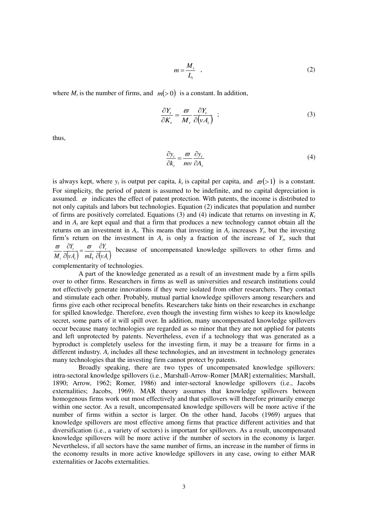$$
m = \frac{M_t}{L_t} \quad , \tag{2}
$$

where  $M_t$  is the number of firms, and  $m(>0)$  is a constant. In addition,

$$
\frac{\partial Y_t}{\partial K_t} = \frac{\varpi}{M_t} \frac{\partial Y_t}{\partial (vA_t)} \quad ; \tag{3}
$$

thus,

$$
\frac{\partial y_t}{\partial k_t} = \frac{\varpi}{mv} \frac{\partial y_t}{\partial A_t}
$$
 (4)

is always kept, where  $y_t$  is output per capita,  $k_t$  is capital per capita, and  $\varpi(>1)$  is a constant. For simplicity, the period of patent is assumed to be indefinite, and no capital depreciation is assumed.  $\varpi$  indicates the effect of patent protection. With patents, the income is distributed to not only capitals and labors but technologies. Equation (2) indicates that population and number of firms are positively correlated. Equations (3) and (4) indicate that returns on investing in  $K_t$ and in  $A_t$  are kept equal and that a firm that produces a new technology cannot obtain all the returns on an investment in  $A_t$ . This means that investing in  $A_t$  increases  $Y_t$ , but the investing firm's return on the investment in  $A_t$  is only a fraction of the increase of  $Y_t$ , such that  $\frac{G_{t_i}}{(v_{t_i})} = \frac{G_{t_i}}{m_i} \frac{G_{t_i}}{\partial (v_{t_i})}$  $\boldsymbol{t}$   $\boldsymbol{t}$   $\boldsymbol{t}$   $\boldsymbol{t}$ *t t*  $\partial (vA_t)$  mL<sub>t</sub>  $\partial (vA_t)$ *Y νA*<sub>t</sub>) mL<sub>t</sub> *Y*  $M_t$   $\partial (vA_t)$   $mL_t$   $\partial$  $=\frac{\varpi}{\pi}$   $\frac{\partial}{\partial t}$  $\partial$  $\frac{\omega}{\omega} \frac{\partial Y_i}{\partial \omega} = \frac{\omega}{\omega} \frac{\partial Y_i}{\partial \omega}$  because of uncompensated knowledge spillovers to other firms and

complementarity of technologies.

 A part of the knowledge generated as a result of an investment made by a firm spills over to other firms. Researchers in firms as well as universities and research institutions could not effectively generate innovations if they were isolated from other researchers. They contact and stimulate each other. Probably, mutual partial knowledge spillovers among researchers and firms give each other reciprocal benefits. Researchers take hints on their researches in exchange for spilled knowledge. Therefore, even though the investing firm wishes to keep its knowledge secret, some parts of it will spill over. In addition, many uncompensated knowledge spillovers occur because many technologies are regarded as so minor that they are not applied for patents and left unprotected by patents. Nevertheless, even if a technology that was generated as a byproduct is completely useless for the investing firm, it may be a treasure for firms in a different industry. *A<sup>t</sup>* includes all these technologies, and an investment in technology generates many technologies that the investing firm cannot protect by patents.

 Broadly speaking, there are two types of uncompensated knowledge spillovers: intra-sectoral knowledge spillovers (i.e., Marshall-Arrow-Romer [MAR] externalities; Marshall, 1890; Arrow, 1962; Romer, 1986) and inter-sectoral knowledge spillovers (i.e., Jacobs externalities; Jacobs, 1969). MAR theory assumes that knowledge spillovers between homogenous firms work out most effectively and that spillovers will therefore primarily emerge within one sector. As a result, uncompensated knowledge spillovers will be more active if the number of firms within a sector is larger. On the other hand, Jacobs (1969) argues that knowledge spillovers are most effective among firms that practice different activities and that diversification (i.e., a variety of sectors) is important for spillovers. As a result, uncompensated knowledge spillovers will be more active if the number of sectors in the economy is larger. Nevertheless, if all sectors have the same number of firms, an increase in the number of firms in the economy results in more active knowledge spillovers in any case, owing to either MAR externalities or Jacobs externalities.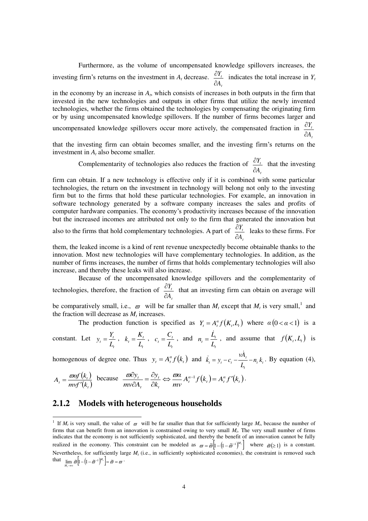Furthermore, as the volume of uncompensated knowledge spillovers increases, the investing firm's returns on the investment in *A<sup>t</sup>* decrease. *t t A Y*  $\partial$  $\frac{\partial Y_t}{\partial t}$  indicates the total increase in *Y<sub>t</sub>* 

in the economy by an increase in  $A_t$ , which consists of increases in both outputs in the firm that invested in the new technologies and outputs in other firms that utilize the newly invented technologies, whether the firms obtained the technologies by compensating the originating firm or by using uncompensated knowledge spillovers. If the number of firms becomes larger and

uncompensated knowledge spillovers occur more actively, the compensated fraction in  $\frac{C_1}{C_2}$ *t A Y*  $\hat{o}$  $\hat{o}$ 

that the investing firm can obtain becomes smaller, and the investing firm's returns on the investment in  $A_t$  also become smaller.

Complementarity of technologies also reduces the fraction of  $\frac{GI_{1}}{G}$ *t A Y*  $\hat{o}$  $\frac{\partial Y_t}{\partial t}$  that the investing

*t*

firm can obtain. If a new technology is effective only if it is combined with some particular technologies, the return on the investment in technology will belong not only to the investing firm but to the firms that hold these particular technologies. For example, an innovation in software technology generated by a software company increases the sales and profits of computer hardware companies. The economy's productivity increases because of the innovation but the increased incomes are attributed not only to the firm that generated the innovation but also to the firms that hold complementary technologies. A part of *t A Y*  $\partial$  $\frac{\partial Y_t}{\partial t}$  leaks to these firms. For

them, the leaked income is a kind of rent revenue unexpectedly become obtainable thanks to the innovation. Most new technologies will have complementary technologies. In addition, as the number of firms increases, the number of firms that holds complementary technologies will also increase, and thereby these leaks will also increase.

 Because of the uncompensated knowledge spillovers and the complementarity of technologies, therefore, the fraction of *t t A Y*  $\partial$  $\frac{\partial Y_t}{\partial t}$  that an investing firm can obtain on average will

be comparatively small, i.e.,  $\varpi$  will be far smaller than  $M_t$  except that  $M_t$  is very small,<sup>1</sup> and the fraction will decrease as  $M_t$  increases.

The production function is specified as  $Y_t = A_t^{\alpha} f(K_t, L_t)$  where  $\alpha (0 < \alpha < 1)$  is a

constant. Let *t*  $t_t = \frac{t_t}{L}$  $y_t = \frac{Y_t}{I}$ , *t*  $t_t = \frac{R_t}{L_t}$  $k_t = \frac{K_t}{I}$ , *t*  $t_t = \frac{C_t}{L_t}$  $c_t = \frac{C_t}{I}$ , and *t*  $t_t = \frac{L_t}{L_t}$  $n_{i} = \frac{L}{I}$  $=\frac{\dot{L}_t}{I}$ , and assume that  $f(K_t, L_t)$  is

homogenous of degree one. Thus  $y_t = A_t^{\alpha} f(k_t)$  and  $\dot{k}_t = y_t - c_t - \frac{v A_t}{I} - n_t k_t$ *t t*  $t_t = y_t - c_t - \frac{t}{l} - n_t k$ *L*  $\dot{k}_t = y_t - c_t - \frac{vA_t}{I}$ Ä  $k_{i} = y_{i} - c_{i} - \frac{V_{i}A_{i}}{I} - n_{i}k_{i}$ . By equation (4),

$$
A_t = \frac{\varpi \omega f(k_t)}{m v f'(k_t)} \text{ because } \frac{\varpi \partial y_t}{m v \partial A_t} = \frac{\partial y_t}{\partial k_t} \Leftrightarrow \frac{\varpi \alpha}{m v} A_t^{\alpha-1} f(k_t) = A_t^{\alpha} f'(k_t).
$$

## **2.1.2 Models with heterogeneous households**

*t*

<sup>&</sup>lt;sup>1</sup> If *M<sub>t</sub>* is very small, the value of  $\varpi$  will be far smaller than that for sufficiently large *M<sub>t</sub>*, because the number of firms that can benefit from an innovation is constrained owing to very small *M<sup>t</sup>* . The very small number of firms indicates that the economy is not sufficiently sophisticated, and thereby the benefit of an innovation cannot be fully realized in the economy. This constraint can be modeled as  $\omega = \tilde{\omega} \left[ 1 - \left( 1 - \tilde{\omega}^{-1} \right)^{M_t} \right]$  where  $\tilde{\omega} \ge 1$  is a constant. Nevertheless, for sufficiently large  $M_t$  (i.e., in sufficiently sophisticated economies), the constraint is removed such that  $\lim_{n \to \infty} \tilde{\varpi} \left[ 1 - \left( 1 - \tilde{\varpi}^{-1} \right)^{M_i} \right] = \tilde{\varpi} = \varpi$  $\lim_{M_r\to\infty}\widetilde{\varpi}\Big[1-\big(1-\widetilde{\varpi}^{-1}\big)^{\!M_r}\Big]\!=\widetilde{\varpi}$  $\lim_{M_r\to\infty}\widetilde{\varpi}\Big|1-\left(1-\widetilde{\varpi}^{-1}\right)^{\!M_r}\Big|=\widetilde{\varpi}=\varpi$  .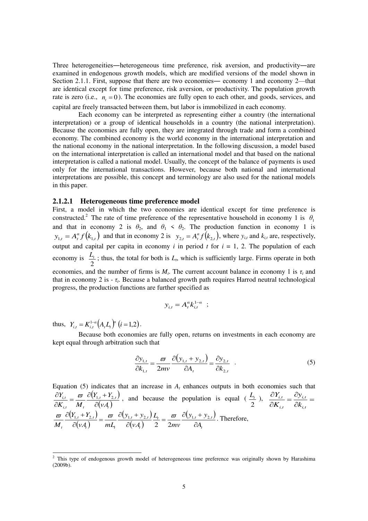Three heterogeneities―heterogeneous time preference, risk aversion, and productivity―are examined in endogenous growth models, which are modified versions of the model shown in Section 2.1.1. First, suppose that there are two economies— economy 1 and economy 2—that are identical except for time preference, risk aversion, or productivity. The population growth rate is zero (i.e.,  $n<sub>t</sub> = 0$ ). The economies are fully open to each other, and goods, services, and capital are freely transacted between them, but labor is immobilized in each economy.

 Each economy can be interpreted as representing either a country (the international interpretation) or a group of identical households in a country (the national interpretation). Because the economies are fully open, they are integrated through trade and form a combined economy. The combined economy is the world economy in the international interpretation and the national economy in the national interpretation. In the following discussion, a model based on the international interpretation is called an international model and that based on the national interpretation is called a national model. Usually, the concept of the balance of payments is used only for the international transactions. However, because both national and international interpretations are possible, this concept and terminology are also used for the national models in this paper.

#### **2.1.2.1 Heterogeneous time preference model**

First, a model in which the two economies are identical except for time preference is constructed.<sup>2</sup> The rate of time preference of the representative household in economy 1 is  $\theta_1$ and that in economy 2 is  $\theta_2$ , and  $\theta_1 \le \theta_2$ . The production function in economy 1 is  $y_{1,t} = A_t^{\alpha} f(k_{1,t})$  and that in economy 2 is  $y_{2,t} = A_t^{\alpha} f(k_{2,t})$ , where  $y_{i,t}$  and  $k_{i,t}$  are, respectively, output and capital per capita in economy  $i$  in period  $t$  for  $i = 1, 2$ . The population of each economy is 2  $\frac{L_t}{2}$ ; thus, the total for both is  $L_t$ , which is sufficiently large. Firms operate in both economies, and the number of firms is  $M_t$ . The current account balance in economy 1 is  $\tau_t$  and that in economy 2 is  $-\tau_t$ . Because a balanced growth path requires Harrod neutral technological progress, the production functions are further specified as

$$
y_{i,t} = A_t^{\alpha} k_{i,t}^{1-\alpha} \ ;
$$

thus,  $Y_{i,t} = K_{i,t}^{1-\alpha} (A_t L_t)^{\alpha}$   $(i = 1,2)$  $Y_{i,t} = K_{i,t}^{1-\alpha} (A_t L_t)^{\alpha}$   $(i = 1,2)$ .

 Because both economies are fully open, returns on investments in each economy are kept equal through arbitration such that

$$
\frac{\partial y_{1,t}}{\partial k_{1,t}} = \frac{\varpi}{2mv} \frac{\partial (y_{1,t} + y_{2,t})}{\partial A_t} = \frac{\partial y_{2,t}}{\partial k_{2,t}} \quad . \tag{5}
$$

Equation (5) indicates that an increase in  $A_t$  enhances outputs in both economies such that  $(Y_{1,t} + Y_{2,t})$ *t* <sup>+</sup> <sup>*+*</sup><sub>2*,t*</sub><br>  $(\nu A_t)$  $i, t$  *i t*  $\boldsymbol{H}$ *i,t νA*  $Y_{1,t} + Y$  $K_{i,t}$  *M Y*  $\partial$  $=\frac{\varpi}{\pi i} \frac{\partial (Y_{1,t}+Y_{1,t})}{\partial (Y_{1,t}-Y_{1,t})}$  $\partial$  $\frac{\partial Y_{i,t}}{\partial t} = \frac{\varpi}{\omega} \frac{\partial (Y_{i,t} + Y_{2,t})}{\partial t}$ , and because the population is equal ( 2  $\frac{L_t}{2}$ ),  $\frac{\partial Y_{i,t}}{\partial Y} = \frac{\partial y_{i,t}}{\partial Y}$  $\overline{\partial}$  $=\frac{\partial}{\partial t}$  $\overline{\hat{c}}$  $\hat{c}$ *i,t i,t i,t i,t k y K Y*  $(Y_{1,t} + Y_{2,t})$  $\overline{(v_4)}$  $(y_{1,t} + y_{2,t})$  $\overline{(v_4)}$  $(y_{1,t} + y_{2,t})$ *t*  $\frac{u_t}{t} = \frac{w}{t} \frac{C(y_{1,t} - y_{2,t})}{t}$ *t*  $t^{+}$   $y_{2,t}$  $\mu$  *t*  $\mu$   $\mu$  $t^{+1}$ <sub>2,t</sub>  $\partial_t$  *a*  $\partial(vA)$  *mL*<sub>t</sub>  $\partial(vA)$  2 2mv  $\partial A$  $y_{1,t} + y$ *mv L νA*  $y_{1,t} + y$ *νA mL*  $Y_{1,t} + Y$  $M$ <sub>t</sub>  $\partial(\nu A)$   $mL$ <sub>t</sub>  $\partial(\nu A)$  2  $2mv$   $\partial$  $=\frac{\varpi}{2} \frac{\partial (y_{1,t}+y_{2,t})}{\partial x_{2,t}}$  $\partial$  $=\frac{\varpi}{\sigma} \frac{\partial (y_{1,t}+y_{1,t})}{\partial (y_{1,t}+y_{1,t})}$  $\partial$  $\partial(Y_{1,t}+Y_{2,t}) = \varpi \partial(y_{1,t}+y_{2,t}) L_t = \varpi \partial(y_{1,t}+y_2)$ 2 2  $\frac{\overline{\omega}}{\sqrt{\omega_{1,t}+\omega_{2,t}}} = \frac{\overline{\omega}}{\sqrt{\omega_{1,t}+\omega_{2,t}}} \frac{\overline{\omega_{1,t}+\omega_{2,t}}}{\overline{\omega_{1,t}+\omega_{2,t}}} = \frac{\overline{\omega}}{\sqrt{\omega_{1,t}+\omega_{2,t}}}}$ . Therefore,

<sup>&</sup>lt;sup>2</sup> This type of endogenous growth model of heterogeneous time preference was originally shown by Harashima (2009b).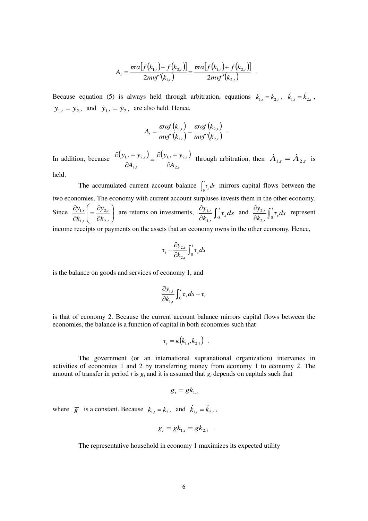$$
A_{t} = \frac{\varpi a[f(k_{1,t})+f(k_{2,t})]}{2m\text{v}f'(k_{1,t})} = \frac{\varpi a[f(k_{1,t})+f(k_{2,t})]}{2m\text{v}f'(k_{2,t})}.
$$

Because equation (5) is always held through arbitration, equations  $k_{1,t} = k_{2,t}$ ,  $\dot{k}_{1,t} = \dot{k}_{2,t}$ ,  $y_{1,t} = y_{2,t}$  and  $\dot{y}_{1,t} = \dot{y}_{2,t}$  are also held. Hence,

$$
A_{t} = \frac{\varpi \alpha f(k_{1,t})}{m v f'(k_{1,t})} = \frac{\varpi \alpha f(k_{2,t})}{m v f'(k_{2,t})} .
$$

In addition, because  $\frac{\partial (y_{1,t} + y_{2,t})}{\partial (y_{1,t} + y_{2,t})} = \frac{\partial (y_{1,t} + y_{2,t})}{\partial (y_{1,t} + y_{2,t})}$ *t*  $,t$ ,  $y_{2,t}$ *t*  $,t$   $\frac{1}{2}$ ,  $\frac{1}{2}$ ,  $t$ *A*  $y_{1,t} + y$ *A*  $y_{1,t} + y$ ,2  $1, t \quad \sqrt{2}$ ,1  $1, t$   $2$  $\partial$  $=\frac{\partial (y_{1,t}+y_{1,t})}{\partial x_{1,t}}$  $\widehat{o}$  $\frac{\partial (y_{1,t} + y_{2,t})}{\partial A} = \frac{\partial (y_{1,t} + y_{2,t})}{\partial A}$  through arbitration, then  $\dot{A}_{1,t} = \dot{A}_{2,t}$  is

held.

The accumulated current account balance  $\int_0^t \tau_s ds$  mirrors capital flows between the  $\mathsf{U}$ two economies. The economy with current account surpluses invests them in the other economy. Since  $\frac{cy_{1,t}}{\partial k}$  =  $\frac{cy_{2,t}}{\partial k}$  $\bigg)$  $\backslash$  $\overline{\phantom{a}}$  $\setminus$ ſ  $\partial$  $=\frac{\partial}{\partial t}$  $\partial$  $\partial$ *t t t t k y k y* ,2 ,2 ,1  $\left| \frac{1}{t} \right| = \frac{y_{2,t}}{2l}$  are returns on investments,  $\frac{y_{1,t}}{2l} \int_0^l \tau_s ds$ *k*  $y_{1,t}$   $\mathbf{r}$ <sup>*t*</sup> *s t*  $\frac{cy_{1,t}}{\partial k_{1,t}}\int$  $\widehat{o}$  $\int_0^1$ ,  $\int_0^1$  $\frac{1}{2}$ ,  $\int_{a}^{t} \tau_{s} ds$  and  $\frac{dy_{2,t}}{dt_{2,t}} \int_{a}^{t} \tau_{s} ds$ *k*  $y_{2,t}$   $\mathbf{r}^t$ *s t*  $\frac{dy_{2,t}}{\partial k_{2,t}}\int$  $\hat{c}$  $\frac{1}{2,t}$  J 0  $\frac{2,t}{\tau} \int_{0}^{t} \tau_s ds$  represent

income receipts or payments on the assets that an economy owns in the other economy. Hence,

$$
\tau_t - \frac{\partial y_{2,t}}{\partial k_{2,t}} \int_0^t \tau_s ds
$$

is the balance on goods and services of economy 1, and

$$
\frac{\partial y_{1,t}}{\partial k_{1,t}} \int_0^t \tau_s ds - \tau_t
$$

is that of economy 2. Because the current account balance mirrors capital flows between the economies, the balance is a function of capital in both economies such that

$$
\tau_t = \kappa(k_{1,t}, k_{2,t}) \quad .
$$

 The government (or an international supranational organization) intervenes in activities of economies 1 and 2 by transferring money from economy 1 to economy 2. The amount of transfer in period *t* is  $g_t$  and it is assumed that  $g_t$  depends on capitals such that

$$
g_t = \overline{g} k_{1,t}
$$

where  $\overline{g}$  is a constant. Because  $k_{1,t} = k_{2,t}$  and  $\dot{k}_{1,t} = \dot{k}_{2,t}$ ,

$$
g_t = \overline{g} k_{1,t} = \overline{g} k_{2,t} .
$$

The representative household in economy 1 maximizes its expected utility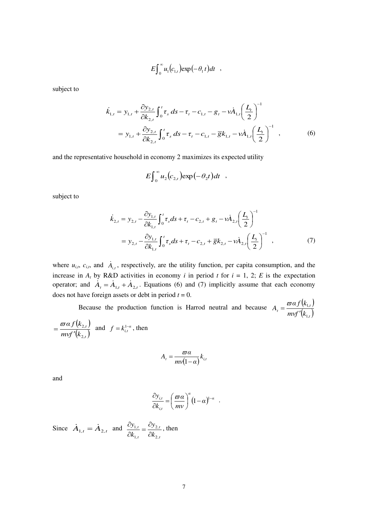$$
E\int_0^\infty u_1(c_{1,t})\exp(-\theta_1 t)dt ,
$$

subject to

$$
\dot{k}_{1,t} = y_{1,t} + \frac{\partial y_{2,t}}{\partial k_{2,t}} \int_0^t \tau_s \, ds - \tau_t - c_{1,t} - g_t - v \dot{A}_{1,t} \left(\frac{L_t}{2}\right)^{-1}
$$
\n
$$
= y_{1,t} + \frac{\partial y_{2,t}}{\partial k_{2,t}} \int_0^t \tau_s \, ds - \tau_t - c_{1,t} - \overline{g} k_{1,t} - v \dot{A}_{1,t} \left(\frac{L_t}{2}\right)^{-1} , \qquad (6)
$$

and the representative household in economy 2 maximizes its expected utility

$$
E\int_0^\infty u_2(c_{2,t})\exp(-\theta_2t)dt ,
$$

subject to

$$
\dot{k}_{2,t} = y_{2,t} - \frac{\partial y_{1,t}}{\partial k_{1,t}} \int_0^t \tau_s ds + \tau_t - c_{2,t} + g_t - v \dot{A}_{2,t} \left(\frac{L_t}{2}\right)^{-1}
$$
  
=  $y_{2,t} - \frac{\partial y_{1,t}}{\partial k_{1,t}} \int_0^t \tau_s ds + \tau_t - c_{2,t} + \overline{g} k_{2,t} - v \dot{A}_{2,t} \left(\frac{L_t}{2}\right)^{-1}$ , (7)

where  $u_{i,t}$ ,  $c_{i,t}$ , and  $\dot{A}_{i,t}$ , respectively, are the utility function, per capita consumption, and the increase in  $A_t$  by R&D activities in economy *i* in period *t* for  $i = 1, 2$ ; *E* is the expectation operator; and  $A_t = A_{1,t} + A_{2,t}$ . Equations (6) and (7) implicitly assume that each economy does not have foreign assets or debt in period  $t = 0$ .

Because the production function is Harrod neutral and because  $A_t = \frac{\varpi \alpha f(k_{1,t})}{\varpi (k_{1,t})}$  $\frac{(k_{1,t})}{(k_{1,t})}$ *t* =  $mvf'(k)$ *α kf A* ,1 ,1  $\overline{\phantom{a}}$  $=\frac{\varpi}{\ }$  $(k_{2,t})$  $\frac{(k_{2,t})}{(k_{2,t})}$ *mvf* "(k *α kf* ,2  $=\frac{\varpi \alpha f(k_{2,t})}{m v f'(k_{2,t})}$  and  $f = k_{i,t}^{1-\alpha}$ , then

$$
A_t = \frac{\varpi \alpha}{m v (1 - \alpha)} k_{i, t}
$$

and

,2

$$
\frac{\partial y_{i,t}}{\partial k_{i,t}} = \left(\frac{\varpi a}{mv}\right)^{\alpha} (1-\alpha)^{1-\alpha} .
$$

Since  $\dot{A}_{1,t} = \dot{A}_{2,t}$  and *,t ,t ,t ,t k y k y* 2 2 1 1  $\hat{o}$  $=\frac{\partial}{\partial t}$  $\partial$  $\frac{\partial y_{1,t}}{\partial t} = \frac{\partial y_{2,t}}{\partial t}$ , then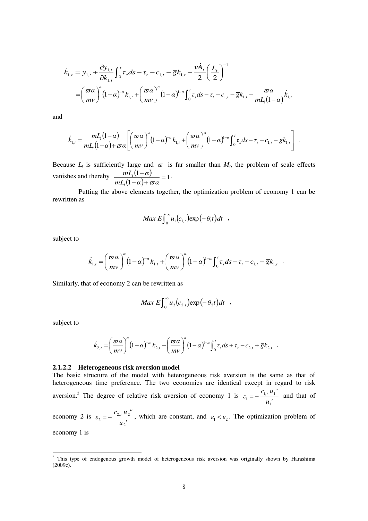$$
\dot{k}_{1,t} = y_{1,t} + \frac{\partial y_{1,t}}{\partial k_{1,t}} \int_0^t \tau_s ds - \tau_t - c_{1,t} - \overline{g} k_{1,t} - \frac{v \dot{A}_t}{2} \left(\frac{L_t}{2}\right)^{-1}
$$
\n
$$
= \left(\frac{\overline{\omega} \alpha}{m v}\right)^{\alpha} (1 - \alpha)^{-\alpha} k_{1,t} + \left(\frac{\overline{\omega} \alpha}{m v}\right)^{\alpha} (1 - \alpha)^{1 - \alpha} \int_0^t \tau_s ds - \tau_t - c_{1,t} - \overline{g} k_{1,t} - \frac{\overline{\omega} \alpha}{m L_t (1 - \alpha)} k_{1,t}
$$

and

$$
\dot{k}_{1,t} = \frac{mL_t(1-\alpha)}{mL_t(1-\alpha)+\varpi\alpha} \left[ \left(\frac{\varpi\alpha}{mv}\right)^{\alpha}(1-\alpha)^{-\alpha}k_{1,t} + \left(\frac{\varpi\alpha}{mv}\right)^{\alpha}(1-\alpha)^{1-\alpha}\int_0^t \tau_s ds - \tau_t - c_{1,t} - \overline{g}k_{1,t} \right].
$$

Because  $L_t$  is sufficiently large and  $\varpi$  is far smaller than  $M_t$ , the problem of scale effects vanishes and thereby  $\frac{mL_t(1-\alpha)}{L_t(1-\alpha)}$  $\frac{i2\pi (1-\alpha)}{(1-\alpha)+\varpi\alpha}=1$  $\frac{(1-\alpha)}{2}$  =  $-\alpha$ )+  $\overline{a}$  $mL_{t}(1-\alpha)+\varpi\alpha$  $mL_{\scriptscriptstyle \ell} (1-\alpha$ *t t*  $\frac{1}{\omega \alpha} = 1$ .

 Putting the above elements together, the optimization problem of economy 1 can be rewritten as

$$
Max E \int_0^\infty u_1(c_{1,t}) \exp(-\theta_1 t) dt ,
$$

subject to

$$
\dot{k}_{1,t} = \left(\frac{\varpi a}{m v}\right)^{\alpha} (1-\alpha)^{-\alpha} k_{1,t} + \left(\frac{\varpi a}{m v}\right)^{\alpha} (1-\alpha)^{1-\alpha} \int_0^t \tau_s ds - \tau_t - c_{1,t} - \overline{g} k_{1,t}.
$$

Similarly, that of economy 2 can be rewritten as

$$
Max E \int_0^\infty u_2(c_{2,t}) \exp(-\theta_2 t) dt ,
$$

subject to

$$
\dot{k}_{2,t} = \left(\frac{\varpi a}{m\nu}\right)^{\alpha} \left(1-\alpha\right)^{-\alpha} k_{2,t} - \left(\frac{\varpi a}{m\nu}\right)^{\alpha} \left(1-\alpha\right)^{1-\alpha} \int_0^t \tau_s ds + \tau_t - c_{2,t} + \overline{g}k_{2,t}.
$$

#### **2.1.2.2 Heterogeneous risk aversion model**

The basic structure of the model with heterogeneous risk aversion is the same as that of heterogeneous time preference. The two economies are identical except in regard to risk aversion.<sup>3</sup> The degree of relative risk aversion of economy 1 is  $u_1^{\prime}$  $c_{1,t} u_1''$  $\varepsilon_1 = -\frac{c_{1,i}}{i}$ 1  $\dot{r}_1 = -\frac{c_{1,t} a_1}{a_1 t}$  and that of

economy 2 is  $u_2$ <sup>'</sup>  $c_{2,t} u_2''$  $\varepsilon_{2} = -\frac{\varepsilon_{2,i}}{i}$ 2  $\epsilon_2 = -\frac{c_{2,t} a_2}{a_2 t}$ , which are constant, and  $\varepsilon_1 < \varepsilon_2$ . The optimization problem of

economy 1 is

-

<sup>&</sup>lt;sup>3</sup> This type of endogenous growth model of heterogeneous risk aversion was originally shown by Harashima (2009c).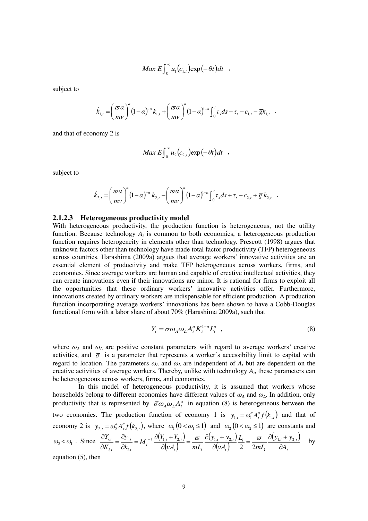$$
Max E \int_0^\infty u_1(c_{1,t}) \exp(-\theta t) dt ,
$$

subject to

$$
\dot{k}_{1,t} = \left(\frac{\varpi a}{mv}\right)^{\alpha} (1-\alpha)^{-\alpha} k_{1,t} + \left(\frac{\varpi a}{mv}\right)^{\alpha} (1-\alpha)^{1-\alpha} \int_0^t \tau_s ds - \tau_t - c_{1,t} - \overline{g} k_{1,t} ,
$$

and that of economy 2 is

$$
Max E \int_0^\infty u_2(c_{2,t}) \exp(-\theta t) dt ,
$$

subject to

$$
\dot{k}_{2,t} = \left(\frac{\varpi a}{m v}\right)^{\alpha} \left(1-\alpha\right)^{-\alpha} k_{2,t} - \left(\frac{\varpi a}{m v}\right)^{\alpha} \left(1-\alpha\right)^{1-\alpha} \int_0^t \tau_s ds + \tau_t - c_{2,t} + \overline{g} k_{2,t}.
$$

#### **2.1.2.3 Heterogeneous productivity model**

With heterogeneous productivity, the production function is heterogeneous, not the utility function. Because technology  $A_t$  is common to both economies, a heterogeneous production function requires heterogeneity in elements other than technology. Prescott (1998) argues that unknown factors other than technology have made total factor productivity (TFP) heterogeneous across countries. Harashima (2009a) argues that average workers' innovative activities are an essential element of productivity and make TFP heterogeneous across workers, firms, and economies. Since average workers are human and capable of creative intellectual activities, they can create innovations even if their innovations are minor. It is rational for firms to exploit all the opportunities that these ordinary workers' innovative activities offer. Furthermore, innovations created by ordinary workers are indispensable for efficient production. A production function incorporating average workers' innovations has been shown to have a Cobb-Douglas functional form with a labor share of about 70% (Harashima 2009a), such that

$$
Y_t = \overline{\sigma} \omega_A \omega_L A_t^{\alpha} K_t^{1-\alpha} L_t^{\alpha} \quad , \tag{8}
$$

where  $\omega_A$  and  $\omega_L$  are positive constant parameters with regard to average workers' creative activities, and  $\bar{\sigma}$  is a parameter that represents a worker's accessibility limit to capital with regard to location. The parameters  $\omega_A$  and  $\omega_L$  are independent of  $A_t$  but are dependent on the creative activities of average workers. Thereby, unlike with technology *A<sup>t</sup>* , these parameters can be heterogeneous across workers, firms, and economies.

 In this model of heterogeneous productivity, it is assumed that workers whose households belong to different economies have different values of  $\omega_A$  and  $\omega_L$ . In addition, only productivity that is represented by  $\overline{\sigma}\omega_A \omega_L A_t^{\alpha}$  in equation (8) is heterogeneous between the two economies. The production function of economy 1 is  $y_{1,t} = \omega_1^{\alpha} A_t^{\alpha} f(k_{1,t})$  and that of economy 2 is  $y_{2,t} = \omega_2^{\alpha} A_t^{\alpha} f(k_{2,t})$ , where  $\omega_1 (0 < \omega_1 \le 1)$  and  $\omega_2 (0 < \omega_2 \le 1)$  are constants and

$$
\omega_2 < \omega_1
$$
. Since  $\frac{\partial Y_{i,t}}{\partial K_{i,t}} = \frac{\partial y_{i,t}}{\partial k_{i,t}} = M_t^{-1} \frac{\partial (Y_{1,t} + Y_{2,t})}{\partial (vA_t)} = \frac{\omega}{mL_t} \frac{\partial (y_{1,t} + y_{2,t})}{\partial (vA_t)} \frac{L_t}{2} = \frac{\omega}{2mL_t} \frac{\partial (y_{1,t} + y_{2,t})}{\partial A_t}$  by

equation (5), then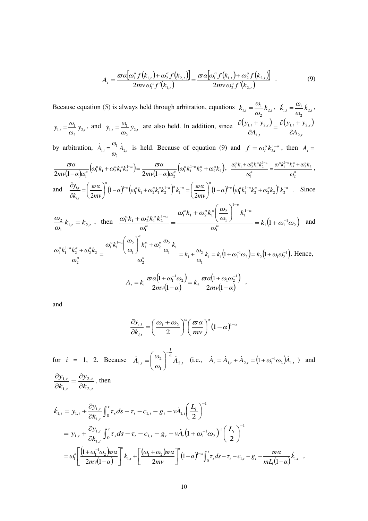$$
A_{t} = \frac{\varpi a \big[\omega_{1}^{\alpha} f(k_{1,t}) + \omega_{2}^{\alpha} f(k_{2,t})\big]}{2m v \omega_{1}^{\alpha} f'(k_{1,t})} = \frac{\varpi a \big[\omega_{1}^{\alpha} f(k_{1,t}) + \omega_{2}^{\alpha} f(k_{2,t})\big]}{2m v \omega_{2}^{\alpha} f'(k_{2,t})}.
$$
(9)

Because equation (5) is always held through arbitration, equations  $k_{1,t} = \frac{\omega_1}{\omega_1} k_{2,t}$ *ω*  $k_{1,t} = \frac{\omega_1}{\omega_1} k_{2,t}, \quad \dot{k}_{1,t} = \frac{\omega_1}{\omega_2} \dot{k}_{2,t}$ 2 *ω*  $\dot{k}_{1,t} = \frac{\omega_1}{\omega} \dot{k}_{2,t}$ , 2  $y_t = \frac{y_{t}}{x}$ *ω*  $y_{1,t} = \frac{\omega_1}{\omega_2} y_{2,t}$ 2  $y_{1,t} = \frac{\omega_1}{\omega_1} y_{2,t}$ , and  $\dot{y}_{1,t} = \frac{\omega_1}{\omega_1} \dot{y}_{2,t}$ *ω*  $\dot{y}_{1,t} = \frac{\omega_1}{\omega_2} \dot{y}_{2,t}$ 2  $\dot{y}_{1,t} = \frac{\omega_1}{\omega_2} \dot{y}_{2,t}$  are also held. In addition, since  $\frac{\partial (y_{1,t} + y_{2,t})}{\partial A} = \frac{\partial (y_{1,t} + y_{2,t})}{\partial A}$ *t*  $,t$ ,  $y_{2,t}$ *t*  $,t$   $\frac{1}{2}$ ,  $\frac{1}{2}$ ,  $t$ *A*  $y_{1,t} + y$ *A*  $y_{1,t} + y$ ,2  $1, t$   $2$ ,1  $1, t$   $2$  $\widehat{o}$  $=\frac{\partial (y_{1,t}+y_{1,t})}{\partial x_{1,t}}$  $\widehat{o}$  $\partial(y_{1,t} +$ by arbitration,  $\dot{A}_{1,t} = \frac{\omega_1}{\omega_2} \dot{A}_{2,t}$ 2  $A_{1,t} = \frac{\omega_1}{\omega_1} A_{2,t}$  is held. Because of equation (9) and  $f = \omega_i^{\alpha} k_{i,t}^{1-\alpha}$ , then  $A_t =$  $\frac{\varpi\alpha}{(1-\alpha)\omega_{1}^{a}}\big(\omega_{1}^{a}k_{1}+\omega_{2}^{a}k_{1}^{a}k_{2}^{1-a}\big)\!\!=\!\frac{\varpi\alpha}{2m\text{\scriptsize v}(1-\alpha)\omega_{2}^{a}}\big(\!\omega_{1}^{a}k_{1}^{1-a}k_{2}^{a}+\omega_{2}^{a}k_{2}\big),$ 2  $\frac{\omega\alpha}{2mv(1-\alpha)\omega_1^{\alpha}}\big(\omega_1^{\alpha}k_1+\omega_2^{\alpha}k_1^{\alpha}k_2^{1-\alpha}\big)=\frac{\alpha}{2mv(1-\alpha)}$  $\omega_1^{\alpha} k_1^{1-\alpha} k_2^{\alpha} + \omega_2^{\alpha} k$ *mν α ω*  $(\omega_1^a k_1 + \omega_2^a k_1^a k_2^{1-a}) = \frac{\varpi a}{2}$ *mν α ω*  $\alpha$   $(\omega^a k + \omega^a k^a k^{1-a}) = \omega^a \alpha$   $(\omega^a k^{1-a} k^a + \omega^a)$ *α*  $a_k + a_k a_k a_k$ <sup>1-α</sup>  $\frac{1}{\alpha} \big( \omega_1^{\alpha} k_1 + \omega_2^{\alpha} k_1^{\alpha} k_2^{1-\alpha} \big) = \frac{\omega \alpha}{2m \nu (1-\alpha) \omega^{\alpha}} \big( \omega_1^{\alpha} k_1^{1-\alpha} k_2^{\alpha} +$  $\overline{a}$  $+\omega_2^{\alpha}k_1^{\alpha}k_2^{1-\alpha}$  )= - $\frac{\partial}{\partial a}a^{\alpha}(\omega_1^a k_1 + \omega_2^a k_1^a k_2^{1-a}) = \frac{\partial}{\partial a^{\alpha}}a^{\alpha}(\omega_1^a k_1^{1-a} k_2^a + \omega_2^a k_2), \ \ \frac{\partial}{\partial a^{\alpha}}(k_1^a + \omega_2^a k_1 k_2^{1-a} + \omega_2^a k_1^a k_2^{1-a} + \omega_2^a k_1^a k_2^{1-a} + \omega_2^a k_1^a k_2^{1-a} + \omega_2^a k_1^a k_2^{1-a} + \omega_2^a k_1^a k_2^{1-a$ *α αα α α α αα α ω*  $\omega_1^{\mu} k_1^{1-\mu} k_2^{\mu} + \omega_2^{\mu} k$ *ω*  $\frac{\omega_1^a k_1 + \omega_2^a k_1^a k_2^{1-a}}{a} = \frac{\omega_1^a k_1^{1-a} k_2^a + \omega_2^a k_2}{a}$ 2 1 and  $\frac{\partial y_{i,t}}{\partial t} = \left(\frac{\varpi \alpha}{2}\right)^{\alpha} (1-\alpha)^{1-\alpha} \left(\omega_1^{\alpha} k_1 + \omega_2^{\alpha} k_1^{\alpha} k_2^{1-\alpha}\right)^{\alpha} k_1^{-\alpha} = \left(\frac{\varpi \alpha}{2}\right)^{\alpha} (1-\alpha)^{1-\alpha} \left(\omega_1^{\alpha} k_1^{1-\alpha} k_2^{\alpha} + \omega_2^{\alpha} k_2\right)^{\alpha} k_2^{-\alpha}$ *ti*  $\frac{dx}{dt} = \frac{d}{dt} \frac{\partial^2 u}{\partial x^2} + (1 - \alpha)^{1-\alpha} (\omega_1^a k_1 + \omega_2^a k_1^a k_2^{1-\alpha})^{\mu} k_1^{-\alpha} = \frac{d}{dt} \frac{\partial^2 u}{\partial x^2} + (1 - \alpha)^{1-\alpha} (\omega_1^a k_1^{1-\alpha} k_2^{\alpha} + \omega_2^a k_2)^{\mu} k_1^{-\alpha} k_2^{-\alpha}$ *mν*  $\alpha$ <sup>*u*</sup> *a*  $\left(\omega_1^a k_1 + \omega_2^a k_1^a k_2^{1-a}\right)^a k_1^{-a} = \left(\frac{\varpi a}{2}\right)^a$ *mν α k*  $\frac{y_{i,t}}{J} = \left(\frac{\varpi a}{2}\right)^{a} (1-\alpha)^{1-\alpha} \left(\omega_1^a k_1 + \omega_2^a k_1^a k_2^{1-\alpha}\right)^{\alpha} k_1^{-\alpha} = \left(\frac{\varpi a}{2}\right)^{a} (1-\alpha)^{1-\alpha} \left(\omega_1^a k_1^{1-\alpha} k_2^a + \omega_2^a k_2\right)^{\alpha} k_2^{-\alpha}$ J  $\left(\frac{\varpi a}{2}\right)$  $\setminus$  $\int_{0}^{\infty} (1-\alpha)^{1-\alpha} \Big( \omega_1^{\alpha} k_1 + \omega_2^{\alpha} k_1^{\alpha} k_2^{1-\alpha} \Big)^{\alpha} k_1^{-\alpha} = \Big($ J  $\left(\frac{\varpi a}{2}\right)$  $\setminus$  $=$  $($  $\partial$ д  $b_1^{\alpha}k_1^{1-\alpha}k_2^{\alpha} + \omega_2^{\alpha}k_2^{\alpha}k_2^{\alpha}k_2$ 1  $b_1^{\alpha}k_1 + \omega_2^{\alpha}k_1^{\alpha}k_2^{1-\alpha}$   $\mu^{\alpha}k_1$  $\frac{d}{dt} = \frac{d}{dt} \frac{\partial^2 u}{\partial t^2} + (1 - a)^{1 - a} \Big( \omega_1^a k_1 + \omega_2^a k_1^a k_2^{1 - a} \Big)^{\mu} k_1^{-a} = \frac{d}{dt} \frac{\partial^2 u}{\partial t^2} + (1 - a)^{1 - a} \Big)$ , 2  $\mathfrak{p}$ 2  $\frac{\varpi a}{\zeta} \left(1-\alpha\right)^{1-\alpha} \left(\omega_1^{\alpha}k_1+\omega_2^{\alpha}k_1^{\alpha}k_2^{1-\alpha}\right)^{\alpha} k_1^{-\alpha} = \left(\frac{\varpi a}{\zeta}\right) \left(1-\alpha\right)^{1-\alpha} \left(\omega_1^{\alpha}k_1^{1-\alpha}k_2^{\alpha}+\omega_2^{\alpha}k_2^{1-\alpha}k_2^{\alpha}k_1^{1-\alpha}k_2^{1-\alpha}k_2^{1-\alpha}k_2^{1-\alpha}k_2^{1-\alpha}k_2^{1-\alpha}k_2^{1-\alpha}k_2^{1-\alpha}k_2^{1$  $k_{1,t} = k_{2,t}$ *ω ω*  $n_{1,t} - n_{2,t}$ 1  $\frac{2}{2}k_{1,t} = k_{2,t}$ , then  $\frac{\omega_1^{a}k_1 + \omega_2^{a}k_1^{a}k_2^{1-a}}{\omega_1^{a}} = \frac{(2\omega_1^{a})}{\omega_1^{a}} = k_1(1+\omega_1^{-1}\omega_2)$  $\overline{1}$ 1 1 1  $\overline{1}$  $b_1^{\alpha} k_1 + \omega_2^{\alpha} k_1^{\alpha} \frac{\omega_2}{\omega_1}$  $\overline{1}$  $\frac{a_1^a k_1 + \omega_2^a k_1^a k_2^{1-a}}{a} = \frac{\omega_1^a \omega_1^a + \omega_2^a \omega_1^b}{a} = k_1 (1 + \omega_1^{-1} \omega_2^b)$ *ω k ω*  $\omega_1^{\alpha} k_1 + \omega_2^{\alpha} k_1^{\alpha} \bigg( \frac{\omega_1^{\alpha}}{2} \bigg)$ *ω*  $\omega_1^{\alpha} k_1 + \omega_2^{\alpha} k_1^{\alpha} k$ *α α α*  $a_L$   $a_R$ <sup> $a_R$ </sup> *α*  $a_1^{\alpha} k_1 + \omega_2^{\alpha} k_1^{\alpha} k_2^{1-\alpha}$  –  $a_1^{\alpha_1 + \alpha_2 + \alpha_1}$  ( $\omega_1$ )  $a_1^{\alpha_1}$ ÷ ÷  $\frac{1}{n} = \frac{1}{n} = \frac{1}{n} \left( \frac{\omega_1}{\omega_1} \right)^{n} = k_1 (1 +$  $\overline{\phantom{a}}$  $\overline{\phantom{a}}$  $\bigg)$  $\overline{\phantom{a}}$  $\overline{\mathcal{L}}$  $+\omega_2^{\alpha}k_1^{\alpha}$  $\frac{1 + \omega_2^{\alpha} k_1^{\alpha} k_2^{\alpha} k_2^{\alpha}}{a} = \frac{1 - \omega_2^{\alpha} k_1^{\alpha} k_1^{\alpha} k_2^{\alpha} k_1^{\alpha} k_2^{\alpha}}{a} = k_1 (1 + \omega_1^{\alpha} \omega_2)$  and  $I_1 = k_1 (1 + \omega_1^{-1} \omega_2) = k_2 (1 + \omega_1 \omega_2^{-1}).$ 1  $\frac{2}{1} + \frac{22}{1}$ 2 1 1  $a_1^{\alpha} + \omega_2^{\alpha} \frac{\omega_2}{\omega_2}$ 1  $b_1^{\alpha} k_1^{1-\alpha} \Big| \frac{\omega_2}{\omega}$ 2  $\frac{1}{2}k_1^{2} - k_2^{2} + \omega_2^{2}k_2 = \frac{1}{2} - \frac{1}{2} \left( \omega_1 \right)^{2} - \frac{1}{2} \omega_2^{2} - \frac{1}{2} \omega_1^{2} = k_1 + \frac{\omega_2}{2} k_1 = k_1 \left( 1 + \omega_1^{-1} \omega_2 \right) = k_2 \left( 1 + \omega_1 \omega_2 \right)$ ÷  $\frac{1}{2}e^{-\alpha}k_2^{\alpha} + \omega_2^{\alpha}k_2 = \frac{1}{2}e^{-\alpha_1^{\alpha_1}+1}(\omega_1)^{-\alpha_1^{\alpha_1}+1}(\omega_2)^{-\alpha_2}(\omega_1)^{-1} = k_1 + \frac{\omega_2}{2}k_1 = k_1(1+\omega_1^{-1}\omega_2) = k_2(1+\omega_1^{-1}\omega_2)^{-\alpha_2}$  $k_1^{\alpha}$  +  $\frac{1}{2}$  $\setminus$  $\overline{\phantom{a}}$  $\overline{\mathcal{L}}$ ſ  $+\omega_2^{\alpha} k_2$  =  $\frac{1}{\alpha}$   $\frac{1}{\alpha}$   $\frac{1}{\alpha}$   $\frac{1}{\alpha}$   $\omega_1$   $\frac{1}{\alpha}$  =  $k_1 + \frac{\omega_2}{\alpha} k_1 = k_1 (1 + \omega_1^{-1} \omega_2) = k_2 (1 + \omega_1 \omega_1)$ *ω*  $k_1 + \frac{\omega}{\omega}$ *ω k ω*  $k_1^{\alpha} + \omega_2^{\alpha} \stackrel{\omega}{-}$ *ω*  $\omega_1^{\alpha} k_1^{1-\alpha} \Big| \frac{\omega}{\omega}$ *ω*  $\omega_1^{\alpha} k_1^{1-\alpha} k_2^{\alpha} + \omega_2^{\alpha} k$ *α α α α α α α*  $\frac{a_1^a k_1^{1-a} k_2^a + \omega_2^a k_2}{a} = \frac{a_1^a k_1^a (a_1 + a_2^a) \omega_1^{a_1 + a_2^a} \omega_1^{a_1}}{a} = k_1 + \frac{\omega_2}{a} k_1 = k_1 (1 + \omega_1^{-1} \omega_2) = k_2 (1 + \omega_1 \omega_2^{-1})$ . Hence,

$$
A_t = k_1 \frac{\varpi \alpha (1 + \omega_1^{-1} \omega_2)}{2m \nu (1 - \alpha)} = k_2 \frac{\varpi \alpha (1 + \omega_1 \omega_2^{-1})}{2m \nu (1 - \alpha)} ,
$$

and

*,t*

2

*,t*

1

$$
\frac{\partial y_{i,t}}{\partial k_{i,t}} = \left(\frac{\omega_1 + \omega_2}{2}\right)^{\alpha} \left(\frac{\varpi \alpha}{m v}\right)^{\alpha} (1 - \alpha)^{1 - \alpha}
$$

for *i* = 1, 2. Because  $A_{1,t} = \frac{\omega_2}{\omega_1} A_{2,t}$  $a_t = \left(\frac{\omega_2}{\omega_1}\right)^a \dot{A}$  $\dot{A}_{1,t} = \left(\frac{\omega_2}{\omega_1}\right)^{\alpha} \dot{A}_{2,t}$ 1 1  $\dot{A}_{1,t} = \left[\frac{\omega_2}{\omega_1}\right]^{\omega} A$ - $\overline{\phantom{a}}$  $\bigg)$  $\left( \right)$  $\overline{\phantom{a}}$  $\overline{\mathcal{L}}$  $=\left(\frac{\omega_2}{\omega_1}\right)^{-\alpha} \dot{A}_{2,t}$  (i.e.,  $\dot{A}_t = \dot{A}_{1,t} + \dot{A}_{2,t} = \left(1 + \omega_1^{-1} \omega_2\right) \dot{A}_{1,t}$ ) and *,t ,t k y k y* 2 1  $\overline{\partial}$  $=\frac{\partial}{\partial t}$  $\overline{\partial}$  $\frac{\partial y_{1,t}}{\partial t} = \frac{\partial y_{2,t}}{\partial t}$ , then

$$
\dot{k}_{1,t} = y_{1,t} + \frac{\partial y_{1,t}}{\partial k_{1,t}} \int_0^t \tau_s ds - \tau_t - c_{1,t} - g_t - v \dot{A}_{1,t} \left(\frac{L_t}{2}\right)^{-1}
$$
\n
$$
= y_{1,t} + \frac{\partial y_{1,t}}{\partial k_{1,t}} \int_0^t \tau_s ds - \tau_t - c_{1,t} - g_t - v \dot{A}_t \left(1 + \omega_1^{-1} \omega_2\right)^{-1} \left(\frac{L_t}{2}\right)^{-1}
$$
\n
$$
= \omega_1^{\alpha} \left[ \frac{\left(1 + \omega_1^{-1} \omega_2\right) \pi \alpha}{2m v} \right]^{\alpha} k_{1,t} + \left[ \frac{\left(\omega_1 + \omega_2\right) \pi \alpha}{2m v} \right]^{\alpha} \left(1 - \alpha\right)^{1 - \alpha} \int_0^t \tau_s ds - \tau_t - c_{1,t} - g_t - \frac{\pi \alpha}{m L_t (1 - \alpha)} k_{1,t} ,
$$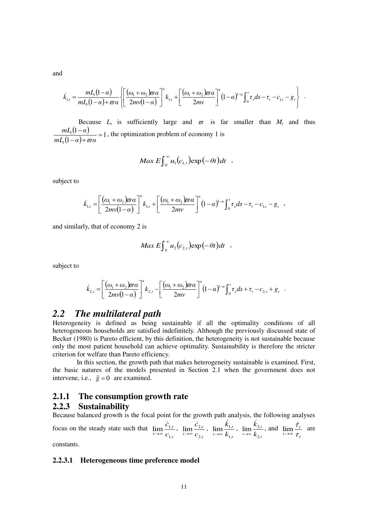and

$$
\dot{k}_{1,t} = \frac{mL_t(1-\alpha)}{mL_t(1-\alpha)+\varpi\alpha} \left\{ \left[ \frac{(\omega_1+\omega_2)\varpi\alpha}{2m\upsilon(1-\alpha)} \right]^{\alpha} k_{1,t} + \left[ \frac{(\omega_1+\omega_2)\varpi\alpha}{2m\upsilon} \right]^{\alpha} (1-\alpha)^{1-\alpha} \int_0^t \tau_s ds - \tau_t - c_{1,t} - g_t \right\}.
$$

Because  $L_t$  is sufficiently large and  $\sigma$  is far smaller than  $M_t$  and thus  $(1-\alpha)$  $\frac{12\pi}{(1-\alpha)+\varpi\alpha}=1$  $\frac{(1-\alpha)}{2}$  =  $-\alpha$ )+  $\overline{a}$  $mL_{t}(1-\alpha)+\varpi\alpha$  $mL_{t}$ (1 –  $\alpha$ *t t*  $\frac{f}{\sigma \alpha}$  = 1, the optimization problem of economy 1 is

$$
Max E \int_0^\infty u_1(c_{1,t}) \exp(-\theta t) dt ,
$$

subject to

$$
\dot{k}_{1,t} = \left[ \frac{(\omega_1 + \omega_2)\varpi\alpha}{2m\sqrt{1-\alpha}} \right]^{a} k_{1,t} + \left[ \frac{(\omega_1 + \omega_2)\varpi\alpha}{2m\sqrt{1-\alpha}} \right]^{a} (1-\alpha)^{1-\alpha} \int_0^t \tau_s ds - \tau_t - c_{1,t} - g_t ,
$$

and similarly, that of economy 2 is

$$
Max E \int_0^\infty u_2(c_{2,t}) \exp(-\theta t) dt ,
$$

subject to

$$
\dot{k}_{2,t} = \left[ \frac{(\omega_1 + \omega_2)\varpi\alpha}{2mv(1-\alpha)} \right]^{\alpha} k_{2,t} - \left[ \frac{(\omega_1 + \omega_2)\varpi\alpha}{2mv} \right]^{\alpha} (1-\alpha)^{1-\alpha} \int_0^t \tau_s ds + \tau_t - c_{2,t} + g_t.
$$

## *2.2 The multilateral path*

Heterogeneity is defined as being sustainable if all the optimality conditions of all heterogeneous households are satisfied indefinitely. Although the previously discussed state of Becker (1980) is Pareto efficient, by this definition, the heterogeneity is not sustainable because only the most patient household can achieve optimality. Sustainability is therefore the stricter criterion for welfare than Pareto efficiency.

 In this section, the growth path that makes heterogeneity sustainable is examined. First, the basic natures of the models presented in Section 2.1 when the government does not intervene, i.e.,  $\overline{g} = 0$  are examined.

#### **2.1.1 The consumption growth rate**

## **2.2.3 Sustainability**

Because balanced growth is the focal point for the growth path analysis, the following analyses

focus on the steady state such that *t t*  $\lim_{t\to\infty}$  *c c* ,1  $\lim_{n \to \infty} \frac{c_1}{n}$  $\dot{c}$  $\lim_{t\to\infty}\frac{C_{1,t}}{C_{1,t}}$ , *t t*  $\lim_{t\to\infty}$  *c c* ,2  $\lim_{x \to 0} \frac{\mathcal{L}_{2x}}{x}$ ċ  $\lim_{x\to\infty} \frac{c_{2,t}}{c_2},$ *t t*  $lim_{t\to\infty}$   $k$ *k* ,1  $\lim_{t \to 0} \frac{\lambda_{1}}{t}$ .<br>k  $\lim_{t\to\infty}\frac{\kappa_{1,t}}{k}$ , *t t*  $\overline{t\rightarrow\infty}$   $k$ *k* ,2  $\lim_{x \to 0} \frac{\lambda_{2x}}{x}$ i.<br>k  $\lim_{k \to \infty} \frac{k_{2,t}}{k_0}$ , and *t t*  $t \rightarrow \infty$   $\tau$  $\dot{\tau}$  $\lim_{t\to\infty}\frac{t_t}{\tau}$  are

constants.

#### **2.2.3.1 Heterogeneous time preference model**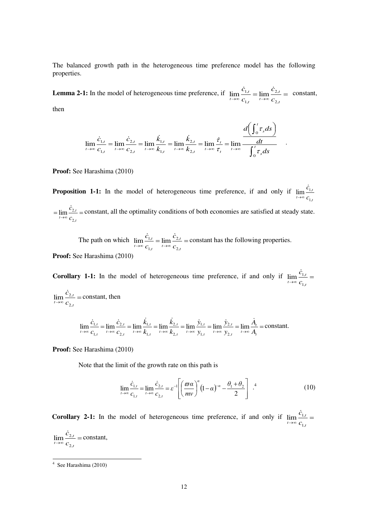The balanced growth path in the heterogeneous time preference model has the following properties.

**Lemma 2-1:** In the model of heterogeneous time preference, if  $\lim_{t \to \infty} \frac{c_{1,t}}{c_{1,t}} = \lim_{t \to \infty} \frac{c_{2,t}}{c_{2,t}} =$ *t t t t*  $\sum_{t\to\infty}$   $c_{1,t}$   $\sum_{t\to\infty}$   $\sum_{c}$ *c c c* ,2 ,2 ,1  $\lim_{t\to 0} \frac{c_{1,t}}{t} = \lim_{t\to 0}$  $\dot{c}_{1,t} = \lim \frac{\dot{c}_{2,t}}{\dot{c}_{2,t}} = \text{ constant},$ 

then

$$
\lim_{t \to \infty} \frac{\dot{c}_{1,t}}{c_{1,t}} = \lim_{t \to \infty} \frac{\dot{c}_{2,t}}{c_{2,t}} = \lim_{t \to \infty} \frac{\dot{k}_{1,t}}{k_{1,t}} = \lim_{t \to \infty} \frac{\dot{k}_{2,t}}{k_{2,t}} = \lim_{t \to \infty} \frac{\dot{\tau}_t}{\tau_t} = \lim_{t \to \infty} \frac{\frac{d}{dt} \left( \int_0^t \tau_s ds \right)}{\int_0^t \tau_s ds} \quad .
$$

**Proof:** See Harashima (2010)

**Proposition 1-1:** In the model of heterogeneous time preference, if and only if *t t*  $t \rightarrow \infty$  *C c* ,1  $\lim_{n \to \infty} \frac{\mathcal{L}_{1n}}{n}$  $\dot{c}$  $\rightarrow \infty$ 

 $=\lim_{t\to\infty}\frac{c_{2,t}}{c_{2,t}}=$ *t*  $t \rightarrow \infty$  *C c* ,2  $\lim_{n \to \infty} \frac{\dot{c}_{2,t}}{n}$  = constant, all the optimality conditions of both economies are satisfied at steady state.

The path on which  $\lim_{t \to \infty} \frac{c_{1,t}}{c_{1,t}} = \lim_{t \to \infty} \frac{c_{2,t}}{c_{2,t}} =$ *t t t t*  $\overline{c}$   $c$ <sub>1,*t*</sub>  $\overline{c}$   $\overline{c}$   $\overline{c}$ *c c c* ,2 ,2 ,1  $\lim_{t \to 0} \frac{C_{1,t}}{t} = \lim$  $\frac{\dot{c}_{1,t}}{\dot{c}_{2,t}}$  =  $\lim \frac{\dot{c}_{2,t}}{\dot{c}_2}$  = constant has the following properties.

**Proof:** See Harashima (2010)

**Corollary 1-1:** In the model of heterogeneous time preference, if and only if  $\lim_{t\to\infty} \frac{c_{1,t}}{c_{1,t}} =$ *t*  $\overline{t\rightarrow\infty}$  *c c* ,1  $\lim_{n \to \infty} \frac{\mathcal{C}_1}{n}$  $\dot{c}$ *c*

 $\lim_{t\to\infty}\frac{c_{2,t}}{c_{2,t}}=$ *t*  $\lim_{t\to\infty}$  *c* ,2  $\lim_{n \to \infty} \frac{\dot{c}_{2,t}}{2}$  = constant, then

$$
\lim_{t \to \infty} \frac{\dot{c}_{1,t}}{c_{1,t}} = \lim_{t \to \infty} \frac{\dot{c}_{2,t}}{c_{2,t}} = \lim_{t \to \infty} \frac{\dot{k}_{1,t}}{k_{1,t}} = \lim_{t \to \infty} \frac{\dot{k}_{2,t}}{k_{2,t}} = \lim_{t \to \infty} \frac{\dot{y}_{1,t}}{y_{1,t}} = \lim_{t \to \infty} \frac{\dot{y}_{2,t}}{y_{2,t}} = \lim_{t \to \infty} \frac{\dot{A}_t}{A_t} = \text{constant}.
$$

**Proof:** See Harashima (2010)

Note that the limit of the growth rate on this path is

$$
\lim_{t \to \infty} \frac{\dot{c}_{1,t}}{c_{1,t}} = \lim_{t \to \infty} \frac{\dot{c}_{2,t}}{c_{2,t}} = \varepsilon^{-1} \left[ \left( \frac{\varpi \alpha}{mv} \right)^{\alpha} \left( 1 - \alpha \right)^{-\alpha} - \frac{\theta_1 + \theta_2}{2} \right] .
$$
 (10)

**Corollary 2-1:** In the model of heterogeneous time preference, if and only if  $\lim_{t\to\infty} \frac{c_{1,t}}{c_{1,t}} =$ *t*  $\lim_{t\to\infty}$  *c c* ,1  $\lim_{n \to \infty} \frac{\mathcal{C}_{1n}}{n}$  $\dot{c}$ 

 $\lim_{t\to\infty}\frac{c_{2,t}}{c_{2,t}}=$ *t*  $\lim_{t\to\infty}$  *c c* ,2  $\lim \frac{\dot{c}_{2,t}}{2}$  = constant,

 4 See Harashima (2010)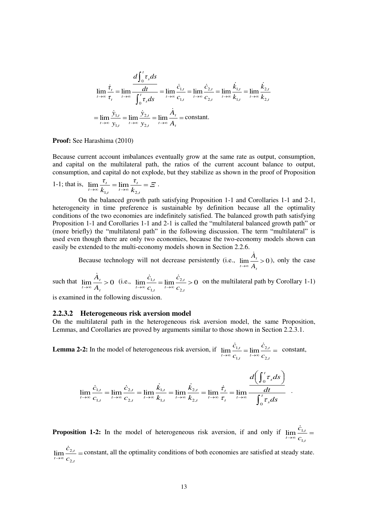$$
\lim_{t \to \infty} \frac{\dot{\tau}_t}{\tau_t} = \lim_{t \to \infty} \frac{\frac{d\int_0^t \tau_s ds}{\frac{dt}{\int_0^t \tau_s ds}}} = \lim_{t \to \infty} \frac{\dot{c}_{1,t}}{c_{1,t}} = \lim_{t \to \infty} \frac{\dot{c}_{2,t}}{c_{2,t}} = \lim_{t \to \infty} \frac{\dot{k}_{1,t}}{k_{1,t}} = \lim_{t \to \infty} \frac{\dot{k}_{2,t}}{k_{2,t}}
$$

$$
= \lim_{t \to \infty} \frac{\dot{y}_{1,t}}{y_{1,t}} = \lim_{t \to \infty} \frac{\dot{y}_{2,t}}{y_{2,t}} = \lim_{t \to \infty} \frac{\dot{A}_t}{A_t} = \text{constant}.
$$

**Proof:** See Harashima (2010)

Because current account imbalances eventually grow at the same rate as output, consumption, and capital on the multilateral path, the ratios of the current account balance to output, consumption, and capital do not explode, but they stabilize as shown in the proof of Proposition

1-1; that is, 
$$
\lim_{t \to \infty} \frac{\tau_t}{k_{1,t}} = \lim_{t \to \infty} \frac{\tau_t}{k_{2,t}} = \Xi
$$
.

 On the balanced growth path satisfying Proposition 1-1 and Corollaries 1-1 and 2-1, heterogeneity in time preference is sustainable by definition because all the optimality conditions of the two economies are indefinitely satisfied. The balanced growth path satisfying Proposition 1-1 and Corollaries 1-1 and 2-1 is called the "multilateral balanced growth path" or (more briefly) the "multilateral path" in the following discussion. The term "multilateral" is used even though there are only two economies, because the two-economy models shown can easily be extended to the multi-economy models shown in Section 2.2.6.

Because technology will not decrease persistently (i.e.,  $\lim_{t\to\infty}\frac{A}{A}>0$ *t t*  $\overline{t} \rightarrow \infty$  *A*  $\frac{\dot{A}_t}{\dot{B}} > 0$ , only the case

such that  $\lim_{t \to \infty} \frac{A_t}{A_t} > 0$ *t*  $\lim_{t\to\infty}$  A *A* (i.e.,  $\lim_{t \to \infty} \frac{C_{1,t}}{t} = \lim_{t \to \infty} \frac{C_{2,t}}{t} > 0$ ,2 ,2 ,1  $\lim_{t \to \infty} \frac{c_{1,t}}{c_{1,t}} = \lim_{t \to \infty} \frac{c_{2,t}}{c_{2,t}} >$ *t t t t*  $\sum_{t\to\infty}$   $c_{1,t}$   $\sum_{t\to\infty}$   $\sum_{c}$ *c c*  $\frac{\dot{c}_{1,t}}{ }$  =  $\lim \frac{\dot{c}_{2,t}}{ } > 0$  on the multilateral path by Corollary 1-1)

is examined in the following discussion.

#### **2.2.3.2 Heterogeneous risk aversion model**

On the multilateral path in the heterogeneous risk aversion model, the same Proposition, Lemmas, and Corollaries are proved by arguments similar to those shown in Section 2.2.3.1.

**Lemma 2-2:** In the model of heterogeneous risk aversion, if  $\lim_{t \to \infty} \frac{c_{1,t}}{c_{1,t}} = \lim_{t \to \infty} \frac{c_{2,t}}{c_{2,t}} =$ *t t t t*  $\sum_{t\to\infty}$   $c_{1,t}$   $\sum_{t\to\infty}$   $\sum_{t\infty}$ *c c c* ,2 ,2 ,1  $\lim \frac{C_{1,t}}{1} = \lim$  $\dot{c}_{1,t} = \lim \frac{\dot{c}_{2,t}}{\dot{c}_{2,t}} = \text{ constant},$ 

$$
\lim_{t \to \infty} \frac{\dot{c}_{1,t}}{c_{1,t}} = \lim_{t \to \infty} \frac{\dot{c}_{2,t}}{c_{2,t}} = \lim_{t \to \infty} \frac{\dot{k}_{1,t}}{k_{1,t}} = \lim_{t \to \infty} \frac{\dot{k}_{2,t}}{k_{2,t}} = \lim_{t \to \infty} \frac{\dot{\tau}_t}{\tau_t} = \lim_{t \to \infty} \frac{\frac{d}{dt} \left( \int_0^t \tau_s ds \right)}{\int_0^t \tau_s ds}.
$$

**Proposition 1-2:** In the model of heterogeneous risk aversion, if and only if  $\lim_{t \to \infty} \frac{c_{1,t}}{c_{1,t}} =$ *t*  $\lim_{t\to\infty}$  *c c* ,1  $\lim_{n \to \infty} \frac{c_1}{n}$  $\dot{c}$ 

 $\lim_{t\to\infty}\frac{c_{2,t}}{c_{2,t}}=$ *t*  $\lim_{t\to\infty}$  *c c* ,2  $\lim_{x \to 0} \frac{c_2}{c_1}$  $\dot{c}_{2,t}$  = constant, all the optimality conditions of both economies are satisfied at steady state.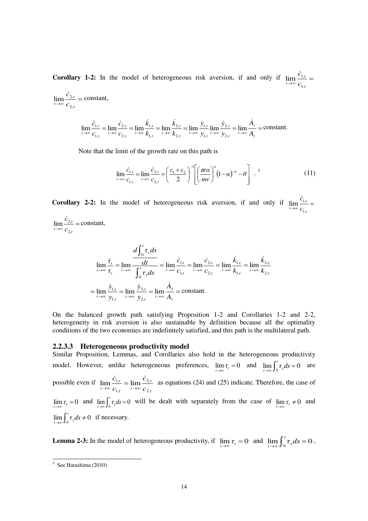**Corollary 1-2:** In the model of heterogeneous risk aversion, if and only if  $\lim_{t \to \infty} \frac{c_{1,t}}{c_{1,t}} =$ *t*  $\lim_{t\to\infty}$  *c c* ,1  $\lim_{n\to\infty} \frac{\mathcal{L}_{1,n}}{n}$  $\dot{c}$ 

 $\lim_{t\to\infty}\frac{c_{2,t}}{c_{2,t}}=$ *t*  $\lim_{t\to\infty}$  *c c* ,2  $\lim_{n\to\infty} \frac{\mathfrak{c}_2}{n}$  $\frac{\dot{c}_{2,t}}{c}$  = constant,

$$
\lim_{t \to \infty} \frac{\dot{c}_{1,t}}{c_{1,t}} = \lim_{t \to \infty} \frac{\dot{c}_{2,t}}{c_{2,t}} = \lim_{t \to \infty} \frac{\dot{k}_{1,t}}{k_{1,t}} = \lim_{t \to \infty} \frac{\dot{k}_{2,t}}{k_{2,t}} = \lim_{t \to \infty} \frac{\dot{y}_{1,t}}{y_{1,t}} \lim_{t \to \infty} \frac{\dot{y}_{2,t}}{y_{2,t}} = \lim_{t \to \infty} \frac{\dot{A}_t}{A_t} = \text{constant}.
$$

Note that the limit of the growth rate on this path is

$$
\lim_{t \to \infty} \frac{\dot{c}_{1,t}}{c_{1,t}} = \lim_{t \to \infty} \frac{\dot{c}_{2,t}}{c_{2,t}} = \left(\frac{\varepsilon_1 + \varepsilon_2}{2}\right)^{-1} \left[\left(\frac{\varpi \alpha}{mv}\right)^{\alpha} (1 - \alpha)^{-\alpha} - \theta\right] .
$$
 (11)

**Corollary 2-2:** In the model of heterogeneous risk aversion, if and only if  $\lim_{t\to\infty} \frac{c_{1,t}}{c_{1,t}} =$ *t*  $t \rightarrow \infty$  *C c* ,1  $\lim_{n \to \infty} \frac{\mathcal{L}_{1,n}}{n}$ ċ

 $\lim_{t\to\infty}\frac{c_{2,t}}{c_{2,t}}=$ *t*  $t \rightarrow \infty$  *C c* ,2  $\lim \frac{\dot{c}_{2,t}}{2}$  = constant,

$$
\lim_{t \to \infty} \frac{\dot{\tau}_t}{\tau_t} = \lim_{t \to \infty} \frac{\frac{d\int_0^t \tau_s ds}{\frac{dt}{\int_0^t \tau_s ds}} = \lim_{t \to \infty} \frac{\dot{c}_{1,t}}{c_{1,t}} = \lim_{t \to \infty} \frac{\dot{c}_{2,t}}{c_{2,t}} = \lim_{t \to \infty} \frac{\dot{k}_{1,t}}{k_{1,t}} = \lim_{t \to \infty} \frac{\dot{k}_{2,t}}{k_{2,t}}
$$
\n
$$
= \lim_{t \to \infty} \frac{\dot{y}_{1,t}}{y_{1,t}} = \lim_{t \to \infty} \frac{\dot{y}_{2,t}}{y_{2,t}} = \lim_{t \to \infty} \frac{\dot{A}_t}{A_t} = \text{constant}.
$$

On the balanced growth path satisfying Proposition 1-2 and Corollaries 1-2 and 2-2, heterogeneity in risk aversion is also sustainable by definition because all the optimality conditions of the two economies are indefinitely satisfied, and this path is the multilateral path.

#### **2.2.3.3 Heterogeneous productivity model**

Similar Proposition, Lemmas, and Corollaries also hold in the heterogeneous productivity model. However, unlike heterogeneous preferences,  $\lim_{t \to \infty} \tau_t = 0$  and  $\lim_{t \to \infty} \int_0^t \tau_s ds = 0$  $\lim_{t\to\infty} \int_0^t \tau_s ds = 0$  are possible even if *t t t t t*  $\lim_{t\to\infty}$   $\lim_{t\to\infty}$   $\lim_{t\to\infty}$   $\lim_{t\to\infty}$ *c c c* ,2 ,2 ,1  $\lim_{t \to 0} \frac{C_{1,t}}{t} = \lim$  $\dot{c}_{1,t}$   $\dot{c}$  $\lim_{t \to \infty} \frac{c_{1,t}}{c_{1,t}} = \lim_{t \to \infty} \frac{c_{2,t}}{c_0}$  as equations (24) and (25) indicate. Therefore, the case of  $\lim_{t \to \infty} \tau_t = 0$  and  $\lim_{t \to \infty} \int_0^t \tau_s ds = 0$  $\lim_{t\to\infty} \int_0^t \tau_s ds = 0$  will be dealt with separately from the case of  $\lim_{t\to\infty} \tau_t \neq 0$  and  $\lim_{t\to\infty}\int_0^t \tau_s ds \neq 0$  $\lim_{t\to\infty} \int_0^t \tau_s ds \neq 0$  if necessary.

**Lemma 2-3:** In the model of heterogeneous productivity, if  $\lim_{t\to\infty} \tau_t = 0$  and  $\lim_{t\to\infty} \int_0^t \tau_s ds = 0$  $\lim_{t\to\infty}\int_0^t\tau_sds=0,$ 

 5 See Harashima (2010)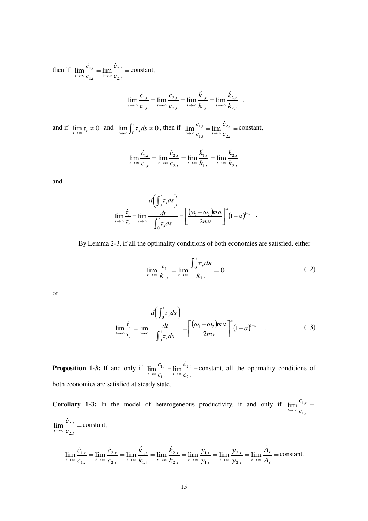then if  $\lim_{t \to \infty} \frac{c_{1,t}}{c_{1,t}} = \lim_{t \to \infty} \frac{c_{2,t}}{c_{2,t}} =$ *t t t t*  $t \rightarrow \infty$   $c_{1,t}$   $t \rightarrow \infty$   $c$ *c c c* ,2 ,2 ,1  $\lim_{t \to 0} \frac{C_{1,t}}{t} = \lim$  $\dot{c}_{1,t} = \lim \frac{\dot{c}_{2,t}}{\dot{c}_{2,t}} = \text{constant},$ 

$$
\lim_{t \to \infty} \frac{\dot{c}_{1,t}}{c_{1,t}} = \lim_{t \to \infty} \frac{\dot{c}_{2,t}}{c_{2,t}} = \lim_{t \to \infty} \frac{\dot{k}_{1,t}}{k_{1,t}} = \lim_{t \to \infty} \frac{\dot{k}_{2,t}}{k_{2,t}} ,
$$

and if  $\lim_{t \to \infty} \tau_t \neq 0$  and  $\lim_{t \to \infty} \int_0^t \tau_s ds \neq 0$  $\lim_{t\to\infty} \int_0^t \tau_s ds \neq 0$ , then if  $\lim_{t\to\infty} \frac{C_{1,t}}{C_{1,t}} = \lim_{t\to\infty} \frac{C_{2,t}}{C_{2,t}} =$ *t t t t*  $t \rightarrow \infty$   $c_{1,t}$   $t \rightarrow \infty$   $c$ *c c c* ,2 ,2 ,1  $\lim \frac{\dot{c}_{1,t}}{1} = \lim \frac{\dot{c}_{2,t}}{1} = \text{constant},$ 

$$
\lim_{t \to \infty} \frac{\dot{c}_{1,t}}{c_{1,t}} = \lim_{t \to \infty} \frac{\dot{c}_{2,t}}{c_{2,t}} = \lim_{t \to \infty} \frac{\dot{k}_{1,t}}{k_{1,t}} = \lim_{t \to \infty} \frac{\dot{k}_{2,t}}{k_{2,t}}
$$

and

$$
\lim_{t \to \infty} \frac{\dot{\tau}_t}{\tau_t} = \lim_{t \to \infty} \frac{\frac{d\left(\int_0^t \tau_s ds\right)}{dt}}{\int_0^t \tau_s ds} = \left[\frac{(\omega_1 + \omega_2)\varpi \alpha}{2mv}\right]^\alpha (1-\alpha)^{1-\alpha}.
$$

By Lemma 2-3, if all the optimality conditions of both economies are satisfied, either

$$
\lim_{t \to \infty} \frac{\tau_t}{k_{1,t}} = \lim_{t \to \infty} \frac{\int_0^t \tau_s ds}{k_{1,t}} = 0
$$
\n(12)

or

$$
\lim_{t \to \infty} \frac{\dot{\tau}_t}{\tau_t} = \lim_{t \to \infty} \frac{d\left(\int_0^t \tau_s ds\right)}{\int_0^t \tau_s ds} = \left[\frac{(\omega_1 + \omega_2)\varpi \alpha}{2mv}\right]^\alpha (1 - \alpha)^{1-\alpha} \quad . \tag{13}
$$

**Proposition 1-3:** If and only if  $\lim_{t \to \infty} \frac{c_{1,t}}{c_{1,t}} = \lim_{t \to \infty} \frac{c_{2,t}}{c_{2,t}} =$ *t t t t*  $t \rightarrow \infty$   $c_{1,t}$   $t \rightarrow \infty$   $c$ *c c c* ,2 ,2 ,1  $\lim \frac{\dot{c}_{1,t}}{ } = \lim \frac{\dot{c}_{2,t}}{ } =$  constant, all the optimality conditions of both economies are satisfied at steady state.

**Corollary 1-3:** In the model of heterogeneous productivity, if and only if  $\lim_{t\to\infty} \frac{c_{1,t}}{c_{1,t}} =$ *t*  $\lim_{t\to\infty}$  *c c* ,1  $\lim_{n \to \infty} \frac{\mathcal{C}_1}{n}$  $\dot{c}$  $\lim_{t\to\infty}\frac{c_{2,t}}{c_{2,t}}=$ *t*  $\lim_{t\to\infty}$  *c c* ,2  $\lim \frac{\dot{c}_{2,t}}{2}$  = constant,

$$
\lim_{t \to \infty} \frac{\dot{c}_{1,t}}{c_{1,t}} = \lim_{t \to \infty} \frac{\dot{c}_{2,t}}{c_{2,t}} = \lim_{t \to \infty} \frac{\dot{k}_{1,t}}{k_{1,t}} = \lim_{t \to \infty} \frac{\dot{k}_{2,t}}{k_{2,t}} = \lim_{t \to \infty} \frac{\dot{y}_{1,t}}{y_{1,t}} = \lim_{t \to \infty} \frac{\dot{y}_{2,t}}{y_{2,t}} = \lim_{t \to \infty} \frac{\dot{A}_t}{A_t} = \text{constant}.
$$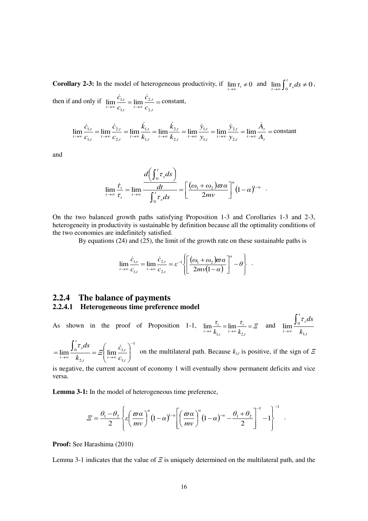**Corollary 2-3:** In the model of heterogeneous productivity, if  $\lim_{t\to\infty} \tau_t \neq 0$  and  $\lim_{t\to\infty} \int_0^t \tau_s ds \neq 0$  $\lim_{t\to\infty}\int_0^{\tau_s}ds\neq0,$ then if and only if  $\lim_{t \to \infty} \frac{c_{1,t}}{c_{1,t}} = \lim_{t \to \infty} \frac{c_{2,t}}{c_{2,t}} =$ *t t t t*  $t \rightarrow \infty$   $c_{1,t}$   $t \rightarrow \infty$   $c$ *c c c* ,2 ,2 ,1  $\lim_{t \to \infty} \frac{C_{1,t}}{t} = \lim_{t \to \infty}$  $\dot{c}_{1,t} = \lim \frac{\dot{c}_{2,t}}{\dot{c}_{2,t}} = \text{constant},$ 

$$
\lim_{t \to \infty} \frac{\dot{c}_{1,t}}{c_{1,t}} = \lim_{t \to \infty} \frac{\dot{c}_{2,t}}{c_{2,t}} = \lim_{t \to \infty} \frac{\dot{k}_{1,t}}{k_{1,t}} = \lim_{t \to \infty} \frac{\dot{k}_{2,t}}{k_{2,t}} = \lim_{t \to \infty} \frac{\dot{y}_{1,t}}{y_{1,t}} = \lim_{t \to \infty} \frac{\dot{y}_{2,t}}{y_{2,t}} = \lim_{t \to \infty} \frac{\dot{A}_t}{A_t} = \text{constant}
$$

and

$$
\lim_{t\to\infty}\frac{\dot{\tau}_t}{\tau_t} = \lim_{t\to\infty}\frac{d\left(\int_0^t \tau_s ds\right)}{\int_0^t \tau_s ds} = \left[\frac{(\omega_1 + \omega_2)\varpi\alpha}{2mv}\right]^\alpha\left(1-\alpha\right)^{1-\alpha}.
$$

On the two balanced growth paths satisfying Proposition 1-3 and Corollaries 1-3 and 2-3, heterogeneity in productivity is sustainable by definition because all the optimality conditions of the two economies are indefinitely satisfied.

By equations (24) and (25), the limit of the growth rate on these sustainable paths is

$$
\lim_{t\to\infty}\frac{\dot{c}_{1,t}}{c_{1,t}}=\lim_{t\to\infty}\frac{\dot{c}_{2,t}}{c_{2,t}}=\varepsilon^{-1}\left\{\left[\frac{(\omega_1+\omega_2)\varpi\alpha}{2mv(1-\alpha)}\right]^\alpha-\theta\right\}\ .
$$

## **2.2.4 The balance of payments 2.2.4.1 Heterogeneous time preference model**

As shown in the proof of Proposition 1-1,  $\lim_{t \to \infty} \frac{t}{t} = \lim_{t \to \infty} \frac{t}{t} = \frac{\varepsilon}{2}$ *k τ k τ t t t t t*  $\lim_{t\to\infty}\frac{v_t}{k_{1,t}}=\lim_{t\to\infty}\frac{v_t}{k_{2,t}}=$  $\lim_{t \to \infty} \frac{v_t}{t} = \lim_{t \to \infty} \frac{v_t}{t} = \mathcal{Z}$  and *t t s*  $\overline{t\rightarrow\infty}$  *k ds* ,1  $\lim_{n \to \infty} \frac{\int_0^n}{\ln n}$  $\rightarrow \infty$ τ

1 ,1 ,1 ,2  $\lim_{\epsilon \to 0} \frac{\log 1}{\epsilon} = \epsilon$  lim - $\lim_{t\to\infty} \frac{J_0^{-s}}{k} = \mathbb{E}\left[\lim_{t\to\infty} \frac{c_{1,t}}{c}\right]$  $\bigg)$  $\backslash$  $\overline{\phantom{a}}$  $\setminus$ ſ  $=\lim \frac{\int_0^t \tau_s ds}{\tau_s}$ *t t t*  $\left\{ \begin{array}{c} t \\ t \end{array} \right.$ *t s*  $\overline{t} \rightarrow \infty$   $k_{2,t}$   $\overline{t} \rightarrow \infty$  *c c Ξ k*  $\frac{\tau_s ds}{\tau_s} = \mathcal{E} \left( \lim \frac{\dot{c}_{1,t}}{\tau_s} \right)^{-1}$  on the multilateral path. Because  $k_{i,t}$  is positive, if the sign of *Ξ* 

is negative, the current account of economy 1 will eventually show permanent deficits and vice versa.

**Lemma 3-1:** In the model of heterogeneous time preference,

$$
\varXi = \frac{\theta_1 - \theta_2}{2} \left\{ \varepsilon \left( \frac{\varpi \alpha}{m v} \right)^{\alpha} (1 - \alpha)^{1 - \alpha} \left[ \left( \frac{\varpi \alpha}{m v} \right)^{\alpha} (1 - \alpha)^{-\alpha} - \frac{\theta_1 + \theta_2}{2} \right]^{-1} - 1 \right\}^{-1}.
$$

**Proof:** See Harashima (2010)

Lemma 3-1 indicates that the value of *Ξ* is uniquely determined on the multilateral path, and the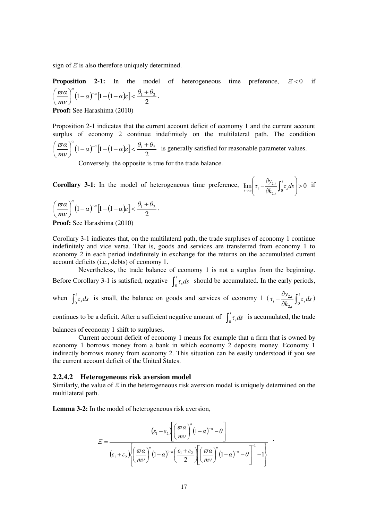sign of *Ξ* is also therefore uniquely determined.

**Proposition 2-1:** In the model of heterogeneous time preference, 
$$
\mathcal{Z} < 0
$$
 if  $\left(\frac{\varpi a}{mv}\right)^{\alpha} (1-\alpha)^{-\alpha} [1-(1-\alpha)\varepsilon] < \frac{\theta_1+\theta_2}{2}$ .

**Proof:** See Harashima (2010)

Proposition 2-1 indicates that the current account deficit of economy 1 and the current account surplus of economy 2 continue indefinitely on the multilateral path. The condition  $(1-\alpha)^{-\alpha} [1-(1-\alpha)\varepsilon]$ 2  $(1-\alpha)^{-\alpha} \left[1-(1-\alpha)\varepsilon\right] < \frac{\theta_1+\theta_2}{2}$ *mν*  $\left(\frac{\alpha}{2}\right)^{\alpha}(1-\alpha)^{-\alpha}\left[1-(1-\alpha)\varepsilon\right]<\frac{\theta_1+\alpha}{2}$ J  $\left(\frac{\varpi a}{\cdot}\right)$  $\setminus$  $\left(\frac{\varpi a}{a}\right)^{a}(1-a)^{-a}[1-(1-a)\varepsilon]<\frac{\theta_1+\theta_2}{a}$  is generally satisfied for reasonable parameter values.

Conversely, the opposite is true for the trade balance.

**Corollary 3-1:** In the model of heterogeneous time preference,  $\lim_{t\to\infty} \left[ \tau_t - \frac{\sigma_{y_2,t}}{\partial k_{2,t}} \right] \sigma_y ds > 0$  $\int_0^2 \tau_s ds$  > J  $\overline{\phantom{a}}$  $\parallel$  $\overline{\phantom{0}}$ ſ  $\partial$  $\lim_{t \to \infty} \left( \tau_t - \frac{\partial y_{2,t}}{\partial k} \int_0^t \tau_s ds \right)$ *k*  $\tau_{t} - \frac{\partial y_{2,t}}{\partial t} \int_{0}^{t}$ *s t t*  $\lim_{t\to\infty}$   $\tau_t - \frac{\partial^2 \mathcal{I}_{2,t}}{\partial k_0} \int_0^t \tau_s ds > 0$  if

$$
\left(\frac{\varpi\alpha}{mv}\right)^{\alpha}\left(1-\alpha\right)^{-\alpha}\left[1-(1-\alpha)\varepsilon\right]<\frac{\theta_{1}+\theta_{2}}{2}.
$$

**Proof:** See Harashima (2010)

Corollary 3-1 indicates that, on the multilateral path, the trade surpluses of economy 1 continue indefinitely and vice versa. That is, goods and services are transferred from economy 1 to economy 2 in each period indefinitely in exchange for the returns on the accumulated current account deficits (i.e., debts) of economy 1.

 Nevertheless, the trade balance of economy 1 is not a surplus from the beginning. Before Corollary 3-1 is satisfied, negative  $\int_0^t \tau_s ds$  should be accumulated. In the early periods, when  $\int_0^t \tau_s ds$  is small, the balance on goods and services of economy 1 ( $\tau_t = \frac{\sigma y_{2,t}}{\partial k} \int_0^t \tau_s ds$ *k*  $\tau_{t} - \frac{\partial y_{2,t}}{\partial t} \int_{0}^{t}$  $\tau_t - \frac{\omega_{y_{2,t}}}{\partial k_{z,t}} \int_0^t \tau_s$ *t*  $-\frac{\partial y_{2,t}}{\partial k_a}\int_0^b$ ,2  $\frac{2,t}{\tau_s}$   $\int_0^t \tau_s ds$ )

continues to be a deficit. After a sufficient negative amount of  $\int_0^t \tau_s ds$  is accumulated, the trade balances of economy 1 shift to surpluses.

 Current account deficit of economy 1 means for example that a firm that is owned by economy 1 borrows money from a bank in which economy 2 deposits money. Economy 1 indirectly borrows money from economy 2. This situation can be easily understood if you see the current account deficit of the United States.

#### **2.2.4.2 Heterogeneous risk aversion model**

Similarly, the value of *Ξ* in the heterogeneous risk aversion model is uniquely determined on the multilateral path.

**Lemma 3-2:** In the model of heterogeneous risk aversion,

$$
\varXi = \frac{(\varepsilon_1 - \varepsilon_2) \left[ \left( \frac{\varpi \alpha}{mv} \right)^{\alpha} (1 - \alpha)^{-\alpha} - \theta \right]}{(\varepsilon_1 + \varepsilon_2) \left[ \left( \frac{\varpi \alpha}{mv} \right)^{\alpha} (1 - \alpha)^{1 - \alpha} \left( \frac{\varepsilon_1 + \varepsilon_2}{2} \right) \left[ \left( \frac{\varpi \alpha}{mv} \right)^{\alpha} (1 - \alpha)^{-\alpha} - \theta \right]^{-1} - 1 \right]}.
$$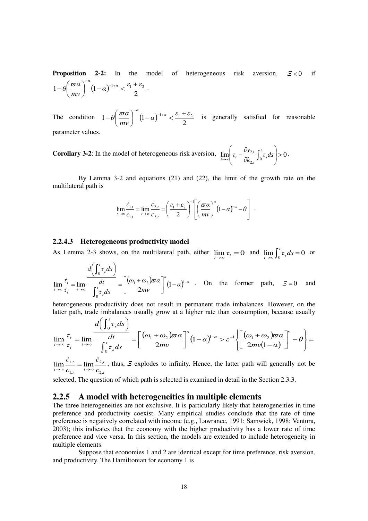**Proposition 2-2:** In the model of heterogeneous risk aversion,  $\mathbf{F} < 0$  if  $(1-\alpha)$ 2  $1-\theta\left(\frac{\varpi\alpha}{\alpha}\right)^{-\alpha}\left(1-\alpha\right)^{-1+\alpha}<\frac{\varepsilon_1+\varepsilon_2}{2}$ *mν*  $\theta \left( \frac{\varpi a}{a}\right)^{-a} (1-a)^{-1+a} < \frac{\varepsilon_1 + \varepsilon_2}{a}$  $\bigg)$  $\left(\frac{\varpi a}{\cdot}\right)$  $\setminus$  $-\theta\left(\frac{\varpi\alpha}{\alpha}\right)^{-\alpha}\left(1-\alpha\right)^{-1+\alpha} < \frac{\varepsilon_1+\varepsilon_2}{\alpha}.$ 

The condition  $1-\theta \frac{\omega \alpha}{\omega} | (1-\alpha)^2$ 2  $1-\theta\left(\frac{\varpi\alpha}{2}\right)^{-\alpha}\left(1-\alpha\right)^{-1+\alpha}<\frac{\varepsilon_1+\varepsilon_2}{2}$ *mν*  $\theta \left( \frac{\varpi a}{a}\right)^{-a} (1-a)^{-1+a} < \frac{\varepsilon_1 + \varepsilon_2}{a}$  $\bigg)$  $\left(\frac{\varpi a}{\cdot}\right)$  $\setminus$  $-\theta \left(\frac{\varpi a}{\omega}\right)^{-\alpha} (1-\alpha)^{-1+\alpha} < \frac{\varepsilon_1+\varepsilon_2}{\alpha}$  is generally satisfied for reasonable parameter values.

**Corollary 3-2:** In the model of heterogeneous risk aversion,  $\lim_{t\to\infty} \left[ \tau_t - \frac{\sigma_{2,2,t}}{\partial k_{2,t}} \int_0^t \tau_s ds \right] > 0$  $\left|\int_0^1 \tau_s ds\right| >$  $\overline{\phantom{a}}$  $\left( \frac{1}{2} \right)$  $\parallel$  $\overline{\phantom{a}}$ ſ  $\hat{o}$  $\lim_{t \to \infty} \left( \tau_t - \frac{\partial y_{2,t}}{\partial k_0} \int_0^t \tau_s ds \right)$ *k*  $\tau_{t} - \frac{\partial y_{2,t}}{\partial t} \int_{0}^{t}$ *s t*  $\lim_{t\to\infty}\left|\tau_t-\frac{\partial\mathcal{I}_{2,t}}{\partial k_0}\int_0^t\tau_sds\right|>0.$ 

 By Lemma 3-2 and equations (21) and (22), the limit of the growth rate on the multilateral path is

$$
\lim_{t\to\infty}\frac{\dot{c}_{1,t}}{c_{1,t}}=\lim_{t\to\infty}\frac{\dot{c}_{2,t}}{c_{2,t}}=\left(\frac{\varepsilon_1+\varepsilon_2}{2}\right)^{-1}\left[\left(\frac{\varpi\alpha}{mv}\right)^{\alpha}\left(1-\alpha\right)^{-\alpha}-\theta\right].
$$

#### **2.2.4.3 Heterogeneous productivity model**

As Lemma 2-3 shows, on the multilateral path, either  $\lim_{t\to\infty} \tau_t = 0$  and  $\lim_{t\to\infty} \int_0^t \tau_s ds = 0$  $\lim_{t\to\infty} \int_0^t \tau_s ds = 0$  or

$$
\lim_{t \to \infty} \frac{\dot{\tau}_t}{\tau_t} = \lim_{t \to \infty} \frac{d\left(\int_0^t \tau_s ds\right)}{\int_0^t \tau_s ds} = \left[\frac{(\omega_1 + \omega_2)\varpi \alpha}{2mv}\right]^\alpha (1 - \alpha)^{1-\alpha} \quad \text{On the former path,} \quad \Xi = 0 \quad \text{and}
$$

heterogeneous productivity does not result in permanent trade imbalances. However, on the latter path, trade imbalances usually grow at a higher rate than consumption, because usually

$$
\lim_{t \to \infty} \frac{\dot{\tau}_t}{\tau_t} = \lim_{t \to \infty} \frac{d\left(\int_0^t \tau_s ds\right)}{\int_0^t \tau_s ds} = \left[\frac{(\omega_1 + \omega_2)\varpi \alpha}{2mv}\right]^\alpha (1-\alpha)^{1-\alpha} > \varepsilon^{-1} \left\{\left[\frac{(\omega_1 + \omega_2)\varpi \alpha}{2mv(1-\alpha)}\right]^\alpha - \theta\right\} =
$$

*t t t t t*  $\lim_{t\to\infty}$   $c_{1,t}$   $\lim_{t\to\infty}$  *c c c c* ,2 ,2 ,1  $\lim_{t \to \infty} \frac{C_{1,t}}{t} = \lim$  $\dot{c}_{1,t}$   $\dot{c}$  $\lim_{t \to \infty} \frac{c_{1,t}}{c_1} = \lim_{t \to \infty} \frac{c_{2,t}}{c_2}$ ; thus,  $\Xi$  explodes to infinity. Hence, the latter path will generally not be

selected. The question of which path is selected is examined in detail in the Section 2.3.3.

#### **2.2.5 A model with heterogeneities in multiple elements**

The three heterogeneities are not exclusive. It is particularly likely that heterogeneities in time preference and productivity coexist. Many empirical studies conclude that the rate of time preference is negatively correlated with income (e.g., Lawrance, 1991; Samwick, 1998; Ventura, 2003); this indicates that the economy with the higher productivity has a lower rate of time preference and vice versa. In this section, the models are extended to include heterogeneity in multiple elements.

 Suppose that economies 1 and 2 are identical except for time preference, risk aversion, and productivity. The Hamiltonian for economy 1 is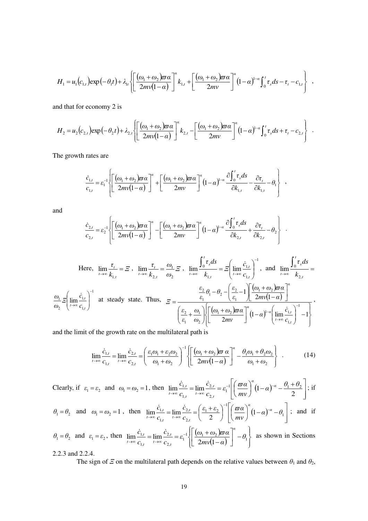$$
H_1 = u_1(c_{1,t}) \exp\left(-\theta_1 t\right) + \lambda_{1t} \left\{ \left[ \frac{(\omega_1 + \omega_2)\varpi\alpha}{2m\sqrt{1-\alpha}} \right]^{\alpha} k_{1,t} + \left[ \frac{(\omega_1 + \omega_2)\varpi\alpha}{2m\sqrt{1-\alpha}} \right]^{\alpha} \left(1-\alpha\right)^{1-\alpha} \int_0^t \tau_s ds - \tau_t - c_{1,t} \right\} ,
$$

and that for economy 2 is

$$
H_2 = u_2(c_{2,t}) \exp\left(-\theta_2 t\right) + \lambda_{2,t} \left\{ \left[ \frac{(\omega_1 + \omega_2)\varpi\alpha}{2m\sqrt{1-\alpha}} \right]^{\alpha} k_{2,t} - \left[ \frac{(\omega_1 + \omega_2)\varpi\alpha}{2m\sqrt{1-\alpha}} \right]^{\alpha} (1-\alpha)^{1-\alpha} \int_0^t \tau_s ds + \tau_t - c_{2,t} \right\} .
$$

The growth rates are

$$
\frac{\dot{c}_{1,t}}{c_{1,t}} = \varepsilon_1^{-1} \left\{ \left[ \frac{(\omega_1 + \omega_2)\varpi\alpha}{2mv(1-\alpha)} \right]^{\alpha} + \left[ \frac{(\omega_1 + \omega_2)\varpi\alpha}{2mv} \right]^{\alpha} (1-\alpha)^{1-\alpha} \frac{\partial \int_0^t \tau_s ds}{\partial k_{1,t}} - \frac{\partial \tau_t}{\partial k_{1,t}} - \theta_1 \right\} ,
$$

and

$$
\frac{\dot{c}_{2,t}}{c_{2,t}} = \varepsilon_2^{-1} \left\{ \left[ \frac{(\omega_1 + \omega_2)\varpi a}{2mv(1-\alpha)} \right]^\alpha - \left[ \frac{(\omega_1 + \omega_2)\varpi a}{2mv} \right]^\alpha (1-\alpha)^{1-\alpha} \frac{\partial \int_0^t \tau_s ds}{\partial k_{2,t}} + \frac{\partial \tau_t}{\partial k_{2,t}} - \theta_2 \right\} .
$$

Here, 
$$
\lim_{t \to \infty} \frac{\tau_t}{k_{1,t}} = \Xi
$$
,  $\lim_{t \to \infty} \frac{\tau_t}{k_{2,t}} = \frac{\omega_1}{\omega_2} \Xi$ ,  $\lim_{t \to \infty} \frac{\int_0^t \tau_s ds}{k_{1,t}} = \Xi \left( \lim_{t \to \infty} \frac{\dot{c}_{1,t}}{c_{1,t}} \right)^{-1}$ , and  $\lim_{t \to \infty} \frac{\int_0^t \tau_s ds}{k_{2,t}} = \frac{\frac{\epsilon_2}{\epsilon_1} \theta_1 - \theta_2 - \left( \frac{\epsilon_2}{\epsilon_1} - 1 \right) \left[ \frac{(\omega_1 + \omega_2) \overline{\omega} \alpha}{2m \sqrt{1 - \alpha}} \right]^{\alpha}}{\frac{\epsilon_2}{\epsilon_1} + \frac{\omega_1}{\omega_2} \Biggl\{ \left[ \frac{(\omega_1 + \omega_2) \overline{\omega} \alpha}{2m \sqrt{1 - \alpha}} \right]^{\alpha}} \left[ \frac{\left( \frac{\epsilon_2}{\epsilon_1} + \frac{\omega_1}{\omega_2} \right) \left[ \left[ \frac{(\omega_1 + \omega_2) \overline{\omega} \alpha}{2m \sqrt{1 - \alpha}} \right]^{\alpha}}{\left( 1 - \alpha \right)^{1 - \alpha} \left( \lim_{t \to \infty} \frac{\dot{c}_{1,t}}{c_{1,t}} \right)^{-1} - 1 \Biggr\} \Biggr\}$ ,

and the limit of the growth rate on the multilateral path is

$$
\lim_{t \to \infty} \frac{\dot{c}_{1,t}}{c_{1,t}} = \lim_{t \to \infty} \frac{\dot{c}_{2,t}}{c_{2,t}} = \left( \frac{\varepsilon_1 \omega_1 + \varepsilon_2 \omega_2}{\omega_1 + \omega_2} \right)^{-1} \left\{ \left[ \frac{(\omega_1 + \omega_2) \varpi \alpha}{2m \nu (1 - \alpha)} \right]^\alpha - \frac{\theta_1 \omega_1 + \theta_2 \omega_2}{\omega_1 + \omega_2} \right\} \quad . \tag{14}
$$

Clearly, if 
$$
\varepsilon_1 = \varepsilon_2
$$
 and  $\omega_1 = \omega_2 = 1$ , then  $\lim_{t \to \infty} \frac{\dot{c}_{1,t}}{c_{1,t}} = \lim_{t \to \infty} \frac{\dot{c}_{2,t}}{c_{2,t}} = \varepsilon_1^{-1} \left[ \left( \frac{\varpi \alpha}{mv} \right)^{\alpha} (1 - \alpha)^{-\alpha} - \frac{\theta_1 + \theta_2}{2} \right]$ ; if  
\n $\theta_1 = \theta_2$  and  $\omega_1 = \omega_2 = 1$ , then  $\lim_{t \to \infty} \frac{\dot{c}_{1,t}}{c_{1,t}} = \lim_{t \to \infty} \frac{\dot{c}_{2,t}}{c_{2,t}} = \left( \frac{\varepsilon_1 + \varepsilon_2}{2} \right)^{-1} \left[ \left( \frac{\varpi \alpha}{mv} \right)^{\alpha} (1 - \alpha)^{-\alpha} - \theta_1 \right]$ ; and if

$$
\theta_1 = \theta_2 \text{ and } \varepsilon_1 = \varepsilon_2 \text{, then } \lim_{t \to \infty} \frac{\dot{c}_{1,t}}{c_{1,t}} = \lim_{t \to \infty} \frac{\dot{c}_{2,t}}{c_{2,t}} = \varepsilon_1^{-1} \left\{ \left[ \frac{(\omega_1 + \omega_2)\varpi\alpha}{2m\upsilon(1-\alpha)} \right]^\alpha - \theta_1 \right\} \text{ as shown in Sections}
$$

2.2.3 and 2.2.4.

The sign of *Ξ* on the multilateral path depends on the relative values between  $\theta_1$  and  $\theta_2$ ,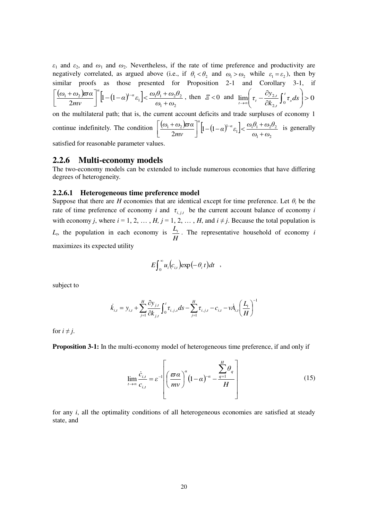*ε*1 and *ε*2, and *ω*1 and *ω*2. Nevertheless, if the rate of time preference and productivity are negatively correlated, as argued above (i.e., if  $\theta_1 < \theta_2$  and  $\omega_1 > \omega_2$  while  $\varepsilon_1 = \varepsilon_2$ ), then by similar proofs as those presented for Proposition 2-1 and Corollary 3-1, if  $\frac{(\omega_1+\omega_2)\varpi\alpha}{2\pi i}\bigg|^{\alpha}\bigg[1-(1-\alpha)^{1-\alpha}\varepsilon_1\bigg].$  $v_1 \cdot w_2$  $\left| 1 - (1 - \alpha)^{1 - \alpha} \varepsilon_1 \right| < \frac{\omega_1 \omega_1 + \omega_2 \omega_2}{\omega_1 \omega_1 + \omega_2 \omega_2}$  $2mv$  <sup>1</sup>  $\omega_1 + \omega$  $\left[\alpha\right]^{1-\alpha}\varepsilon_1\left] < \frac{\omega_1\theta_1+\omega_2\theta_1}{2}$ *mν*  $(\omega_1 + \omega_2) \varpi \alpha \Big]^\alpha \Big[ \begin{matrix} 1 & 0 \end{matrix} \Big]^{1-\alpha}$  $+$  $\int_{0}^{\alpha} \left[1-(1-\alpha)^{1-\alpha} \varepsilon_1\right] < \frac{\omega_1\theta_1+\omega_2}{\omega_1+\alpha}$  $\overline{\phantom{a}}$ L  $\left[\frac{(\omega_1 + \omega_2)\varpi\alpha}{2mv}\right]^{u} \left[1 - (1 - \alpha)^{1-\alpha}\varepsilon_1\right] < \frac{\omega_1\theta_1 + \omega_2\theta_2}{\omega_1 + \omega_2}$ , then  $\mathcal{Z} < 0$  and  $\lim_{t \to \infty} \left(\tau_t - \frac{\partial y_{2,t}}{\partial k_{2,t}}\int_0^t \tau_s ds\right) > 0$  $\int_{0}^{2t} \int_{0}^{t} \tau_{s} ds$  >  $\bigg)$  $\backslash$  $\overline{\phantom{a}}$  $\overline{\mathcal{L}}$ ſ  $\hat{c}$  $\lim_{t \to \infty} \left( \tau_t - \frac{\partial y_{2,t}}{\partial k_2} \int_0^t \tau_s ds \right)$ *k*  $\tau_{t} - \frac{\partial y_{2,t}}{\partial t} \int_{0}^{t}$ *s t t*  $\lim_{t\to\infty}$   $\left| \begin{array}{c} t \\ t \end{array} \right|$ on the multilateral path; that is, the current account deficits and trade surpluses of economy 1 continue indefinitely. The condition  $\left[\frac{(\omega_1 + \omega_2)\varpi a}{2m}\right]^{a} \left[1-(1-\alpha)^{1-a}\varepsilon_1\right]$  $\left| \left[ 1 - (1 - \alpha)^{1 - \alpha} \varepsilon_1 \right] \right| < \frac{\omega_1 \omega_1 + \omega_2 \omega_2}{\omega_1 \omega_1 + \omega_2 \omega_2}$  $\left[\alpha\right]^{1-a}\varepsilon_{1}\left] < \frac{\omega_{1}\theta_{1}+\omega_{2}\theta_{2}}{a}$  $(\omega_1 + \omega_2)\varpi\alpha$ <sup>n</sup><sub>1</sub>  $(1-\alpha)^{1-\alpha}$  $\int_{0}^{\alpha} \left[1-(1-\alpha)^{1-\alpha}\varepsilon_{1}\right] < \frac{\omega_{1}\theta_{1} + \omega_{2}}{\omega_{1} + \omega_{2}}$  $\overline{\phantom{a}}$  $\overline{\phantom{a}}$  $\left|\frac{(\omega_1+\omega_2)\varpi\alpha}{2}\right|^{\alpha}\left|1-(1-\alpha)^{1-\alpha}\varepsilon_1\right|<\frac{\omega_1\theta_1+\omega_2\theta_2}{2}$  is generally

satisfied for reasonable parameter values.

### **2.2.6 Multi-economy models**

The two-economy models can be extended to include numerous economies that have differing degrees of heterogeneity.

*mν*

 $1 + \omega_2$ 

 $^{+}$ 

 $2mv$  <sup>1</sup>  $\omega_1 + \omega$ 

#### **2.2.6.1 Heterogeneous time preference model**

Suppose that there are *H* economies that are identical except for time preference. Let  $\theta_i$  be the rate of time preference of economy *i* and  $\tau_{i,j,t}$  be the current account balance of economy *i* with economy *j*, where  $i = 1, 2, ..., H$ ,  $j = 1, 2, ..., H$ , and  $i \neq j$ . Because the total population is *Lt* , the population in each economy is *H*  $\frac{L_t}{L}$ . The representative household of economy *i* maximizes its expected utility

$$
E\int_0^\infty u_i(c_{i,t})\exp(-\theta_i t)dt ,
$$

subject to

$$
\dot{k}_{i,t} = y_{i,t} + \sum_{j=1}^{H} \frac{\partial y_{j,t}}{\partial k_{j,t}} \int_0^t \tau_{i,j,s} ds - \sum_{j=1}^{H} \tau_{i,j,t} - c_{i,t} - \nu \dot{A}_{i,t} \left(\frac{L_t}{H}\right)^{-1}
$$

for  $i \neq j$ .

**Proposition 3-1:** In the multi-economy model of heterogeneous time preference, if and only if

$$
\lim_{t \to \infty} \frac{\dot{c}_{i,t}}{c_{i,t}} = \varepsilon^{-1} \left[ \left( \frac{\varpi \alpha}{mv} \right)^{\alpha} \left( 1 - \alpha \right)^{-\alpha} - \frac{\sum_{q=1}^{H} \theta_q}{H} \right]
$$
(15)

for any *i*, all the optimality conditions of all heterogeneous economies are satisfied at steady state, and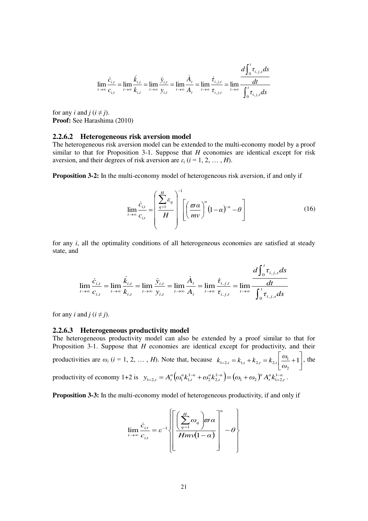$$
\lim_{t \to \infty} \frac{\dot{c}_{i,t}}{c_{i,t}} = \lim_{t \to \infty} \frac{\dot{k}_{i,t}}{k_{i,t}} = \lim_{t \to \infty} \frac{\dot{y}_{i,t}}{y_{i,t}} = \lim_{t \to \infty} \frac{\dot{A}_t}{A_t} = \lim_{t \to \infty} \frac{\dot{\tau}_{i,j,t}}{\tau_{i,j,t}} = \lim_{t \to \infty} \frac{d \int_0^t \tau_{i,j,s} ds}{\int_0^t \tau_{i,j,s} ds}
$$

for any *i* and  $j$  ( $i \neq j$ ). **Proof:** See Harashima (2010)

#### **2.2.6.2 Heterogeneous risk aversion model**

The heterogeneous risk aversion model can be extended to the multi-economy model by a proof similar to that for Proposition 3-1. Suppose that *H* economies are identical except for risk aversion, and their degrees of risk aversion are  $\varepsilon_i$  ( $i = 1, 2, ..., H$ ).

**Proposition 3-2:** In the multi-economy model of heterogeneous risk aversion, if and only if

$$
\lim_{t \to \infty} \frac{\dot{c}_{i,t}}{c_{i,t}} = \left(\frac{\sum_{q=1}^{H} \varepsilon_q}{H}\right)^{-1} \left[\left(\frac{\varpi \alpha}{mv}\right)^{\alpha} (1-\alpha)^{-\alpha} - \theta\right]
$$
(16)

for any *i*, all the optimality conditions of all heterogeneous economies are satisfied at steady state, and

$$
\lim_{t \to \infty} \frac{\dot{c}_{i,t}}{c_{i,t}} = \lim_{t \to \infty} \frac{\dot{k}_{i,t}}{k_{i,t}} = \lim_{t \to \infty} \frac{\dot{y}_{i,t}}{y_{i,t}} = \lim_{t \to \infty} \frac{\dot{A}_t}{A_t} = \lim_{t \to \infty} \frac{\dot{\tau}_{i,j,t}}{\tau_{i,j,t}} = \lim_{t \to \infty} \frac{\frac{d\int_0^t \tau_{i,j,s} ds}{\int_0^t \tau_{i,j,s} ds}}{\int_0^t \tau_{i,j,s} ds}
$$

for any *i* and *j* ( $i \neq j$ ).

#### **2.2.6.3 Heterogeneous productivity model**

The heterogeneous productivity model can also be extended by a proof similar to that for Proposition 3-1. Suppose that *H* economies are identical except for productivity, and their productivities are  $\omega_i$  (*i* = 1, 2, ..., *H*). Note that, because  $k_{1+2,t} = k_{1,t} + k_{2,t} = k_{2,t} \frac{\omega_1}{\omega_1} + 1$  $\overline{\phantom{a}}$ Ţ  $\mathsf{I}$ L  $t_{+2,t} = k_{1,t} + k_{2,t} = k_{2,t} \left[ \frac{\omega_1}{\omega_1} + 1 \right]$  $\overline{c}$  $k_{1+2,t} = k_{1,t} + k_{2,t} = k_{2,t} \left| \frac{\omega_1}{\omega_2} \right|$  $k_{1+2,t} = k_{1,t} + k_{2,t} = k_{2,t} \frac{\omega_1}{\omega_1} + 1$ , the productivity of economy 1+2 is  $y_{1+2,t} = A_t^{\alpha} \left( \omega_1^{\alpha} k_{1,t}^{1-\alpha} + \omega_2^{\alpha} k_{2,t}^{1-\alpha} \right) = \left( \omega_1 + \omega_2 \right)^{\alpha} A_t^{\alpha} k_{1+2,t}^{1-\alpha}$ .

**Proposition 3-3:** In the multi-economy model of heterogeneous productivity, if and only if

$$
\lim_{t \to \infty} \frac{\dot{c}_{i,t}}{c_{i,t}} = \varepsilon^{-1} \left\{ \left[ \frac{\left( \sum_{q=1}^{H} \omega_q \right) \overline{\omega} \alpha}{Hm\sqrt{1-\alpha}} \right]^{\alpha} - \theta \right\}
$$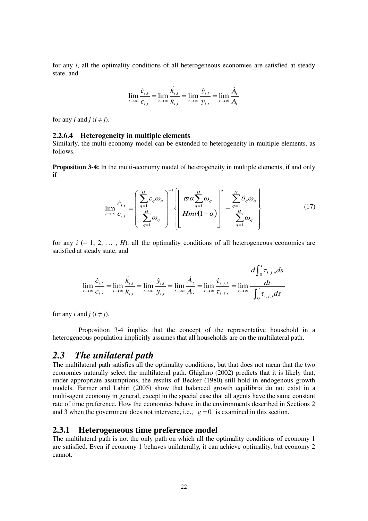for any *i*, all the optimality conditions of all heterogeneous economies are satisfied at steady state, and

$$
\lim_{t \to \infty} \frac{\dot{c}_{i,t}}{c_{i,t}} = \lim_{t \to \infty} \frac{\dot{k}_{i,t}}{k_{i,t}} = \lim_{t \to \infty} \frac{\dot{y}_{i,t}}{y_{i,t}} = \lim_{t \to \infty} \frac{\dot{A}_t}{A_t}
$$

for any *i* and  $j$  ( $i \neq j$ ).

#### **2.2.6.4 Heterogeneity in multiple elements**

Similarly, the multi-economy model can be extended to heterogeneity in multiple elements, as follows.

**Proposition 3-4:** In the multi-economy model of heterogeneity in multiple elements, if and only if

$$
\lim_{t \to \infty} \frac{\dot{c}_{i,t}}{c_{i,t}} = \left( \frac{\sum_{q=1}^{H} \varepsilon_q \omega_q}{\sum_{q=1}^{H} \omega_q} \right)^{-1} \left\{ \left[ \frac{\varpi \alpha \sum_{q=1}^{H} \omega_q}{Hm \sqrt{1-\alpha}} \right]^\alpha - \frac{\sum_{q=1}^{H} \theta_q \omega_q}{\sum_{q=1}^{H} \omega_q} \right\} \tag{17}
$$

*t*

for any  $i$  (= 1, 2,  $\dots$ , *H*), all the optimality conditions of all heterogeneous economies are satisfied at steady state, and

$$
\lim_{t \to \infty} \frac{\dot{c}_{i,t}}{c_{i,t}} = \lim_{t \to \infty} \frac{\dot{k}_{i,t}}{k_{i,t}} = \lim_{t \to \infty} \frac{\dot{y}_{i,t}}{y_{i,t}} = \lim_{t \to \infty} \frac{\dot{A}_t}{A_t} = \lim_{t \to \infty} \frac{\dot{\tau}_{i,j,t}}{\tau_{i,j,t}} = \lim_{t \to \infty} \frac{\frac{d\int_0^t \tau_{i,j,s} ds}{dt}}{\int_0^t \tau_{i,j,s} ds}
$$

for any *i* and *j* ( $i \neq j$ ).

 Proposition 3-4 implies that the concept of the representative household in a heterogeneous population implicitly assumes that all households are on the multilateral path.

## *2.3 The unilateral path*

The multilateral path satisfies all the optimality conditions, but that does not mean that the two economies naturally select the multilateral path. Ghiglino (2002) predicts that it is likely that, under appropriate assumptions, the results of Becker (1980) still hold in endogenous growth models. Farmer and Lahiri (2005) show that balanced growth equilibria do not exist in a multi-agent economy in general, except in the special case that all agents have the same constant rate of time preference. How the economies behave in the environments described in Sections 2 and 3 when the government does not intervene, i.e.,  $\bar{g} = 0$ . is examined in this section.

## **2.3.1 Heterogeneous time preference model**

The multilateral path is not the only path on which all the optimality conditions of economy 1 are satisfied. Even if economy 1 behaves unilaterally, it can achieve optimality, but economy 2 cannot.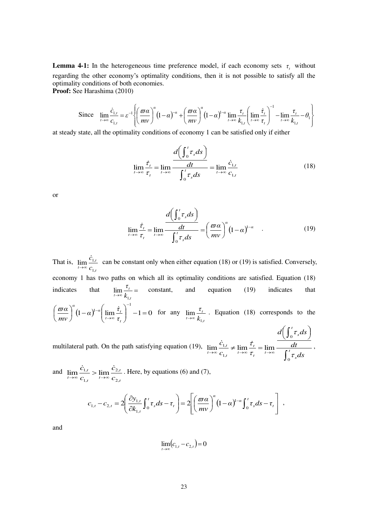**Lemma 4-1:** In the heterogeneous time preference model, if each economy sets  $\tau$ , without regarding the other economy's optimality conditions, then it is not possible to satisfy all the optimality conditions of both economies.

**Proof:** See Harashima (2010)

Since 
$$
\lim_{t \to \infty} \frac{\dot{c}_{1,t}}{c_{1,t}} = \varepsilon^{-1} \left\{ \left( \frac{\varpi \alpha}{mv} \right)^{\alpha} (1-\alpha)^{-\alpha} + \left( \frac{\varpi \alpha}{mv} \right)^{\alpha} (1-\alpha)^{1-\alpha} \lim_{t \to \infty} \frac{\tau_t}{k_{1,t}} \left( \lim_{t \to \infty} \frac{\dot{\tau}_t}{\tau_t} \right)^{-1} - \lim_{t \to \infty} \frac{\tau_t}{k_{1,t}} - \theta_1 \right\}
$$

at steady state, all the optimality conditions of economy 1 can be satisfied only if either

$$
\lim_{t \to \infty} \frac{\dot{\tau}_t}{\tau_t} = \lim_{t \to \infty} \frac{\frac{d\left(\int_0^t \tau_s ds\right)}{dt}}{\int_0^t \tau_s ds} = \lim_{t \to \infty} \frac{\dot{c}_{1,t}}{c_{1,t}} \tag{18}
$$

or

$$
\lim_{t \to \infty} \frac{\dot{\tau}_t}{\tau_t} = \lim_{t \to \infty} \frac{d\left(\int_0^t \tau_s ds\right)}{\int_0^t \tau_s ds} = \left(\frac{\varpi \alpha}{mv}\right)^\alpha \left(1 - \alpha\right)^{1 - \alpha} \quad . \tag{19}
$$

That is, *t t*  $\lim_{t\to\infty}$  *c c* ,1  $\lim_{n \to \infty} \frac{\mathcal{C}_{1n}}{n}$  $\dot{c}$ im  $\frac{c_{1,t}}{\sigma}$  can be constant only when either equation (18) or (19) is satisfied. Conversely, economy 1 has two paths on which all its optimality conditions are satisfied. Equation (18) indicates that  $\lim_{t \to \infty} \frac{c_t}{k_{1,t}} =$ *t*  $t \rightarrow \infty$   $k$ *τ* ,1  $\lim_{t \to \infty} \frac{c_t}{t}$  constant, and equation (19) indicates that  $(1-\alpha)^{1-\alpha}$   $\left|\lim_{t \to \infty} \frac{\tau_t}{t}\right| -1 = 0$ 1  $\lim_{t\to\infty}\frac{\tau_t}{\tau}$  -1= J  $\backslash$  $\overline{\phantom{a}}$  $\setminus$  $\bigg)^{\alpha} (1-\alpha)^{1-\alpha}$ J  $\left(\frac{\varpi a}{\cdot}\right)$  $\setminus$  $(\varpi a)^a_{(1-\alpha)^{1-a}} \Big|_{\lim} \dot{\tau}_t \Big|$  $\rightarrow \infty$  $\overline{a}$ *t t t α*(1 α)<sup>1-α</sup> *τ α*)<sup>1-*α*</sub> [  $\lim \frac{\dot{\tau}}{ }$ </sup> *mν*  $\frac{\varpi a}{\varpi} \int_{0}^{\alpha} (1-\alpha)^{1-\alpha} \left( \lim \frac{\dot{\tau}_{t}}{1-\alpha} \right)^{-1} -1 = 0$  for any *t t*  $\overline{t\rightarrow\infty}$   $k$ *τ* ,1  $\lim_{t\to\infty}\frac{t}{k}$ . Equation (18) corresponds to the  $\int_0^t \tau_s ds$  $\left(\int_0^t \tau_s ds\right)$ ſ *t s*  $d\left[\int_{0}^{t} \tau_{s} ds\right]$ *c*  $\mathbf{0}$ τ

multilateral path. On the path satisfying equation (19),  $\int$  $\lim_{t\to\infty}\frac{c_{1,t}}{c_{1,t}}\neq \lim_{t\to\infty}\frac{c_t}{\tau}=\lim_{t\to\infty}\frac{c_{1,t}}{\tau}$ *s t t t t t t*  $\tau \mapsto \infty$   $c_{1,t}$   $\tau \mapsto \infty$   $\tau_t$   $\tau \mapsto \infty$   $\int_{0}^{t} \tau_s ds$ *dt c*  $\mathbf{0}$ ,1  $\lim_{t \to \infty} \frac{c_{1,t}}{t} \neq \lim_{t \to \infty} \frac{c_t}{t} = \lim_{t \to \infty}$ τ τ  $\dot{c}_{1,t} \neq \lim \frac{\dot{\tau}_t}{\dot{\tau}_t} = \lim \frac{\dot{\tau}_t}{\dot{\tau}_t}$ 

and *t t t t t*  $\lim_{t\to\infty}$   $c_{1,t}$   $\lim_{t\to\infty}$   $c$ *c c c* ,2 ,2 ,1  $\lim \frac{c_{1,t}}{n} > \lim$  $\dot{c}_{1,t}$   $\dot{c}$  $\lim_{t \to \infty} \frac{c_{1,t}}{c_{1,t}} > \lim_{t \to \infty} \frac{c_{2,t}}{c_{2,t}}$ . Here, by equations (6) and (7),

$$
c_{1,t} - c_{2,t} = 2 \left( \frac{\partial y_{1,t}}{\partial k_{1,t}} \int_0^t \tau_s ds - \tau_t \right) = 2 \left[ \left( \frac{\varpi \alpha}{m v} \right)^{\alpha} \left( 1 - \alpha \right)^{1-\alpha} \int_0^t \tau_s ds - \tau_t \right],
$$

and

$$
\lim_{t \to \infty} (c_{1,t} - c_{2,t}) = 0
$$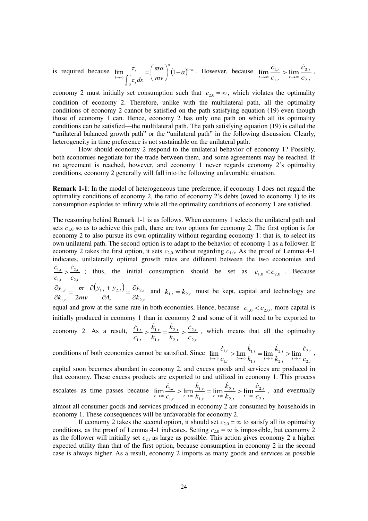is required because  $\lim_{\epsilon t} \frac{\tau_i}{\epsilon t} = \left(\frac{\varpi a}{\epsilon}\right)^a (1-a)^{1-a}$ *t s t*  $\lim_{t\to\infty}\frac{c_t}{\int_{-\pi}^t}=\left(\frac{\omega\alpha}{mv}\right)(1-\alpha)$ *mν α ds* ÷  $\lim_{t \to \infty} \frac{c_t}{\int_{-\pi}^t d\sigma} = \frac{1}{m} \frac{\omega \alpha}{m} \int (1 -$ J  $\left(\frac{\varpi a}{\cdot}\right)$  $\setminus$  $=$  $($ J  $\lim_{t \to \infty} \frac{\tau_t}{\sigma_t} = \frac{\omega \alpha}{2} |(-\alpha)^1$  $\boldsymbol{0}$ τ  $\frac{\tau_i}{\tau_{\text{max}}} = \left( \frac{\omega a}{\omega} \right) (1-\alpha)^{1-\alpha}$ . However, because *t t t t t*  $\sum_{t\to\infty}$   $c_{1,t}$   $\sum_{t\to\infty}$   $\sum_{t\infty}$ *c c c* ,2 ,2 ,1  $\lim_{t\to 0} \frac{C_{1,t}}{t} > \lim_{t\to 0}$  $\dot{c}_{1,t}$   $\dot{c}$  $\lim_{t \to \infty} \frac{C_{1,t}}{C_{1,t}} > \lim_{t \to \infty} \frac{C_{2,t}}{C_{2,t}}$ ,

economy 2 must initially set consumption such that  $c_{2,0} = \infty$ , which violates the optimality condition of economy 2. Therefore, unlike with the multilateral path, all the optimality conditions of economy 2 cannot be satisfied on the path satisfying equation (19) even though those of economy 1 can. Hence, economy 2 has only one path on which all its optimality conditions can be satisfied—the multilateral path. The path satisfying equation (19) is called the "unilateral balanced growth path" or the "unilateral path" in the following discussion. Clearly, heterogeneity in time preference is not sustainable on the unilateral path.

 How should economy 2 respond to the unilateral behavior of economy 1? Possibly, both economies negotiate for the trade between them, and some agreements may be reached. If no agreement is reached, however, and economy 1 never regards economy 2's optimality conditions, economy 2 generally will fall into the following unfavorable situation.

**Remark 1-1**: In the model of heterogeneous time preference, if economy 1 does not regard the optimality conditions of economy 2, the ratio of economy 2's debts (owed to economy 1) to its consumption explodes to infinity while all the optimality conditions of economy 1 are satisfied.

The reasoning behind Remark 1-1 is as follows. When economy 1 selects the unilateral path and sets  $c_{1,0}$  so as to achieve this path, there are two options for economy 2. The first option is for economy 2 to also pursue its own optimality without regarding economy 1: that is, to select its own unilateral path. The second option is to adapt to the behavior of economy 1 as a follower. If economy 2 takes the first option, it sets  $c_{2,0}$  without regarding  $c_{1,0}$ . As the proof of Lemma 4-1 indicates, unilaterally optimal growth rates are different between the two economies and  $c_{1,t}$   $c_{2,t}$   $\partial y_{1,t}$   $\varpi$   $\partial (y_{1,t} + y_{2,t})$  $\frac{\dot{c}_{1,t}}{\dot{c}_{2,t}}$  ; thus, the initial consumption should be set as  $c_{1,0} < c_{2,0}$ . Because *,t ,t t*  $,t$ <sup>1</sup>  $y_{2,t}$ *,t ,t k y A*  $y_{1,t} + y$  $k_{1,t}$  2*mv y* 2  $1, t$   $3, t$   $2, t$   $2$   $2$ 1 1  $2mv$   $\partial A_t$   $\partial$  $=\frac{\partial}{\partial x}$  $\partial$  $=\frac{\varpi}{2} \frac{\partial (y_{1,t}+y_{1,t})}{\partial x_{1,t}}$  $\frac{\partial y_{i,t}}{\partial k_{i,t}} = \frac{\omega}{2mv} \frac{\partial (y_{i,t} + y_{2,t})}{\partial A_t} = \frac{\partial y_{2,t}}{\partial k_{2,t}}$  and  $k_{i,t} = k_{2,t}$  must be kept, capital and technology are equal and grow at the same rate in both economies. Hence, because  $c_{1,0} < c_{2,0}$ , more capital is initially produced in economy 1 than in economy 2 and some of it will need to be exported to economy 2. As a result, *t t ,t ,t ,t ,t t t c c k k k k c c* ,2 ,2 2 2 1 1 ,1  $\frac{\dot{c}_{1,t}}{\dot{c}_{1,t}} > \frac{\dot{k}_{2,t}}{\dot{c}_{2,t}} > \frac{\dot{c}_{2,t}}{\dot{c}_{2,t}}$ , which means that all the optimality  $\dot{c}_{1}$ ,  $\dot{k}_{1}$ ,  $\dot{k}_{2}$ ,  $\dot{c}$ 

conditions of both economies cannot be satisfied. Since *t t t ,t ,t t ,t ,t t t t*  $\int_{t\to\infty}^{t\to\infty} c_{1,t}$   $\int_{t\to\infty}^{t\to\infty} k_{2,t}$   $\int_{t\to\infty}^{t\to\infty} c$ *c k k k k c c* ,2 ,2 2 2 1 1 ,1  $\lim_{t \to 0} \frac{c_{1,t}}{t} > \lim_{t \to 0} \frac{c_{1,t}}{t} > \lim_{t \to 0} \frac{c_{2,t}}{t} > \lim_{t \to 0}$  $\lim_{t\to\infty}\frac{C_{1,t}}{C}>\lim_{t\to\infty}\frac{C_{1,t}}{k}=\lim_{t\to\infty}\frac{C_{2,t}}{k}>\lim_{t\to\infty}\frac{C_{2,t}}{C_2},$ 

capital soon becomes abundant in economy 2, and excess goods and services are produced in that economy. These excess products are exported to and utilized in economy 1. This process escalates as time passes because *t t t ,t ,t t ,t ,t t t t*  $t \rightarrow \infty$   $c_{1,t}$   $t \rightarrow \infty$   $k_{1,t}$   $t \rightarrow \infty$   $k_{2,t}$   $t \rightarrow \infty$   $c$ *c k k k k c c* ,2 ,2 2 2 1 1 ,1  $\lim_{t \to 0} \frac{k_{1,t}}{t} = \lim_{t \to 0} \frac{k_{2,t}}{t} > \lim_{t \to 0}$  $\dot{c}_{1t}$   $\dot{k}_{1t}$   $\dot{k}_{2t}$   $\dot{c}$  $\lim_{t \to \infty} \frac{c_{1,t}}{c_{1,t}} > \lim_{t \to \infty} \frac{\kappa_{1,t}}{k} = \lim_{t \to \infty} \frac{\kappa_{2,t}}{k} > \lim_{t \to \infty} \frac{c_{2,t}}{c_{2,t}}$ , and eventually

almost all consumer goods and services produced in economy 2 are consumed by households in economy 1. These consequences will be unfavorable for economy 2.

If economy 2 takes the second option, it should set  $c_{2,0} = \infty$  to satisfy all its optimality conditions, as the proof of Lemma 4-1 indicates. Setting  $c_{2,0} = \infty$  is impossible, but economy 2 as the follower will initially set  $c_{2,t}$  as large as possible. This action gives economy 2 a higher expected utility than that of the first option, because consumption in economy 2 in the second case is always higher. As a result, economy 2 imports as many goods and services as possible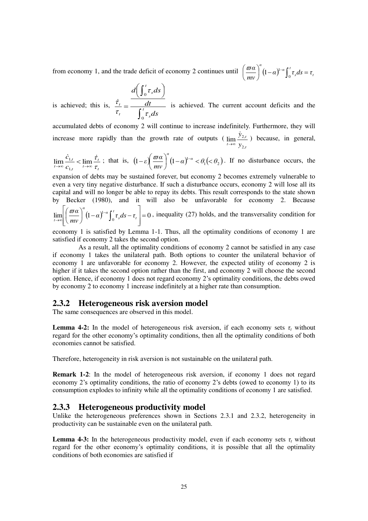from economy 1, and the trade deficit of economy 2 continues until  $\left(\frac{\varpi a}{m}\right) (1-a)^{1-a} \int_0^t \tau_s ds = \tau$ *s α*(1 a)<sup>1-*α*</sup>  $\alpha$ <sup> $^{\prime -\alpha}$ </sup>  $\int_{0}^{\pi} \tau_{s} ds = \tau$ *mν*  $\left(\frac{\alpha}{a}\right)^{a}(1-\alpha)^{1-\alpha}\int_{0}^{t}\tau_{s}ds=$  $\bigg)$  $\left(\frac{\varpi a}{\cdot}\right)$  $\overline{\phantom{0}}$  $\left(\frac{\varpi a}{m\nu}\right)^{\alpha}(1-\alpha)^{1-\alpha}\int$  $\mathbf{0}$  $\frac{\omega a}{\omega}$   $(1-\alpha)^{1}$ 

$$
\frac{d\left(\int_0^t \tau_s ds\right)}{dt}
$$

is achieved; this is, ſ  $=\frac{\overline{r}}{r}$ *s t t ds dt*  $\mathbf{0}$  $\tau_t$   $\tau$  $\frac{\dot{\tau}_t}{\dot{\tau}_t} = \frac{dt}{\sqrt{2\pi}}$  is achieved. The current account deficits and the

accumulated debts of economy 2 will continue to increase indefinitely. Furthermore, they will increase more rapidly than the growth rate of outputs ( *t t*  $t \rightarrow \infty$   $y$ *y* ,2  $\lim_{x \to 2} \frac{y_2}{x_1}$  $\dot{y}$  $\lim_{x \to \infty} \frac{y_{2,t}}{y_{2,t}}$  because, in general,

$$
\lim_{t \to \infty} \frac{\dot{c}_{1,t}}{c_{1,t}} < \lim_{t \to \infty} \frac{\dot{\tau}_t}{\tau_t}
$$
; that is,  $\left(1 - \varepsilon \left( \frac{\varpi a}{mv} \right)^{\alpha} \left(1 - \alpha \right)^{1-\alpha} < \theta_1 \left( < \theta_2 \right)$ . If no disturbance occurs, the

expansion of debts may be sustained forever, but economy 2 becomes extremely vulnerable to even a very tiny negative disturbance. If such a disturbance occurs, economy 2 will lose all its capital and will no longer be able to repay its debts. This result corresponds to the state shown by Becker (1980), and it will also be unfavorable for economy 2. Because  $\overline{\phantom{a}}$  $\mathbf{r}$ *t α*(1 a)<sup>1-α</sup>  $\frac{d^{n}a}{dt}$  (1– $\alpha$ )<sup>1– $a \int_{a}^{b} \tau_{a} ds - \tau_{b}$  = 0, inequality (27) holds, and the transversality condition for</sup>

 $\lim_{t\to\infty}\left|\left(\frac{\varpi\alpha}{mv}\right)(1-\alpha)^{1-\alpha}\int_0^t\tau_sds-\tau_t\right|=0$  $\int_{a}^{1-a} \int_{s}^{t} \tau_{s} ds - \tau_{t}$  =  $\overline{\phantom{a}}$  $\overline{\phantom{a}}$  $\frac{1}{2}$ L  $\mathbf{r}$ L  $\left(1-\alpha\right)^{1-\alpha}\left| \int_{0}^{\alpha} \tau_{s} ds - \right|$ J  $\left(\frac{\varpi a}{\cdot}\right)$  $\setminus$  $\left(\frac{\varpi a}{m\nu}\right)^{\alpha}(1-\alpha)^{1-\alpha}\int$  $\lim_{t\to\infty}$   $\left(\frac{mv}{mv}\right)$   $\lim_{t\to\infty}$   $\lim_{t\to\infty}$   $\lim_{t\to\infty}$ *s*  $\lim_{t\to\infty}\left|\left(\frac{\omega}{mv}\right)^{1-\alpha}\right|^{1-\alpha}$ *mν*

economy 1 is satisfied by Lemma 1-1. Thus, all the optimality conditions of economy 1 are satisfied if economy 2 takes the second option.

 As a result, all the optimality conditions of economy 2 cannot be satisfied in any case if economy 1 takes the unilateral path. Both options to counter the unilateral behavior of economy 1 are unfavorable for economy 2. However, the expected utility of economy 2 is higher if it takes the second option rather than the first, and economy 2 will choose the second option. Hence, if economy 1 does not regard economy 2's optimality conditions, the debts owed by economy 2 to economy 1 increase indefinitely at a higher rate than consumption.

### **2.3.2 Heterogeneous risk aversion model**

The same consequences are observed in this model.

**Lemma 4-2:** In the model of heterogeneous risk aversion, if each economy sets  $\tau$ <sup>t</sup> without regard for the other economy's optimality conditions, then all the optimality conditions of both economies cannot be satisfied.

Therefore, heterogeneity in risk aversion is not sustainable on the unilateral path.

**Remark 1-2**: In the model of heterogeneous risk aversion, if economy 1 does not regard economy 2's optimality conditions, the ratio of economy 2's debts (owed to economy 1) to its consumption explodes to infinity while all the optimality conditions of economy 1 are satisfied.

## **2.3.3 Heterogeneous productivity model**

Unlike the heterogeneous preferences shown in Sections 2.3.1 and 2.3.2, heterogeneity in productivity can be sustainable even on the unilateral path.

**Lemma 4-3:** In the heterogeneous productivity model, even if each economy sets  $\tau$ <sub>*t*</sub> without regard for the other economy's optimality conditions, it is possible that all the optimality conditions of both economies are satisfied if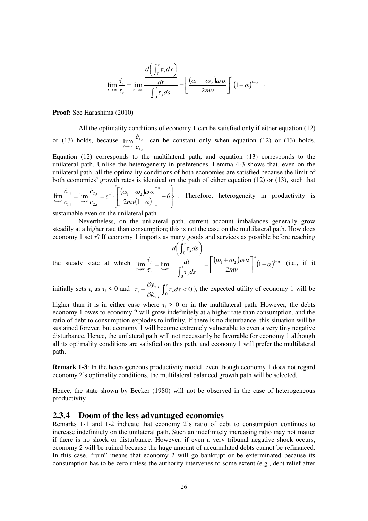$$
\lim_{t\to\infty}\frac{\dot{\tau}_t}{\tau_t} = \lim_{t\to\infty}\frac{\frac{d\left(\int_0^t \tau_s ds\right)}{dt}}{\int_0^t \tau_s ds} = \left[\frac{(\omega_1 + \omega_2)\varpi\alpha}{2mv}\right]^\alpha\left(1-\alpha\right)^{1-\alpha}.
$$

**Proof:** See Harashima (2010)

 All the optimality conditions of economy 1 can be satisfied only if either equation (12) or (13) holds, because *t t*  $\lim_{t\to\infty}$  *c c* ,1  $\lim_{n\to\infty} \frac{\mathcal{L}_{1n}}{n}$  $\dot{c}$  $\lim_{x \to \infty} \frac{c_{1,t}}{c_{1,t}}$  can be constant only when equation (12) or (13) holds.

Equation (12) corresponds to the multilateral path, and equation (13) corresponds to the unilateral path. Unlike the heterogeneity in preferences, Lemma 4-3 shows that, even on the unilateral path, all the optimality conditions of both economies are satisfied because the limit of both economies' growth rates is identical on the path of either equation (12) or (13), such that

$$
\lim_{t \to \infty} \frac{\dot{c}_{1,t}}{c_{1,t}} = \lim_{t \to \infty} \frac{\dot{c}_{2,t}}{c_{2,t}} = \varepsilon^{-1} \left\{ \left[ \frac{(\omega_1 + \omega_2)\varpi \alpha}{2m\sqrt{1-\alpha}} \right]^\alpha - \theta \right\} .
$$
 Therefore, heterogeneity in productivity is

sustainable even on the unilateral path.

 Nevertheless, on the unilateral path, current account imbalances generally grow steadily at a higher rate than consumption; this is not the case on the multilateral path. How does economy 1 set *τ*? If economy 1 imports as many goods and services as possible before reaching

the steady state at which 
$$
\lim_{t \to \infty} \frac{\dot{\tau}_t}{\tau_t} = \lim_{t \to \infty} \frac{d\left(\int_0^t \tau_s ds\right)}{\int_0^t \tau_s ds} = \left[\frac{(\omega_1 + \omega_2)\varpi \alpha}{2mv}\right]^\alpha (1-\alpha)^{1-\alpha}
$$
 (i.e., if it

initially sets  $\tau_i$  as  $\tau_t < 0$  and  $\tau_t - \frac{\sigma_{y,2,t}}{\partial k_{2,t}} \int_0^t \tau_s ds < 0$  $\frac{2,t}{\epsilon}\int_{0}^{t} \tau_{s} ds$  $\partial$  $-\frac{\partial y_{2,t}}{\partial k_0}\int_0^t \tau_s ds$ *k*  $\tau_{t} - \frac{\partial y_{2,t}}{\partial t} \int_{0}^{t}$ *s t*  $\tau_t - \frac{\partial y_{2,t}}{\partial t} \int_0^t \tau_s ds < 0$ , the expected utility of economy 1 will be

higher than it is in either case where  $\tau_t > 0$  or in the multilateral path. However, the debts economy 1 owes to economy 2 will grow indefinitely at a higher rate than consumption, and the ratio of debt to consumption explodes to infinity. If there is no disturbance, this situation will be sustained forever, but economy 1 will become extremely vulnerable to even a very tiny negative disturbance. Hence, the unilateral path will not necessarily be favorable for economy 1 although all its optimality conditions are satisfied on this path, and economy 1 will prefer the multilateral path.

**Remark 1-3**: In the heterogeneous productivity model, even though economy 1 does not regard economy 2's optimality conditions, the multilateral balanced growth path will be selected.

Hence, the state shown by Becker (1980) will not be observed in the case of heterogeneous productivity.

#### **2.3.4 Doom of the less advantaged economies**

Remarks 1-1 and 1-2 indicate that economy 2's ratio of debt to consumption continues to increase indefinitely on the unilateral path. Such an indefinitely increasing ratio may not matter if there is no shock or disturbance. However, if even a very tribunal negative shock occurs, economy 2 will be ruined because the huge amount of accumulated debts cannot be refinanced. In this case, "ruin" means that economy 2 will go bankrupt or be exterminated because its consumption has to be zero unless the authority intervenes to some extent (e.g., debt relief after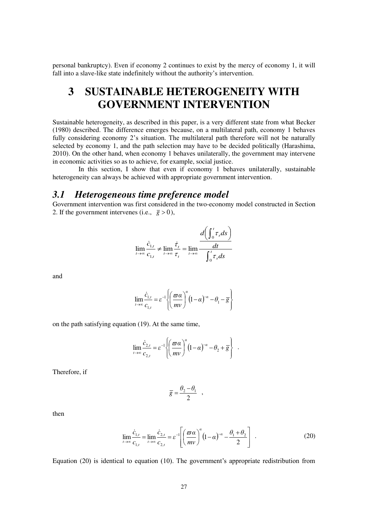personal bankruptcy). Even if economy 2 continues to exist by the mercy of economy 1, it will fall into a slave-like state indefinitely without the authority's intervention.

# **3 SUSTAINABLE HETEROGENEITY WITH GOVERNMENT INTERVENTION**

Sustainable heterogeneity, as described in this paper, is a very different state from what Becker (1980) described. The difference emerges because, on a multilateral path, economy 1 behaves fully considering economy 2's situation. The multilateral path therefore will not be naturally selected by economy 1, and the path selection may have to be decided politically (Harashima, 2010). On the other hand, when economy 1 behaves unilaterally, the government may intervene in economic activities so as to achieve, for example, social justice.

 In this section, I show that even if economy 1 behaves unilaterally, sustainable heterogeneity can always be achieved with appropriate government intervention.

## *3.1 Heterogeneous time preference model*

Government intervention was first considered in the two-economy model constructed in Section 2. If the government intervenes (i.e.,  $\bar{g} > 0$ ),

$$
\lim_{t \to \infty} \frac{\dot{c}_{1,t}}{c_{1,t}} \neq \lim_{t \to \infty} \frac{\dot{\tau}_t}{\tau_t} = \lim_{t \to \infty} \frac{\frac{d\left(\int_0^t \tau_s ds\right)}{dt}}{\int_0^t \tau_s ds}
$$

and

$$
\lim_{t \to \infty} \frac{\dot{c}_{1,t}}{c_{1,t}} = \varepsilon^{-1} \left\{ \left( \frac{\varpi \alpha}{m v} \right)^{\alpha} \left( 1 - \alpha \right)^{-\alpha} - \theta_1 - \overline{g} \right\}
$$

on the path satisfying equation (19). At the same time,

$$
\lim_{t\to\infty}\frac{\dot{c}_{2,t}}{c_{2,t}}=\varepsilon^{-1}\left\{\left(\frac{\varpi\alpha}{mv}\right)^{\alpha}\left(1-\alpha\right)^{-\alpha}-\theta_2+\overline{g}\right\}\ .
$$

Therefore, if

$$
\overline{g} = \frac{\theta_2 - \theta_1}{2} ,
$$

then

$$
\lim_{t \to \infty} \frac{\dot{c}_{1,t}}{c_{1,t}} = \lim_{t \to \infty} \frac{\dot{c}_{2,t}}{c_{2,t}} = \varepsilon^{-1} \left[ \left( \frac{\varpi \alpha}{mv} \right)^{\alpha} \left( 1 - \alpha \right)^{-\alpha} - \frac{\theta_1 + \theta_2}{2} \right] \tag{20}
$$

Equation (20) is identical to equation (10). The government's appropriate redistribution from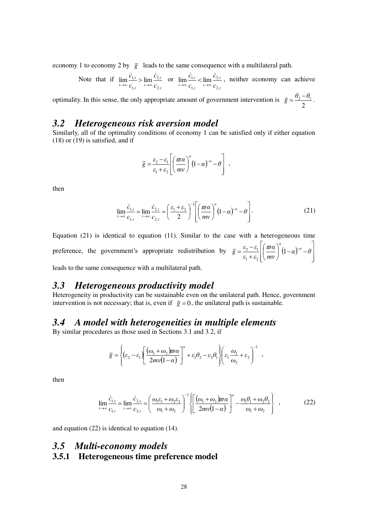economy 1 to economy 2 by  $\overline{g}$  leads to the same consequence with a multilateral path.

 Note that if *,t ,t t ,t ,t*  $t \rightarrow \infty$   $c_{1,t}$   $t \rightarrow \infty$   $c$ *c c c* 2 2 1  $\lim \frac{C_{1,t}}{C} > \lim$  $\dot{c}_{1,t}$   $\dot{c}$  $\lim_{t \to \infty} \frac{c_{1,t}}{c_{1,t}} > \lim_{t \to \infty} \frac{c_{2,t}}{c_{2,t}}$  or *,t ,t t ,t ,t*  $t \rightarrow \infty$   $c_{1,t}$   $t \rightarrow \infty$   $c$ *c c c* 2 2 1  $\lim \frac{C_{1,t}}{C_{1,t}} < \lim$  $\dot{c}_{1,t}$   $\dot{c}$  $\lim_{t \to \infty} \frac{c_{1,t}}{c} < \lim_{t \to \infty} \frac{c_{2,t}}{c_0}$ , neither economy can achieve

optimality. In this sense, the only appropriate amount of government intervention is 2  $\overline{g} = \frac{\theta_2 - \theta_1}{2}.$ 

# *3.2 Heterogeneous risk aversion model*

Similarly, all of the optimality conditions of economy 1 can be satisfied only if either equation (18) or (19) is satisfied, and if

$$
\overline{g} = \frac{\varepsilon_2 - \varepsilon_1}{\varepsilon_1 + \varepsilon_2} \left[ \left( \frac{\varpi \alpha}{mv} \right)^{\alpha} (1 - \alpha)^{-\alpha} - \theta \right] ,
$$

then

$$
\lim_{t \to \infty} \frac{\dot{c}_{1,t}}{c_{1,t}} = \lim_{t \to \infty} \frac{\dot{c}_{2,t}}{c_{2,t}} = \left(\frac{\varepsilon_1 + \varepsilon_2}{2}\right)^{-1} \left[\left(\frac{\varpi \alpha}{mv}\right)^{\alpha} (1 - \alpha)^{-\alpha} - \theta\right].
$$
\n(21)

Equation (21) is identical to equation (11). Similar to the case with a heterogeneous time preference, the government's appropriate redistribution by  $\bar{g} = \frac{\varepsilon_2 - \varepsilon_1}{\sigma a} \left| \frac{\sigma a}{1 - a} \right|$  $\overline{\phantom{a}}$  $\overline{\phantom{a}}$  $\frac{1}{2}$  $\overline{\phantom{a}}$ L I L  $\mathbf{r}$  $\left(1-\alpha\right)^{-\alpha}$  – J  $\left(\frac{\varpi a}{\cdot}\right)$  $\setminus$ ſ  $^{+}$  $=\frac{\varepsilon_{2}-\varepsilon_{1}}{2} \left| \left( \frac{\varpi \alpha}{2} \right)^{\alpha} (1-\alpha)^{-\alpha} - \theta \right|$ *mν α*  $\varepsilon$ <sup>1</sup> + ε  $\overline{g} = \frac{\varepsilon_2 - \varepsilon_1}{\sqrt{2\pi}} \left| \left( \frac{\varpi a}{\sqrt{2\pi}} \right)^{a} (1-a)^{-a} \right|$ *α*  $\left( \frac{1}{2} \right)$  $1 - 2$  $\mathcal{E}_2 - \mathcal{E}_1 \mid \mathcal{D}$ leads to the same consequence with a multilateral path.

## *3.3 Heterogeneous productivity model*

Heterogeneity in productivity can be sustainable even on the unilateral path. Hence, government intervention is not necessary; that is, even if  $\bar{g} = 0$ , the unilateral path is sustainable.

## *3.4 A model with heterogeneities in multiple elements*

By similar procedures as those used in Sections 3.1 and 3.2, if

$$
\overline{g} = \left\{ (\varepsilon_2 - \varepsilon_1) \left[ \frac{(\omega_1 + \omega_2) \overline{\omega} \alpha}{2m \nu (1 - \alpha)} \right]^{\alpha} + \varepsilon_1 \theta_2 - \varepsilon_2 \theta_1 \right\} \left( \varepsilon_1 \frac{\omega_1}{\omega_2} + \varepsilon_2 \right)^{-1} ,
$$

then

$$
\lim_{t \to \infty} \frac{\dot{c}_{1,t}}{c_{1,t}} = \lim_{t \to \infty} \frac{\dot{c}_{2,t}}{c_{2,t}} = \left(\frac{\omega_1 \varepsilon_1 + \omega_2 \varepsilon_2}{\omega_1 + \omega_2}\right)^{-1} \left\{ \left[\frac{(\omega_1 + \omega_2)\varpi \alpha}{2m\sqrt{1-\alpha}}\right]^\alpha - \frac{\omega_1 \theta_1 + \omega_2 \theta_2}{\omega_1 + \omega_2} \right\} ,
$$
 (22)

and equation (22) is identical to equation (14).

## *3.5 Multi-economy models* **3.5.1 Heterogeneous time preference model**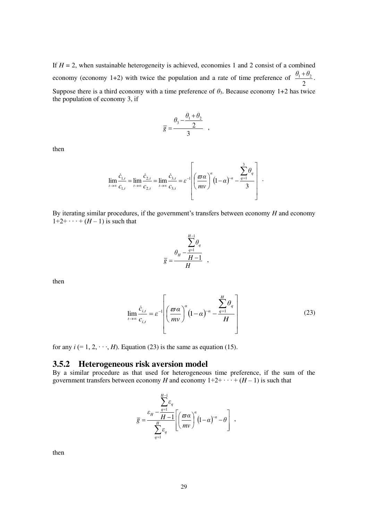If  $H = 2$ , when sustainable heterogeneity is achieved, economies 1 and 2 consist of a combined economy (economy 1+2) with twice the population and a rate of time preference of 2  $\frac{\theta_1 + \theta_2}{2}$ . Suppose there is a third economy with a time preference of  $\theta_3$ . Because economy 1+2 has twice the population of economy 3, if

$$
\overline{g} = \frac{\theta_3 - \frac{\theta_1 + \theta_2}{2}}{3} ,
$$

then

$$
\lim_{t\to\infty}\frac{\dot{c}_{1,t}}{c_{1,t}}=\lim_{t\to\infty}\frac{\dot{c}_{2,t}}{c_{2,t}}=\lim_{t\to\infty}\frac{\dot{c}_{3,t}}{c_{3,t}}=\varepsilon^{-1}\left[\left(\frac{\varpi\alpha}{mv}\right)^{\alpha}\left(1-\alpha\right)^{-\alpha}-\frac{\sum_{q=1}^{3}\theta_{q}}{3}\right].
$$

By iterating similar procedures, if the government's transfers between economy *H* and economy  $1+2+\cdots+(H-1)$  is such that

$$
\overline{g} = \frac{\theta_H - \frac{H-1}{H}}{H},
$$

then

$$
\lim_{t \to \infty} \frac{\dot{c}_{i,t}}{c_{i,t}} = \varepsilon^{-1} \left[ \left( \frac{\varpi \alpha}{mv} \right)^{\alpha} \left( 1 - \alpha \right)^{-\alpha} - \frac{\sum_{q=1}^{H} \theta_q}{H} \right]
$$
(23)

for any  $i$  (= 1, 2,  $\cdots$ , *H*). Equation (23) is the same as equation (15).

## **3.5.2 Heterogeneous risk aversion model**

By a similar procedure as that used for heterogeneous time preference, if the sum of the government transfers between economy *H* and economy  $1+2+\cdots+(H-1)$  is such that

$$
\overline{g} = \frac{\sum_{q=1}^{H-1} \varepsilon_q}{\sum_{q=1}^{H} \varepsilon_q} \left[ \left( \frac{\overline{\omega} \alpha}{m v} \right)^{\alpha} (1-\alpha)^{-\alpha} - \theta \right],
$$

then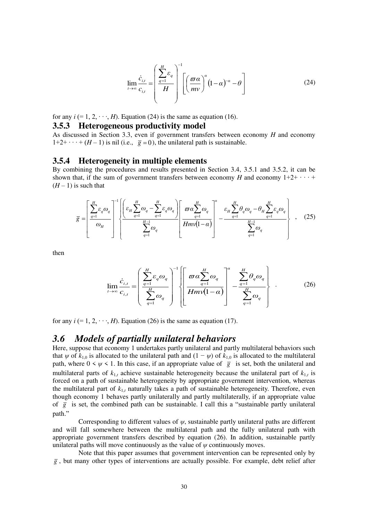$$
\lim_{t \to \infty} \frac{\dot{c}_{i,t}}{c_{i,t}} = \left(\frac{\sum_{q=1}^{H} \varepsilon_q}{H}\right)^{-1} \left[\left(\frac{\varpi \alpha}{mv}\right)^{\alpha} (1-\alpha)^{-\alpha} - \theta\right]
$$
(24)

for any  $i (= 1, 2, \dots, H)$ . Equation (24) is the same as equation (16).

#### **3.5.3 Heterogeneous productivity model**

As discussed in Section 3.3, even if government transfers between economy *H* and economy  $1+2+\cdots+(H-1)$  is nil (i.e.,  $\bar{g}=0$ ), the unilateral path is sustainable.

#### **3.5.4 Heterogeneity in multiple elements**

By combining the procedures and results presented in Section 3.4, 3.5.1 and 3.5.2, it can be shown that, if the sum of government transfers between economy *H* and economy  $1+2+\cdots+$  $(H-1)$  is such that

$$
\overline{g} = \left[\frac{\sum_{q=1}^{H} \varepsilon_{q} \omega_{q}}{\omega_{H}}\right]^{-1} \left\{\frac{\left(\varepsilon_{H} \sum_{q=1}^{H} \omega_{q} - \sum_{q=1}^{H} \varepsilon_{q} \omega_{q}\right)}{\sum_{q=1}^{H-1} \omega_{q}}\right\} \frac{\varpi \alpha \sum_{q=1}^{H} \omega_{q}}{H m v (1-\alpha)}\right\}^{-\alpha} - \frac{\varepsilon_{H} \sum_{q=1}^{H} \theta_{q} \omega_{q} - \theta_{H} \sum_{q=1}^{H} \varepsilon_{q} \omega_{q}}{\sum_{q=1}^{H-1} \omega_{q}}\right\}, \quad (25)
$$

then

$$
\lim_{t \to \infty} \frac{\dot{c}_{i,t}}{c_{i,t}} = \left( \frac{\sum_{q=1}^{H} \varepsilon_q \omega_q}{\sum_{q=1}^{H} \omega_q} \right)^{-1} \left\{ \left[ \frac{\varpi \alpha \sum_{q=1}^{H} \omega_q}{H m v (1-\alpha)} \right]^\alpha - \frac{\sum_{q=1}^{H} \theta_q \omega_q}{\sum_{q=1}^{H} \omega_q} \right\} .
$$
 (26)

for any  $i (= 1, 2, \dots, H)$ . Equation (26) is the same as equation (17).

## *3.6 Models of partially unilateral behaviors*

Here, suppose that economy 1 undertakes partly unilateral and partly multilateral behaviors such that  $\psi$  of  $k_{1,0}$  is allocated to the unilateral path and  $(1 - \psi)$  of  $k_{1,0}$  is allocated to the multilateral path, where  $0 \le \psi \le 1$ . In this case, if an appropriate value of  $\bar{g}$  is set, both the unilateral and multilateral parts of  $k_{1,t}$  achieve sustainable heterogeneity because the unilateral part of  $k_{1,t}$  is forced on a path of sustainable heterogeneity by appropriate government intervention, whereas the multilateral part of *k*1,*<sup>t</sup>* naturally takes a path of sustainable heterogeneity. Therefore, even though economy 1 behaves partly unilaterally and partly multilaterally, if an appropriate value of  $\bar{g}$  is set, the combined path can be sustainable. I call this a "sustainable partly unilateral path."

 Corresponding to different values of *ψ*, sustainable partly unilateral paths are different and will fall somewhere between the multilateral path and the fully unilateral path with appropriate government transfers described by equation (26). In addition, sustainable partly unilateral paths will move continuously as the value of  $\psi$  continuously moves.

 Note that this paper assumes that government intervention can be represented only by  $\overline{g}$ , but many other types of interventions are actually possible. For example, debt relief after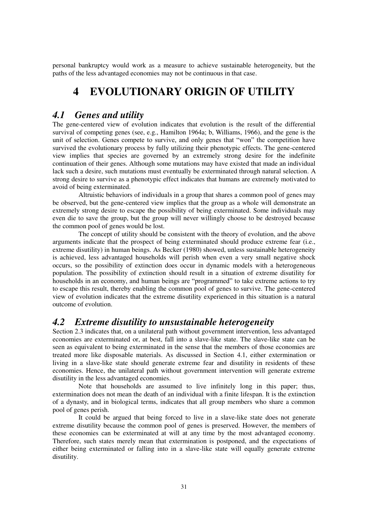personal bankruptcy would work as a measure to achieve sustainable heterogeneity, but the paths of the less advantaged economies may not be continuous in that case.

# **4 EVOLUTIONARY ORIGIN OF UTILITY**

## *4.1 Genes and utility*

The gene-centered view of evolution indicates that evolution is the result of the differential survival of competing genes (see, e.g., Hamilton 1964a; b, Williams, 1966), and the gene is the unit of selection. Genes compete to survive, and only genes that "won" the competition have survived the evolutionary process by fully utilizing their phenotypic effects. The gene-centered view implies that species are governed by an extremely strong desire for the indefinite continuation of their genes. Although some mutations may have existed that made an individual lack such a desire, such mutations must eventually be exterminated through natural selection. A strong desire to survive as a phenotypic effect indicates that humans are extremely motivated to avoid of being exterminated.

 Altruistic behaviors of individuals in a group that shares a common pool of genes may be observed, but the gene-centered view implies that the group as a whole will demonstrate an extremely strong desire to escape the possibility of being exterminated. Some individuals may even die to save the group, but the group will never willingly choose to be destroyed because the common pool of genes would be lost.

 The concept of utility should be consistent with the theory of evolution, and the above arguments indicate that the prospect of being exterminated should produce extreme fear (i.e., extreme disutility) in human beings. As Becker (1980) showed, unless sustainable heterogeneity is achieved, less advantaged households will perish when even a very small negative shock occurs, so the possibility of extinction does occur in dynamic models with a heterogeneous population. The possibility of extinction should result in a situation of extreme disutility for households in an economy, and human beings are "programmed" to take extreme actions to try to escape this result, thereby enabling the common pool of genes to survive. The gene-centered view of evolution indicates that the extreme disutility experienced in this situation is a natural outcome of evolution.

# *4.2 Extreme disutility to unsustainable heterogeneity*

Section 2.3 indicates that, on a unilateral path without government intervention, less advantaged economies are exterminated or, at best, fall into a slave-like state. The slave-like state can be seen as equivalent to being exterminated in the sense that the members of those economies are treated more like disposable materials. As discussed in Section 4.1, either extermination or living in a slave-like state should generate extreme fear and disutility in residents of these economies. Hence, the unilateral path without government intervention will generate extreme disutility in the less advantaged economies.

 Note that households are assumed to live infinitely long in this paper; thus, extermination does not mean the death of an individual with a finite lifespan. It is the extinction of a dynasty, and in biological terms, indicates that all group members who share a common pool of genes perish.

 It could be argued that being forced to live in a slave-like state does not generate extreme disutility because the common pool of genes is preserved. However, the members of these economies can be exterminated at will at any time by the most advantaged economy. Therefore, such states merely mean that extermination is postponed, and the expectations of either being exterminated or falling into in a slave-like state will equally generate extreme disutility.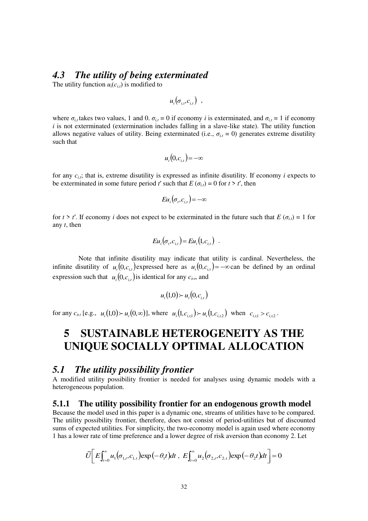## *4.3 The utility of being exterminated*

The utility function  $u_i(c_{i,t})$  is modified to

$$
u_i(\sigma_{i,t},c_{i,t})\enspace,
$$

where  $\sigma_{i,t}$  takes two values, 1 and 0.  $\sigma_{i,t} = 0$  if economy *i* is exterminated, and  $\sigma_{i,t} = 1$  if economy *i* is not exterminated (extermination includes falling in a slave-like state). The utility function allows negative values of utility. Being exterminated (i.e.,  $\sigma_{i,t} = 0$ ) generates extreme disutility such that

$$
u_i(0,c_{i,t}) = -\infty
$$

for any *ci,t*; that is, extreme disutility is expressed as infinite disutility. If economy *i* expects to be exterminated in some future period *t'* such that  $E(\sigma_{i,t}) = 0$  for  $t > t'$ , then

$$
Eu_i(\sigma_t, c_{i,t}) = -\infty
$$

for  $t > t'$ . If economy *i* does not expect to be exterminated in the future such that  $E(\sigma_{i,t}) = 1$  for any *t*, then

$$
E u_i(\sigma_t, c_{i,t}) = E u_i(1, c_{i,t}) .
$$

 Note that infinite disutility may indicate that utility is cardinal. Nevertheless, the infinite disutility of  $u_i(0,c_{i,t})$  expressed here as  $u_i(0,c_{i,t}) = -\infty$  can be defined by an ordinal expression such that  $u_i(0, c_{i,t})$  is identical for any  $c_{i,t}$ , and

$$
u_i(1,0) \succ u_i(0,c_{i,t})
$$

for any  $c_{i,t}$  [e.g.,  $u_i(1,0) \succ u_i(0,\infty)$ ], where  $u_i(1,c_{i,t} \gt u_i(1,c_{i,t} \gt u_i)$  when  $c_{i,t} > c_{i,t}$ .

# **5 SUSTAINABLE HETEROGENEITY AS THE UNIQUE SOCIALLY OPTIMAL ALLOCATION**

## *5.1 The utility possibility frontier*

A modified utility possibility frontier is needed for analyses using dynamic models with a heterogeneous population.

### **5.1.1 The utility possibility frontier for an endogenous growth model**

Because the model used in this paper is a dynamic one, streams of utilities have to be compared. The utility possibility frontier, therefore, does not consist of period-utilities but of discounted sums of expected utilities. For simplicity, the two-economy model is again used where economy 1 has a lower rate of time preference and a lower degree of risk aversion than economy 2. Let

$$
\widetilde{U}\bigg[E\int_{t=0}^{\infty}u_{1}(\sigma_{1,t},c_{1,t})\exp(-\theta_{1}t)dt,\ E\int_{t=0}^{\infty}u_{2}(\sigma_{2,t},c_{2,t})\exp(-\theta_{2}t)dt\bigg]=0
$$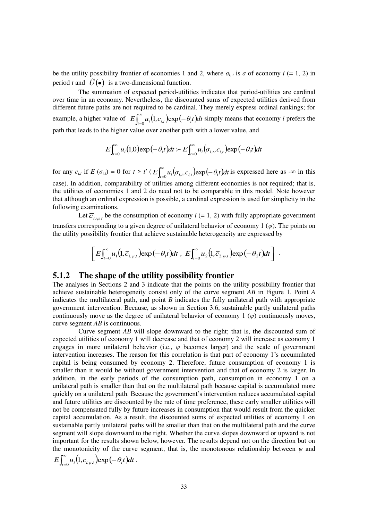be the utility possibility frontier of economies 1 and 2, where  $\sigma_{i,t}$  is  $\sigma$  of economy  $i$  (= 1, 2) in period *t* and  $\tilde{U}(\bullet)$  is a two-dimensional function.

 The summation of expected period-utilities indicates that period-utilities are cardinal over time in an economy. Nevertheless, the discounted sums of expected utilities derived from different future paths are not required to be cardinal. They merely express ordinal rankings; for example, a higher value of  $E\int_{t=0}^{\infty} u_i(1, c_{i,t}) \exp(-\theta_i t) dt$  $E\int_{t=0}^{\infty} u_i(1, c_{i,t}) \exp(-\theta_i t) dt$  simply means that economy *i* prefers the path that leads to the higher value over another path with a lower value, and

$$
E\int_{t=0}^{\infty}u_i(1,0)\exp(-\theta_it)dt \succ E\int_{t=0}^{\infty}u_i(\sigma_{i,t},c_{i,t})\exp(-\theta_it)dt
$$

for any  $c_{i,t}$  if  $E(\sigma_{i,t}) = 0$  for  $t > t'$  ( $E \int_{t=0}^{\infty} u_i(\sigma_{i,t}, c_{i,t}) \exp(-\theta_i t)$  $E\int_{t=0}^{\infty} u_i(\sigma_{i,t}, c_{i,t}) \exp(-\theta_i t) dt$  is expressed here as -∞ in this case). In addition, comparability of utilities among different economies is not required; that is, the utilities of economies 1 and 2 do need not to be comparable in this model. Note however that although an ordinal expression is possible, a cardinal expression is used for simplicity in the following examinations.

Let  $\overline{c}_{i,\psi,t}$  be the consumption of economy  $i (= 1, 2)$  with fully appropriate government transfers corresponding to a given degree of unilateral behavior of economy 1 (*ψ*). The points on the utility possibility frontier that achieve sustainable heterogeneity are expressed by

$$
\[E\int_{t=0}^{\infty}u_1(1,\overline{c}_{1,\psi t})\exp\left(-\theta_1t\right)dt,\ E\int_{t=0}^{\infty}u_2(1,\overline{c}_{2,\psi t})\exp\left(-\theta_2t\right)dt\].
$$

### **5.1.2 The shape of the utility possibility frontier**

The analyses in Sections 2 and 3 indicate that the points on the utility possibility frontier that achieve sustainable heterogeneity consist only of the curve segment *AB* in Figure 1. Point *A* indicates the multilateral path, and point *B* indicates the fully unilateral path with appropriate government intervention. Because, as shown in Section 3.6, sustainable partly unilateral paths continuously move as the degree of unilateral behavior of economy 1  $(\psi)$  continuously moves, curve segment *AB* is continuous.

 Curve segment *AB* will slope downward to the right; that is, the discounted sum of expected utilities of economy 1 will decrease and that of economy 2 will increase as economy 1 engages in more unilateral behavior (i.e., *ψ* becomes larger) and the scale of government intervention increases. The reason for this correlation is that part of economy 1's accumulated capital is being consumed by economy 2. Therefore, future consumption of economy 1 is smaller than it would be without government intervention and that of economy 2 is larger. In addition, in the early periods of the consumption path, consumption in economy 1 on a unilateral path is smaller than that on the multilateral path because capital is accumulated more quickly on a unilateral path. Because the government's intervention reduces accumulated capital and future utilities are discounted by the rate of time preference, these early smaller utilities will not be compensated fully by future increases in consumption that would result from the quicker capital accumulation. As a result, the discounted sums of expected utilities of economy 1 on sustainable partly unilateral paths will be smaller than that on the multilateral path and the curve segment will slope downward to the right. Whether the curve slopes downward or upward is not important for the results shown below, however. The results depend not on the direction but on the monotonicity of the curve segment, that is, the monotonous relationship between  $\psi$  and  $\int_{t=0}^{\infty} u_i \big(1, \overline{c}_{i,\psi t}\big) \exp(-\theta_i t)$  $E\int_{t=0}^{\infty} u_i \left(1, \overline{c}_{i,\psi} \right) \exp\left(-\theta_i t\right) dt$ .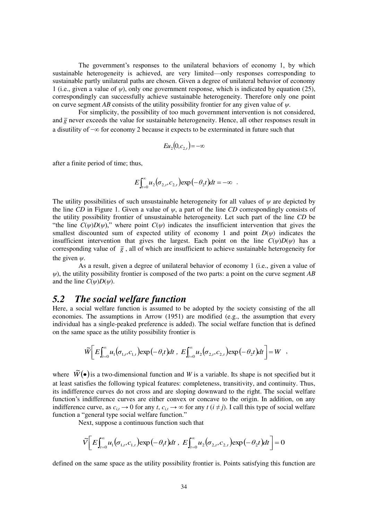The government's responses to the unilateral behaviors of economy 1, by which sustainable heterogeneity is achieved, are very limited—only responses corresponding to sustainable partly unilateral paths are chosen. Given a degree of unilateral behavior of economy 1 (i.e., given a value of *ψ*), only one government response, which is indicated by equation (25), correspondingly can successfully achieve sustainable heterogeneity. Therefore only one point on curve segment *AB* consists of the utility possibility frontier for any given value of *ψ*.

 For simplicity, the possibility of too much government intervention is not considered, and  $\bar{g}$  never exceeds the value for sustainable heterogeneity. Hence, all other responses result in a disutility of −∞ for economy 2 because it expects to be exterminated in future such that

$$
Eu_2(0,c_{2,t}) = -\infty
$$

after a finite period of time; thus,

$$
E\int_{t=0}^{\infty}u_2(\sigma_{2,t},c_{2,t})\exp(-\theta_2t)dt=-\infty.
$$

The utility possibilities of such unsustainable heterogeneity for all values of *ψ* are depicted by the line *CD* in Figure 1. Given a value of *ψ*, a part of the line *CD* correspondingly consists of the utility possibility frontier of unsustainable heterogeneity. Let such part of the line *CD* be "the line  $C(\psi)D(\psi)$ ," where point  $C(\psi)$  indicates the insufficient intervention that gives the smallest discounted sum of expected utility of economy 1 and point  $D(\psi)$  indicates the insufficient intervention that gives the largest. Each point on the line  $C(\psi)D(\psi)$  has a corresponding value of  $\bar{g}$ , all of which are insufficient to achieve sustainable heterogeneity for the given *ψ*.

 As a result, given a degree of unilateral behavior of economy 1 (i.e., given a value of *ψ*), the utility possibility frontier is composed of the two parts: a point on the curve segment *AB* and the line  $C(\psi)D(\psi)$ .

## *5.2 The social welfare function*

Here, a social welfare function is assumed to be adopted by the society consisting of the all economies. The assumptions in Arrow (1951) are modified (e.g., the assumption that every individual has a single-peaked preference is added). The social welfare function that is defined on the same space as the utility possibility frontier is

$$
\widetilde{W}\bigg[ E \int_{t=0}^{\infty} u_1(\sigma_{1,t}, c_{1,t}) \exp(-\theta_1 t) dt \, , \, E \int_{t=0}^{\infty} u_2(\sigma_{2,t}, c_{2,t}) \exp(-\theta_2 t) dt \bigg] = W \quad ,
$$

where  $\tilde{W}(\bullet)$  is a two-dimensional function and *W* is a variable. Its shape is not specified but it at least satisfies the following typical features: completeness, transitivity, and continuity. Thus, its indifference curves do not cross and are sloping downward to the right. The social welfare function's indifference curves are either convex or concave to the origin. In addition, on any indifference curve, as  $c_{i,t} \to 0$  for any  $t$ ,  $c_{i,t} \to \infty$  for any  $t$  ( $i \neq j$ ). I call this type of social welfare function a "general type social welfare function."

Next, suppose a continuous function such that

$$
\widetilde{V}\bigg[E\int_{t=0}^{\infty}u_1(\sigma_{1,t},c_{1,t})\exp(-\theta_1t)dt,\ E\int_{t=0}^{\infty}u_2(\sigma_{2,t},c_{2,t})\exp(-\theta_2t)dt\bigg]=0
$$

defined on the same space as the utility possibility frontier is. Points satisfying this function are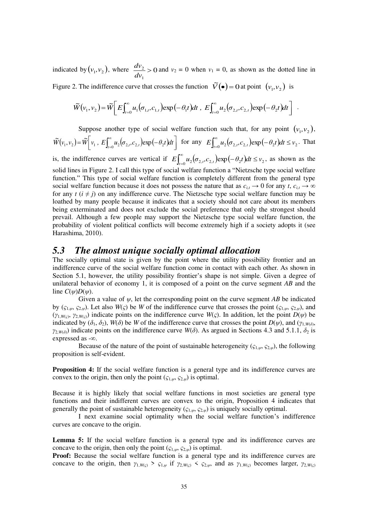indicated by  $(v_1, v_2)$ , where  $\frac{dv_2}{dx} > 0$ 1 *dv*  $\frac{dv_2}{dt} > 0$  and  $v_2 = 0$  when  $v_1 = 0$ , as shown as the dotted line in

Figure 2. The indifference curve that crosses the function  $\tilde{V}(\bullet) = 0$  at point  $(v_1, v_2)$  is

$$
\widetilde{W}(v_1, v_2) = \widetilde{W}\bigg[ E \int_{t=0}^{\infty} u_1(\sigma_{1,t}, c_{1,t}) \exp(-\theta_1 t) dt \, , \, E \int_{t=0}^{\infty} u_2(\sigma_{2,t}, c_{2,t}) \exp(-\theta_2 t) dt \bigg] \, .
$$

Suppose another type of social welfare function such that, for any point  $(v_1, v_2)$ ,

 $(v_1, v_2) = \widetilde{W} \bigg[ v_1, E \int_{t=0}^{\infty} u_2(\sigma_{2,t}, c_{2,t}) \exp(-\theta_2 t) dt \bigg]$  $= \widetilde{W} \bigg[ v_1, E \int_{t=0}^{\infty} u_2(\sigma_{2,t}, c_{2,t}) \exp(-\sigma_{2,t})$  $\widetilde{W}(v_1, v_2) = \widetilde{W}\bigg[v_1, E\bigg]_{t=0}^{\infty} u_2(\sigma_{2,t}, c_{2,t}) \exp(-\theta_2)$  $\widetilde{W}(v_1, v_2) = \widetilde{W}\bigg[v_1, E\bigg]_{t=0}^{\infty} u_2(\sigma_{2,t}, c_{2,t}) \exp(-\theta_2 t) dt$  for any  $E\int_{t=0}^{\infty} u_2(\sigma_{2,t}, c_{2,t}) \exp(-\theta_2 t) dt \le v_2$  $u_1 u_2 (\sigma_{2,t}, c_{2,t}) \exp(-\theta_2 t) dt \leq v_2$ . That

is, the indifference curves are vertical if  $E\int_{t=0}^{\infty} u_2(\sigma_{2,t}, c_{2,t}) \exp(-\theta_2 t) dt \le v_2$  $u_1(u_2(\sigma_{2,t}, c_{2,t}) \exp(-\theta_2 t) dt \le v_2$ , as shown as the solid lines in Figure 2. I call this type of social welfare function a "Nietzsche type social welfare function." This type of social welfare function is completely different from the general type social welfare function because it does not possess the nature that as  $c_{i,t} \to 0$  for any *t*,  $c_{i,t} \to \infty$ for any  $t$  ( $i \neq j$ ) on any indifference curve. The Nietzsche type social welfare function may be loathed by many people because it indicates that a society should not care about its members being exterminated and does not exclude the social preference that only the strongest should prevail. Although a few people may support the Nietzsche type social welfare function, the probability of violent political conflicts will become extremely high if a society adopts it (see Harashima, 2010).

## *5.3 The almost unique socially optimal allocation*

The socially optimal state is given by the point where the utility possibility frontier and an indifference curve of the social welfare function come in contact with each other. As shown in Section 5.1, however, the utility possibility frontier's shape is not simple. Given a degree of unilateral behavior of economy 1, it is composed of a point on the curve segment *AB* and the line  $C(\psi)D(\psi)$ .

 Given a value of *ψ*, let the corresponding point on the curve segment *AB* be indicated by  $(c_{1,\psi}, c_{2,\psi})$ . Let also  $W(\zeta)$  be W of the indifference curve that crosses the point  $(c_{1,\psi}, c_{2,\psi})$ , and  $(y_{1,W(\varsigma)}, y_{2,W(\varsigma)})$  indicate points on the indifference curve  $W(\varsigma)$ . In addition, let the point  $D(\psi)$  be indicated by  $(\delta_1, \delta_2)$ ,  $W(\delta)$  be *W* of the indifference curve that crosses the point  $D(\psi)$ , and  $(\gamma_{1, W(\delta)}, \gamma_{2, \delta})$ *γ*<sub>2,*W*(*δ*)</sub>) indicate points on the indifference curve *W*(*δ*). As argued in Sections 4.3 and 5.1.1, *δ*<sub>2</sub> is expressed as -∞.

Because of the nature of the point of sustainable heterogeneity ( $\varsigma_{1,\psi}$ ,  $\varsigma_{2,\psi}$ ), the following proposition is self-evident.

**Proposition 4:** If the social welfare function is a general type and its indifference curves are convex to the origin, then only the point  $(\zeta_{1,\psi}, \zeta_{2,\psi})$  is optimal.

Because it is highly likely that social welfare functions in most societies are general type functions and their indifferent curves are convex to the origin, Proposition 4 indicates that generally the point of sustainable heterogeneity ( $\zeta_{1,\psi}, \zeta_{2,\psi}$ ) is uniquely socially optimal.

I next examine social optimality when the social welfare function's indifference curves are concave to the origin.

**Lemma 5:** If the social welfare function is a general type and its indifference curves are concave to the origin, then only the point  $(\zeta_{1,\psi}, \zeta_{2,\psi})$  is optimal.

**Proof:** Because the social welfare function is a general type and its indifference curves are concave to the origin, then  $\gamma_{1,W(\zeta)} > \zeta_{1,\psi}$  if  $\gamma_{2,W(\zeta)} < \zeta_{2,\psi}$ , and as  $\gamma_{1,W(\zeta)}$  becomes larger,  $\gamma_{2,W(\zeta)}$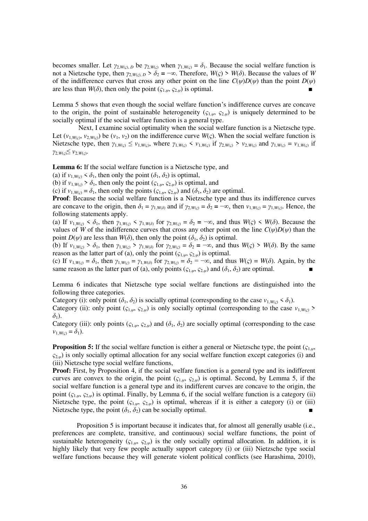becomes smaller. Let  $\gamma_{2,W(\varsigma)}$ , *D* be  $\gamma_{2,W(\varsigma)}$  when  $\gamma_{1,W(\varsigma)} = \delta_1$ . Because the social welfare function is not a Nietzsche type, then  $\gamma_{2,W(s), D} > \delta_2 = -\infty$ . Therefore,  $W(\varsigma) > W(\delta)$ . Because the values of *W* of the indifference curves that cross any other point on the line  $C(\psi)D(\psi)$  than the point  $D(\psi)$ are less than  $W(\delta)$ , then only the point  $(\varsigma_{1,\psi}, \varsigma_{2,\psi})$  is optimal.

Lemma 5 shows that even though the social welfare function's indifference curves are concave to the origin, the point of sustainable heterogeneity  $(\zeta_{1,\psi}, \zeta_{2,\psi})$  is uniquely determined to be socially optimal if the social welfare function is a general type.

 Next, I examine social optimality when the social welfare function is a Nietzsche type. Let  $(v_{1,W(s)}, v_{2,W(s)})$  be  $(v_1, v_2)$  on the indifference curve  $W(s)$ . When the social welfare function is Nietzsche type, then  $\gamma_{1,W(\varsigma)} \leq v_{1,W(\varsigma)}$ , where  $\gamma_{1,W(\varsigma)} < v_{1,W(\varsigma)}$  if  $\gamma_{2,W(\varsigma)} > v_{2,W(\varsigma)}$  and  $\gamma_{1,W(\varsigma)} = v_{1,W(\varsigma)}$  if *γ*2,*W*(*ς*)≤ *v*2,*W*(*ς*) .

**Lemma 6:** If the social welfare function is a Nietzsche type, and

(a) if  $v_{1,Wc}$  <  $\delta_1$ , then only the point  $(\delta_1, \delta_2)$  is optimal,

(b) if  $v_{1,W(s)} > \delta_1$ , then only the point  $(c_{1,\psi}, c_{2,\psi})$  is optimal, and

(c) if  $v_{1,W(\varsigma)} = \delta_1$ , then only the points  $(\varsigma_{1,\psi}, \varsigma_{2,\psi})$  and  $(\delta_1, \delta_2)$  are optimal.

**Proof**: Because the social welfare function is a Nietzsche type and thus its indifference curves are concave to the origin, then  $\delta_1 = \gamma_{1,W(\delta)}$  and if  $\gamma_{2,W(\varsigma)} = \delta_2 = -\infty$ , then  $v_{1,W(\varsigma)} = \gamma_{1,W(\varsigma)}$ . Hence, the following statements apply.

(a) If  $v_{1,W(s)} < \delta_1$ , then  $\gamma_{1,W(s)} < \gamma_{1,W(\delta)}$  for  $\gamma_{2,W(s)} = \delta_2 = -\infty$ , and thus  $W(s) < W(\delta)$ . Because the values of *W* of the indifference curves that cross any other point on the line  $C(\psi)D(\psi)$  than the point  $D(\psi)$  are less than  $W(\delta)$ , then only the point  $(\delta_1, \delta_2)$  is optimal.

(b) If  $v_{1,W(s)} > \delta_1$ , then  $\gamma_{1,W(s)} > \gamma_{1,W(\delta)}$  for  $\gamma_{2,W(s)} = \delta_2 = -\infty$ , and thus  $W(s) > W(\delta)$ . By the same reason as the latter part of (a), only the point ( $\varsigma_{1,\psi}, \varsigma_{2,\psi}$ ) is optimal.

(c) If  $v_{1,W(s)} = \delta_1$ , then  $\gamma_{1,W(s)} = \gamma_{1,W(\delta)}$  for  $\gamma_{2,W(s)} = \delta_2 = -\infty$ , and thus  $W(s) = W(\delta)$ . Again, by the same reason as the latter part of (a), only points ( $\zeta_{1,\psi}, \zeta_{2,\psi}$ ) and ( $\delta_1, \delta_2$ ) are optimal.

Lemma 6 indicates that Nietzsche type social welfare functions are distinguished into the following three categories.

Category (i): only point  $(\delta_1, \delta_2)$  is socially optimal (corresponding to the case  $v_{1, W(s)} < \delta_1$ ).

Category (ii): only point  $(\zeta_{1,\psi}, \zeta_{2,\psi})$  is only socially optimal (corresponding to the case  $v_{1,W(c)}$ )  $\delta_1$ ).

Category (iii): only points  $(\zeta_{1,\psi}, \zeta_{2,\psi})$  and  $(\delta_1, \delta_2)$  are socially optimal (corresponding to the case  $v_{1,W(c)} = \delta_1$ .

**Proposition 5:** If the social welfare function is either a general or Nietzsche type, the point (*ς*1,*<sup>ψ</sup>*, *ς*2,*<sup>ψ</sup>*) is only socially optimal allocation for any social welfare function except categories (i) and (iii) Nietzsche type social welfare functions,

**Proof:** First, by Proposition 4, if the social welfare function is a general type and its indifferent curves are convex to the origin, the point  $(\zeta_{1,\psi}, \zeta_{2,\psi})$  is optimal. Second, by Lemma 5, if the social welfare function is a general type and its indifferent curves are concave to the origin, the point (*ς*1,*<sup>ψ</sup>*, *ς*2,*<sup>ψ</sup>*) is optimal. Finally, by Lemma 6, if the social welfare function is a category (ii) Nietzsche type, the point  $(\zeta_{1,\psi}, \zeta_{2,\psi})$  is optimal, whereas if it is either a category (i) or (iii) Nietzsche type, the point  $(\delta_1, \delta_2)$  can be socially optimal.

 Proposition 5 is important because it indicates that, for almost all generally usable (i.e., preferences are complete, transitive, and continuous) social welfare functions, the point of sustainable heterogeneity  $(\varsigma_{1,\psi}, \varsigma_{2,\psi})$  is the only socially optimal allocation. In addition, it is highly likely that very few people actually support category (i) or (iii) Nietzsche type social welfare functions because they will generate violent political conflicts (see Harashima, 2010),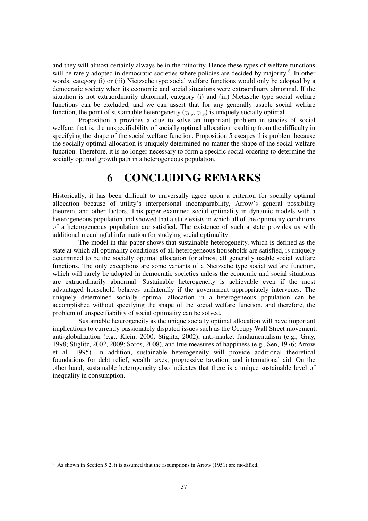and they will almost certainly always be in the minority. Hence these types of welfare functions will be rarely adopted in democratic societies where policies are decided by majority.<sup>6</sup> In other words, category (i) or (iii) Nietzsche type social welfare functions would only be adopted by a democratic society when its economic and social situations were extraordinary abnormal. If the situation is not extraordinarily abnormal, category (i) and (iii) Nietzsche type social welfare functions can be excluded, and we can assert that for any generally usable social welfare function, the point of sustainable heterogeneity ( $\zeta_{1,\psi}, \zeta_{2,\psi}$ ) is uniquely socially optimal.

 Proposition 5 provides a clue to solve an important problem in studies of social welfare, that is, the unspecifiability of socially optimal allocation resulting from the difficulty in specifying the shape of the social welfare function. Proposition 5 escapes this problem because the socially optimal allocation is uniquely determined no matter the shape of the social welfare function. Therefore, it is no longer necessary to form a specific social ordering to determine the socially optimal growth path in a heterogeneous population.

# **6 CONCLUDING REMARKS**

Historically, it has been difficult to universally agree upon a criterion for socially optimal allocation because of utility's interpersonal incomparability, Arrow's general possibility theorem, and other factors. This paper examined social optimality in dynamic models with a heterogeneous population and showed that a state exists in which all of the optimality conditions of a heterogeneous population are satisfied. The existence of such a state provides us with additional meaningful information for studying social optimality.

 The model in this paper shows that sustainable heterogeneity, which is defined as the state at which all optimality conditions of all heterogeneous households are satisfied, is uniquely determined to be the socially optimal allocation for almost all generally usable social welfare functions. The only exceptions are some variants of a Nietzsche type social welfare function, which will rarely be adopted in democratic societies unless the economic and social situations are extraordinarily abnormal. Sustainable heterogeneity is achievable even if the most advantaged household behaves unilaterally if the government appropriately intervenes. The uniquely determined socially optimal allocation in a heterogeneous population can be accomplished without specifying the shape of the social welfare function, and therefore, the problem of unspecifiability of social optimality can be solved.

 Sustainable heterogeneity as the unique socially optimal allocation will have important implications to currently passionately disputed issues such as the Occupy Wall Street movement, anti-globalization (e.g., Klein, 2000; Stiglitz, 2002), anti-market fundamentalism (e.g., Gray, 1998; Stiglitz, 2002, 2009; Soros, 2008), and true measures of happiness (e.g., Sen, 1976; Arrow et al., 1995). In addition, sustainable heterogeneity will provide additional theoretical foundations for debt relief, wealth taxes, progressive taxation, and international aid. On the other hand, sustainable heterogeneity also indicates that there is a unique sustainable level of inequality in consumption.

<sup>&</sup>lt;sup>6</sup> As shown in Section 5.2, it is assumed that the assumptions in Arrow (1951) are modified.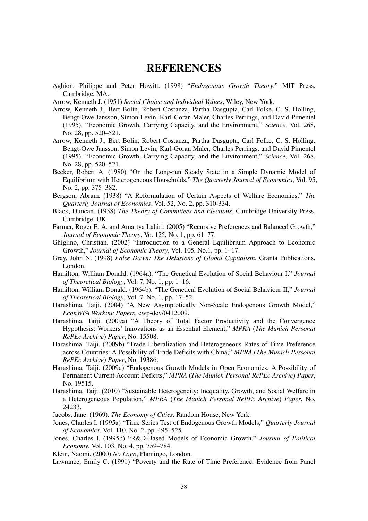# **REFERENCES**

- Aghion, Philippe and Peter Howitt. (1998) "*Endogenous Growth Theory*," MIT Press, Cambridge, MA.
- Arrow, Kenneth J. (1951) *Social Choice and Individual Values*, Wiley, New York.
- Arrow, Kenneth J., Bert Bolin, Robert Costanza, Partha Dasgupta, Carl Folke, C. S. Holling, Bengt-Owe Jansson, Simon Levin, Karl-Goran Maler, Charles Perrings, and David Pimentel (1995). "Economic Growth, Carrying Capacity, and the Environment," *Science*, Vol. 268, No. 28, pp. 520–521.
- Arrow, Kenneth J., Bert Bolin, Robert Costanza, Partha Dasgupta, Carl Folke, C. S. Holling, Bengt-Owe Jansson, Simon Levin, Karl-Goran Maler, Charles Perrings, and David Pimentel (1995). "Economic Growth, Carrying Capacity, and the Environment," *Science*, Vol. 268, No. 28, pp. 520–521.
- Becker, Robert A. (1980) "On the Long-run Steady State in a Simple Dynamic Model of Equilibrium with Heterogeneous Households," *The Quarterly Journal of Economics*, Vol. 95, No. 2, pp. 375–382.
- Bergson, Abram. (1938) "A Reformulation of Certain Aspects of Welfare Economics," *The Quarterly Journal of Economics*, Vol. 52, No. 2, pp. 310-334.
- Black, Duncan. (1958) *The Theory of Committees and Elections*, Cambridge University Press, Cambridge, UK.
- Farmer, Roger E. A. and Amartya Lahiri. (2005) "Recursive Preferences and Balanced Growth," *Journal of Economic Theory*, Vo. 125, No. 1, pp. 61–77.
- Ghiglino, Christian. (2002) "Introduction to a General Equilibrium Approach to Economic Growth," *Journal of Economic Theory*, Vol. 105, No.1, pp. 1–17.
- Gray, John N. (1998) *False Dawn: The Delusions of Global Capitalism*, Granta Publications, London.
- Hamilton, William Donald. (1964a). "The Genetical Evolution of Social Behaviour I," *Journal of Theoretical Biology*, Vol. 7, No. 1, pp. 1–16.
- Hamilton, William Donald. (1964b). "The Genetical Evolution of Social Behaviour II," *Journal of Theoretical Biology*, Vol. 7, No. 1, pp. 17–52.
- Harashima, Taiji. (2004) "A New Asymptotically Non-Scale Endogenous Growth Model," *EconWPA Working Papers*, ewp-dev/0412009.
- Harashima, Taiji. (2009a) "A Theory of Total Factor Productivity and the Convergence Hypothesis: Workers' Innovations as an Essential Element," *MPRA* (*The Munich Personal RePEc Archive*) *Paper*, No. 15508.
- Harashima, Taiji. (2009b) "Trade Liberalization and Heterogeneous Rates of Time Preference across Countries: A Possibility of Trade Deficits with China," *MPRA* (*The Munich Personal RePEc Archive*) *Paper*, No. 19386.
- Harashima, Taiji. (2009c) "Endogenous Growth Models in Open Economies: A Possibility of Permanent Current Account Deficits," *MPRA* (*The Munich Personal RePEc Archive*) *Paper*, No. 19515.
- Harashima, Taiji. (2010) "Sustainable Heterogeneity: Inequality, Growth, and Social Welfare in a Heterogeneous Population," *MPRA* (*The Munich Personal RePEc Archive*) *Paper*, No. 24233.
- Jacobs, Jane. (1969). *The Economy of Cities,* Random House, New York.
- Jones, Charles I. (1995a) "Time Series Test of Endogenous Growth Models," *Quarterly Journal of Economics*, Vol. 110, No. 2, pp. 495–525.
- Jones, Charles I. (1995b) "R&D-Based Models of Economic Growth," *Journal of Political Economy*, Vol. 103, No. 4, pp. 759–784.
- Klein, Naomi. (2000) *No Logo*, Flamingo, London.
- Lawrance, Emily C. (1991) "Poverty and the Rate of Time Preference: Evidence from Panel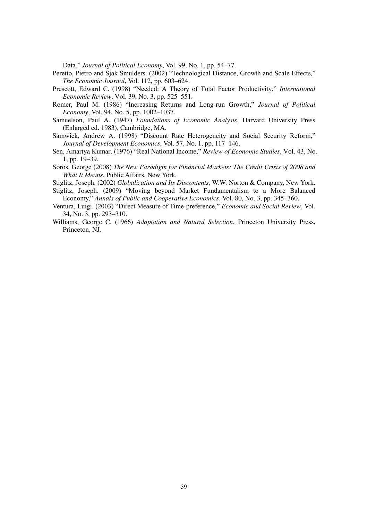Data," *Journal of Political Economy*, Vol. 99, No. 1, pp. 54–77.

- Peretto, Pietro and Sjak Smulders. (2002) "Technological Distance, Growth and Scale Effects*,*" *The Economic Journal*, Vol. 112, pp. 603–624.
- Prescott, Edward C. (1998) "Needed: A Theory of Total Factor Productivity," *International Economic Review*, Vol. 39, No. 3, pp. 525–551.
- Romer, Paul M. (1986) "Increasing Returns and Long-run Growth," *Journal of Political Economy*, Vol. 94, No. 5, pp. 1002–1037.
- Samuelson, Paul A. (1947) *Foundations of Economic Analysis*, Harvard University Press (Enlarged ed. 1983), Cambridge, MA.
- Samwick, Andrew A. (1998) "Discount Rate Heterogeneity and Social Security Reform," *Journal of Development Economics*, Vol. 57, No. 1, pp. 117–146.
- Sen, Amartya Kumar. (1976) "Real National Income," *Review of Economic Studies*, Vol. 43, No. 1, pp. 19–39.
- Soros, George (2008) *The New Paradigm for Financial Markets: The Credit Crisis of 2008 and What It Means*, Public Affairs, New York.
- Stiglitz, Joseph. (2002) *Globalization and Its Discontents*, W.W. Norton & Company, New York.
- Stiglitz, Joseph. (2009) "Moving beyond Market Fundamentalism to a More Balanced Economy," *Annals of Public and Cooperative Economics*, Vol. 80, No. 3, pp. 345–360.
- Ventura, Luigi. (2003) "Direct Measure of Time-preference," *Economic and Social Review*, Vol. 34, No. 3, pp. 293–310.
- Williams, George C. (1966) *Adaptation and Natural Selection*, Princeton University Press, Princeton, NJ.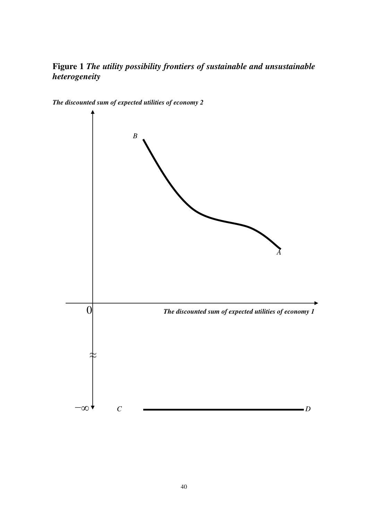**Figure 1** *The utility possibility frontiers of sustainable and unsustainable heterogeneity*



*The discounted sum of expected utilities of economy 2*